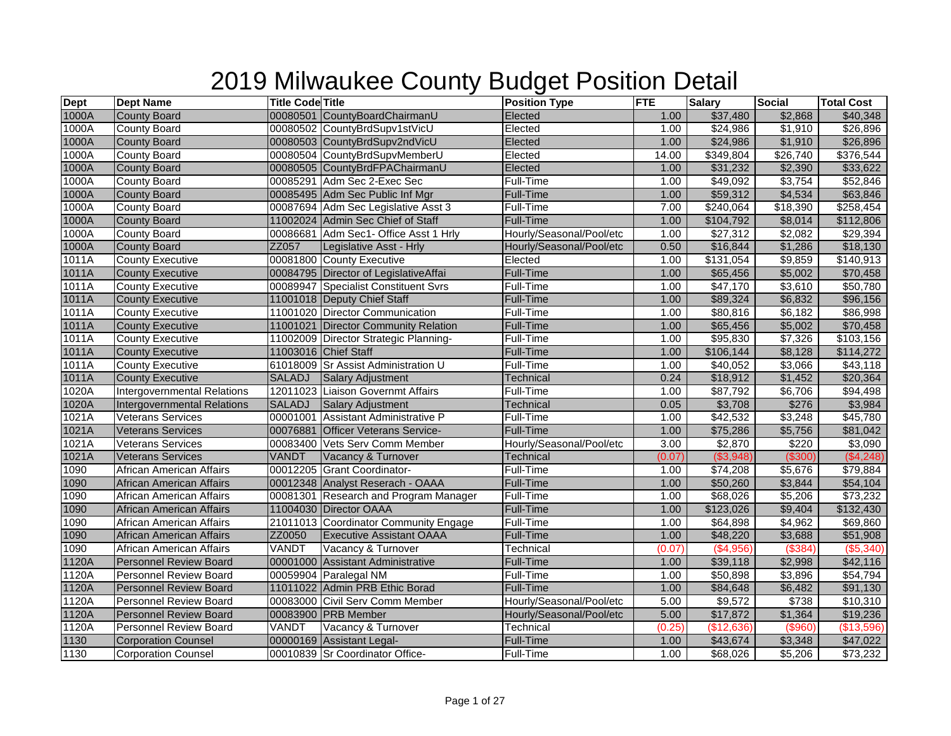| <b>Dept</b> | <b>Dept Name</b>                   | <b>Title Code Title</b> |                                       | <b>Position Type</b>     | <b>FTE</b> | Salary               | Social   | <b>Total Cost</b> |
|-------------|------------------------------------|-------------------------|---------------------------------------|--------------------------|------------|----------------------|----------|-------------------|
| 1000A       | <b>County Board</b>                |                         | 00080501 CountyBoardChairmanU         | Elected                  | 1.00       | \$37,480             | \$2,868  | \$40,348          |
| 1000A       | <b>County Board</b>                |                         | 00080502 CountyBrdSupv1stVicU         | Elected                  | 1.00       | \$24,986             | \$1,910  | \$26,896          |
| 1000A       | <b>County Board</b>                |                         | 00080503 CountyBrdSupv2ndVicU         | Elected                  | 1.00       | \$24,986             | \$1,910  | \$26,896          |
| 1000A       | <b>County Board</b>                |                         | 00080504 CountyBrdSupvMemberU         | Elected                  | 14.00      | \$349,804            | \$26,740 | \$376,544         |
| 1000A       | <b>County Board</b>                |                         | 00080505 CountyBrdFPAChairmanU        | Elected                  | 1.00       | \$31,232             | \$2,390  | \$33,622          |
| 1000A       | <b>County Board</b>                |                         | 00085291 Adm Sec 2-Exec Sec           | Full-Time                | 1.00       | $\overline{$49,092}$ | \$3,754  | \$52,846          |
| 1000A       | <b>County Board</b>                |                         | 00085495 Adm Sec Public Inf Mgr       | Full-Time                | 1.00       | \$59,312             | \$4,534  | \$63,846          |
| 1000A       | <b>County Board</b>                |                         | 00087694 Adm Sec Legislative Asst 3   | Full-Time                | 7.00       | \$240,064            | \$18,390 | \$258,454         |
| 1000A       | <b>County Board</b>                |                         | 11002024 Admin Sec Chief of Staff     | <b>Full-Time</b>         | 1.00       | \$104,792            | \$8,014  | \$112,806         |
| 1000A       | <b>County Board</b>                |                         | 00086681 Adm Sec1- Office Asst 1 Hrly | Hourly/Seasonal/Pool/etc | 1.00       | \$27,312             | \$2,082  | \$29,394          |
| 1000A       | <b>County Board</b>                | ZZ057                   | Legislative Asst - Hrly               | Hourly/Seasonal/Pool/etc | 0.50       | \$16,844             | \$1,286  | \$18,130          |
| 1011A       | <b>County Executive</b>            |                         | 00081800 County Executive             | Elected                  | 1.00       | \$131,054            | \$9,859  | \$140,913         |
| 1011A       | <b>County Executive</b>            |                         | 00084795 Director of LegislativeAffai | <b>Full-Time</b>         | 1.00       | \$65,456             | \$5,002  | \$70,458          |
| 1011A       | <b>County Executive</b>            |                         | 00089947 Specialist Constituent Svrs  | Full-Time                | 1.00       | \$47,170             | \$3,610  | \$50,780          |
| 1011A       | <b>County Executive</b>            |                         | 11001018 Deputy Chief Staff           | Full-Time                | 1.00       | \$89,324             | \$6,832  | \$96,156          |
| 1011A       | <b>County Executive</b>            |                         | 11001020 Director Communication       | Full-Time                | 1.00       | \$80,816             | \$6,182  | \$86,998          |
| 1011A       | <b>County Executive</b>            |                         | 11001021 Director Community Relation  | <b>Full-Time</b>         | 1.00       | \$65,456             | \$5,002  | \$70,458          |
| 1011A       | <b>County Executive</b>            |                         | 11002009 Director Strategic Planning- | Full-Time                | 1.00       | \$95,830             | \$7,326  | \$103,156         |
| 1011A       | <b>County Executive</b>            |                         | 11003016 Chief Staff                  | Full-Time                | 1.00       | \$106,144            | \$8,128  | \$114,272         |
| 1011A       | <b>County Executive</b>            |                         | 61018009 Sr Assist Administration U   | Full-Time                | 1.00       | \$40,052             | \$3,066  | \$43,118          |
| 1011A       | <b>County Executive</b>            | <b>SALADJ</b>           | <b>Salary Adjustment</b>              | Technical                | 0.24       | \$18,912             | \$1,452  | \$20,364          |
| 1020A       | <b>Intergovernmental Relations</b> |                         | 12011023 Liaison Governmt Affairs     | Full-Time                | 1.00       | \$87,792             | \$6,706  | \$94,498          |
| 1020A       | <b>Intergovernmental Relations</b> | <b>SALADJ</b>           | Salary Adjustment                     | <b>Technical</b>         | 0.05       | \$3,708              | \$276    | \$3,984           |
| 1021A       | <b>Veterans Services</b>           | 00001001                | <b>Assistant Administrative P</b>     | Full-Time                | 1.00       | \$42,532             | \$3,248  | \$45,780          |
| 1021A       | <b>Veterans Services</b>           |                         | 00076881 Officer Veterans Service-    | Full-Time                | 1.00       | \$75,286             | \$5,756  | \$81,042          |
| 1021A       | <b>Veterans Services</b>           |                         | 00083400 Vets Serv Comm Member        | Hourly/Seasonal/Pool/etc | 3.00       | \$2,870              | \$220    | \$3,090           |
| 1021A       | <b>Veterans Services</b>           | <b>VANDT</b>            | Vacancy & Turnover                    | Technical                | (0.07)     | (\$3,948)            | (\$300)  | (\$4,248)         |
| 1090        | African American Affairs           |                         | 00012205 Grant Coordinator-           | Full-Time                | 1.00       | \$74,208             | \$5,676  | \$79,884          |
| 1090        | African American Affairs           |                         | 00012348 Analyst Reserach - OAAA      | <b>Full-Time</b>         | 1.00       | \$50,260             | \$3,844  | \$54,104          |
| 1090        | African American Affairs           |                         | 00081301 Research and Program Manager | Full-Time                | 1.00       | \$68,026             | \$5,206  | \$73,232          |
| 1090        | African American Affairs           |                         | 11004030 Director OAAA                | <b>Full-Time</b>         | 1.00       | \$123,026            | \$9,404  | \$132,430         |
| 1090        | African American Affairs           |                         | 21011013 Coordinator Community Engage | Full-Time                | 1.00       | \$64,898             | \$4,962  | \$69,860          |
| 1090        | African American Affairs           | ZZ0050                  | <b>Executive Assistant OAAA</b>       | Full-Time                | 1.00       | \$48,220             | \$3,688  | \$51,908          |
| 1090        | African American Affairs           | VANDT                   | Vacancy & Turnover                    | Technical                | (0.07)     | (\$4,956)            | (\$384)  | $($ \$5,340)      |
| 1120A       | <b>Personnel Review Board</b>      |                         | 00001000 Assistant Administrative     | Full-Time                | 1.00       | \$39,118             | \$2,998  | \$42,116          |
| 1120A       | Personnel Review Board             |                         | 00059904 Paralegal NM                 | Full-Time                | 1.00       | \$50,898             | \$3,896  | \$54,794          |
| 1120A       | <b>Personnel Review Board</b>      |                         | 11011022 Admin PRB Ethic Borad        | Full-Time                | 1.00       | \$84,648             | \$6,482  | \$91,130          |
| 1120A       | Personnel Review Board             |                         | 00083000 Civil Serv Comm Member       | Hourly/Seasonal/Pool/etc | 5.00       | \$9,572              | \$738    | \$10,310          |
| 1120A       | <b>Personnel Review Board</b>      |                         | 00083900 PRB Member                   | Hourly/Seasonal/Pool/etc | 5.00       | \$17,872             | \$1,364  | \$19,236          |
| 1120A       | <b>Personnel Review Board</b>      | VANDT                   | Vacancy & Turnover                    | Technical                | (0.25)     | (\$12,636)           | (\$960)  | (\$13,596)        |
| 1130        | <b>Corporation Counsel</b>         |                         | 00000169 Assistant Legal-             | Full-Time                | 1.00       | \$43,674             | \$3,348  | \$47,022          |
| 1130        | <b>Corporation Counsel</b>         |                         | 00010839 Sr Coordinator Office-       | <b>Full-Time</b>         | 1.00       | \$68,026             | \$5,206  | \$73,232          |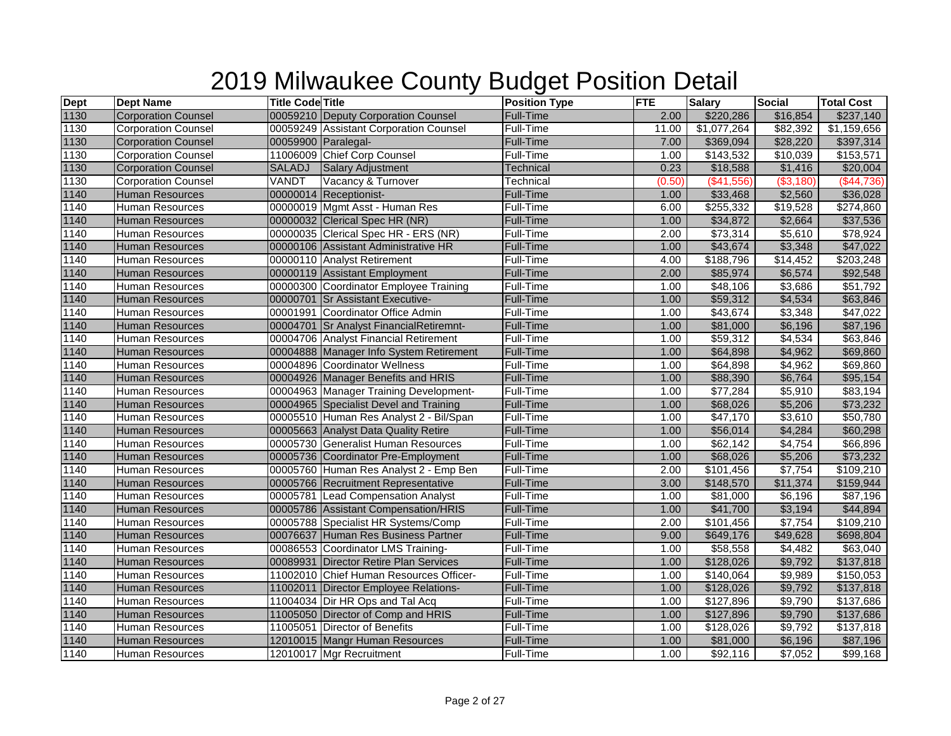| <b>Dept</b> | <b>Dept Name</b>           | <b>Title Code Title</b> |                                         | <b>Position Type</b> | <b>FTE</b> | <b>Salary</b>         | <b>Social</b>        | <b>Total Cost</b> |
|-------------|----------------------------|-------------------------|-----------------------------------------|----------------------|------------|-----------------------|----------------------|-------------------|
| 1130        | <b>Corporation Counsel</b> |                         | 00059210 Deputy Corporation Counsel     | Full-Time            | 2.00       | \$220,286             | \$16,854             | \$237,140         |
| 1130        | <b>Corporation Counsel</b> |                         | 00059249 Assistant Corporation Counsel  | Full-Time            | 11.00      | \$1,077,264           | \$82,392             | \$1,159,656       |
| 1130        | <b>Corporation Counsel</b> | 00059900 Paralegal-     |                                         | Full-Time            | 7.00       | \$369,094             | \$28,220             | \$397,314         |
| 1130        | Corporation Counsel        |                         | 11006009 Chief Corp Counsel             | Full-Time            | 1.00       | \$143,532             | \$10,039             | \$153,571         |
| 1130        | <b>Corporation Counsel</b> | SALADJ                  | Salary Adjustment                       | Technical            | 0.23       | \$18,588              | \$1,416              | \$20,004          |
| 1130        | <b>Corporation Counsel</b> | VANDT                   | Vacancy & Turnover                      | <b>Technical</b>     | (0.50)     | (\$41,556)            | ( \$3,180)           | (\$44,736)        |
| 1140        | <b>Human Resources</b>     |                         | 00000014 Receptionist-                  | Full-Time            | 1.00       | \$33,468              | \$2,560              | \$36,028          |
| 1140        | <b>Human Resources</b>     |                         | 00000019 Mgmt Asst - Human Res          | Full-Time            | 6.00       | \$255,332             | $\overline{$19,528}$ | \$274,860         |
| 1140        | <b>Human Resources</b>     |                         | 00000032 Clerical Spec HR (NR)          | Full-Time            | 1.00       | \$34,872              | \$2,664              | \$37,536          |
| 1140        | <b>Human Resources</b>     |                         | 00000035 Clerical Spec HR - ERS (NR)    | Full-Time            | 2.00       | \$73,314              | \$5,610              | \$78,924          |
| 1140        | <b>Human Resources</b>     |                         | 00000106 Assistant Administrative HR    | Full-Time            | 1.00       | \$43,674              | \$3,348              | \$47,022          |
| 1140        | Human Resources            |                         | 00000110 Analyst Retirement             | <b>Full-Time</b>     | 4.00       | \$188,796             | \$14,452             | \$203,248         |
| 1140        | <b>Human Resources</b>     |                         | 00000119 Assistant Employment           | Full-Time            | 2.00       | \$85,974              | \$6,574              | \$92,548          |
| 1140        | Human Resources            |                         | 00000300 Coordinator Employee Training  | Full-Time            | 1.00       | \$48,106              | \$3,686              | \$51,792          |
| 1140        | <b>Human Resources</b>     |                         | 00000701 Sr Assistant Executive-        | <b>Full-Time</b>     | 1.00       | \$59,312              | \$4,534              | \$63,846          |
| 1140        | <b>Human Resources</b>     |                         | 00001991 Coordinator Office Admin       | <b>Full-Time</b>     | 1.00       | \$43,674              | \$3,348              | $\sqrt{$47,022}$  |
| 1140        | <b>Human Resources</b>     |                         | 00004701 Sr Analyst FinancialRetiremnt- | <b>Full-Time</b>     | 1.00       | \$81,000              | \$6,196              | \$87,196          |
| 1140        | Human Resources            |                         | 00004706 Analyst Financial Retirement   | Full-Time            | 1.00       | $\overline{$}59,312$  | \$4,534              | \$63,846          |
| 1140        | <b>Human Resources</b>     |                         | 00004888 Manager Info System Retirement | <b>Full-Time</b>     | 1.00       | \$64,898              | \$4,962              | \$69,860          |
| 1140        | <b>Human Resources</b>     |                         | 00004896 Coordinator Wellness           | Full-Time            | 1.00       | $\sqrt{$64,898}$      | \$4,962              | \$69,860          |
| 1140        | <b>Human Resources</b>     |                         | 00004926 Manager Benefits and HRIS      | <b>Full-Time</b>     | 1.00       | \$88,390              | \$6,764              | \$95,154          |
| 1140        | <b>Human Resources</b>     |                         | 00004963 Manager Training Development-  | Full-Time            | 1.00       | \$77,284              | \$5,910              | \$83,194          |
| 1140        | <b>Human Resources</b>     |                         | 00004965 Specialist Devel and Training  | <b>Full-Time</b>     | 1.00       | \$68,026              | \$5,206              | \$73,232          |
| 1140        | <b>Human Resources</b>     |                         | 00005510 Human Res Analyst 2 - Bil/Span | Full-Time            | 1.00       | \$47,170              | \$3,610              | \$50,780          |
| 1140        | Human Resources            |                         | 00005663 Analyst Data Quality Retire    | Full-Time            | 1.00       | \$56,014              | \$4,284              | \$60,298          |
| 1140        | <b>Human Resources</b>     |                         | 00005730 Generalist Human Resources     | <b>Full-Time</b>     | 1.00       | \$62,142              | \$4,754              | \$66,896          |
| 1140        | <b>Human Resources</b>     |                         | 00005736 Coordinator Pre-Employment     | <b>Full-Time</b>     | 1.00       | \$68,026              | \$5,206              | \$73,232          |
| 1140        | Human Resources            |                         | 00005760 Human Res Analyst 2 - Emp Ben  | Full-Time            | 2.00       | \$101,456             | \$7,754              | \$109,210         |
| 1140        | <b>Human Resources</b>     |                         | 00005766 Recruitment Representative     | <b>Full-Time</b>     | 3.00       | \$148,570             | \$11,374             | \$159,944         |
| 1140        | Human Resources            |                         | 00005781 Lead Compensation Analyst      | Full-Time            | 1.00       | \$81,000              | \$6,196              | \$87,196          |
| 1140        | <b>Human Resources</b>     |                         | 00005786 Assistant Compensation/HRIS    | Full-Time            | 1.00       | \$41,700              | \$3,194              | \$44,894          |
| 1140        | Human Resources            |                         | 00005788 Specialist HR Systems/Comp     | <b>Full-Time</b>     | 2.00       | \$101,456             | \$7,754              | \$109,210         |
| 1140        | <b>Human Resources</b>     |                         | 00076637 Human Res Business Partner     | <b>Full-Time</b>     | 9.00       | \$649,176             | \$49,628             | \$698,804         |
| 1140        | <b>Human Resources</b>     |                         | 00086553 Coordinator LMS Training-      | Full-Time            | 1.00       | \$58,558              | \$4,482              | \$63,040          |
| 1140        | <b>Human Resources</b>     |                         | 00089931 Director Retire Plan Services  | Full-Time            | 1.00       | \$128,026             | \$9,792              | \$137,818         |
| 1140        | <b>Human Resources</b>     |                         | 11002010 Chief Human Resources Officer- | Full-Time            | 1.00       | $\overline{$140,064}$ | \$9,989              | $\sqrt{$150,053}$ |
| 1140        | <b>Human Resources</b>     |                         | 11002011 Director Employee Relations-   | <b>Full-Time</b>     | 1.00       | \$128,026             | \$9,792              | \$137,818         |
| 1140        | Human Resources            |                         | 11004034 Dir HR Ops and Tal Acq         | Full-Time            | 1.00       | \$127,896             | \$9,790              | \$137,686         |
| 1140        | <b>Human Resources</b>     |                         | 11005050 Director of Comp and HRIS      | <b>Full-Time</b>     | 1.00       | \$127,896             | \$9,790              | \$137,686         |
| 1140        | Human Resources            |                         | 11005051 Director of Benefits           | <b>Full-Time</b>     | 1.00       | \$128,026             | \$9,792              | \$137,818         |
| 1140        | <b>Human Resources</b>     |                         | 12010015 Mangr Human Resources          | Full-Time            | 1.00       | \$81,000              | \$6,196              | \$87,196          |
| 1140        | <b>Human Resources</b>     |                         | 12010017 Mgr Recruitment                | Full-Time            | 1.00       | \$92,116              | \$7,052              | \$99,168          |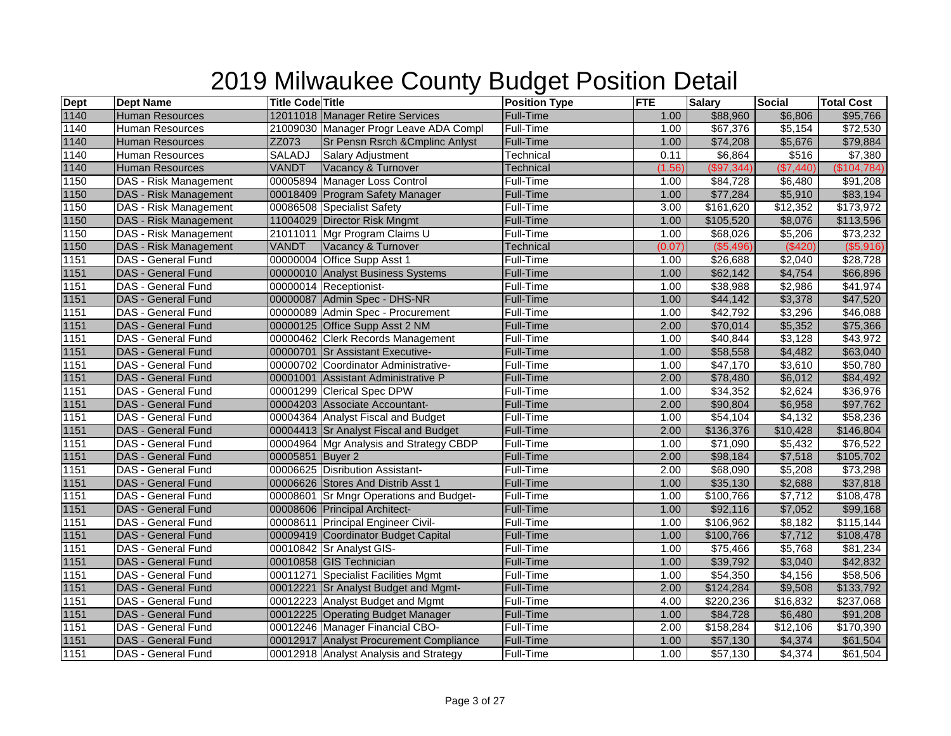| <b>Dept</b> | <b>Dept Name</b>             | <b>Title Code Title</b> |                                         | <b>Position Type</b> | <b>FTE</b> | <b>Salary</b> | <b>Social</b>        | <b>Total Cost</b> |
|-------------|------------------------------|-------------------------|-----------------------------------------|----------------------|------------|---------------|----------------------|-------------------|
| 1140        | <b>Human Resources</b>       |                         | 12011018 Manager Retire Services        | Full-Time            | 1.00       | \$88,960      | \$6,806              | \$95,766          |
| 1140        | <b>Human Resources</b>       |                         | 21009030 Manager Progr Leave ADA Compl  | Full-Time            | 1.00       | \$67,376      | \$5,154              | \$72,530          |
| 1140        | <b>Human Resources</b>       | ZZ073                   | Sr Pensn Rsrch & Cmplinc Anlyst         | <b>Full-Time</b>     | 1.00       | \$74,208      | \$5,676              | \$79,884          |
| 1140        | <b>Human Resources</b>       | <b>SALADJ</b>           | <b>Salary Adjustment</b>                | Technical            | 0.11       | \$6,864       | \$516                | \$7,380           |
| 1140        | <b>Human Resources</b>       | <b>VANDT</b>            | Vacancy & Turnover                      | Technical            | (1.56)     | (\$97,344)    | (\$7,440)            | (\$104,784)       |
| 1150        | <b>DAS - Risk Management</b> |                         | 00005894 Manager Loss Control           | Full-Time            | 1.00       | \$84,728      | \$6,480              | \$91,208          |
| 1150        | <b>DAS - Risk Management</b> |                         | 00018409 Program Safety Manager         | Full-Time            | 1.00       | \$77,284      | \$5,910              | \$83,194          |
| 1150        | DAS - Risk Management        |                         | 00086508 Specialist Safety              | Full-Time            | 3.00       | \$161,620     | $\overline{$12,352}$ | \$173,972         |
| 1150        | DAS - Risk Management        |                         | 11004029 Director Risk Mngmt            | <b>Full-Time</b>     | 1.00       | \$105,520     | \$8,076              | \$113,596         |
| 1150        | DAS - Risk Management        |                         | 21011011 Mgr Program Claims U           | Full-Time            | 1.00       | \$68,026      | \$5,206              | \$73,232          |
| 1150        | <b>DAS</b> - Risk Management | VANDT                   | Vacancy & Turnover                      | Technical            | (0.07)     | ( \$5,496)    | (\$420)              | (\$5,916)         |
| 1151        | DAS - General Fund           |                         | 00000004 Office Supp Asst 1             | Full-Time            | 1.00       | \$26,688      | \$2,040              | \$28,728          |
| 1151        | <b>DAS - General Fund</b>    |                         | 00000010 Analyst Business Systems       | <b>Full-Time</b>     | 1.00       | \$62,142      | \$4,754              | \$66,896          |
| 1151        | DAS - General Fund           |                         | 00000014 Receptionist-                  | Full-Time            | 1.00       | \$38,988      | \$2,986              | \$41,974          |
| 1151        | <b>DAS - General Fund</b>    |                         | 00000087 Admin Spec - DHS-NR            | <b>Full-Time</b>     | 1.00       | \$44,142      | \$3,378              | \$47,520          |
| 1151        | DAS - General Fund           |                         | 00000089 Admin Spec - Procurement       | Full-Time            | 1.00       | \$42,792      | \$3,296              | \$46,088          |
| 1151        | <b>DAS - General Fund</b>    |                         | 00000125 Office Supp Asst 2 NM          | <b>Full-Time</b>     | 2.00       | \$70,014      | \$5,352              | \$75,366          |
| 1151        | DAS - General Fund           |                         | 00000462 Clerk Records Management       | Full-Time            | 1.00       | \$40,844      | \$3,128              | \$43,972          |
| 1151        | <b>DAS - General Fund</b>    |                         | 00000701 Sr Assistant Executive-        | <b>Full-Time</b>     | 1.00       | \$58,558      | \$4,482              | \$63,040          |
| 1151        | DAS - General Fund           |                         | 00000702 Coordinator Administrative-    | Full-Time            | 1.00       | \$47,170      | \$3,610              | \$50,780          |
| 1151        | <b>DAS - General Fund</b>    |                         | 00001001 Assistant Administrative P     | <b>Full-Time</b>     | 2.00       | \$78,480      | \$6,012              | \$84,492          |
| 1151        | DAS - General Fund           |                         | 00001299 Clerical Spec DPW              | Full-Time            | 1.00       | \$34,352      | \$2,624              | \$36,976          |
| 1151        | <b>DAS - General Fund</b>    |                         | 00004203 Associate Accountant-          | <b>Full-Time</b>     | 2.00       | \$90,804      | \$6,958              | \$97,762          |
| 1151        | DAS - General Fund           |                         | 00004364 Analyst Fiscal and Budget      | Full-Time            | 1.00       | \$54,104      | \$4,132              | \$58,236          |
| 1151        | DAS - General Fund           |                         | 00004413 Sr Analyst Fiscal and Budget   | <b>Full-Time</b>     | 2.00       | \$136,376     | \$10,428             | \$146,804         |
| 1151        | <b>DAS - General Fund</b>    |                         | 00004964 Mgr Analysis and Strategy CBDP | Full-Time            | 1.00       | \$71,090      | \$5,432              | \$76,522          |
| 1151        | DAS - General Fund           | 00005851 Buyer 2        |                                         | <b>Full-Time</b>     | 2.00       | \$98,184      | \$7,518              | \$105,702         |
| 1151        | <b>DAS - General Fund</b>    |                         | 00006625 Disribution Assistant-         | Full-Time            | 2.00       | \$68,090      | \$5,208              | \$73,298          |
| 1151        | <b>DAS - General Fund</b>    |                         | 00006626 Stores And Distrib Asst 1      | Full-Time            | 1.00       | \$35,130      | \$2,688              | \$37,818          |
| 1151        | DAS - General Fund           |                         | 00008601 Sr Mngr Operations and Budget- | Full-Time            | 1.00       | \$100,766     | \$7,712              | \$108,478         |
| 1151        | <b>DAS - General Fund</b>    |                         | 00008606 Principal Architect-           | <b>Full-Time</b>     | 1.00       | \$92,116      | \$7,052              | \$99,168          |
| 1151        | <b>DAS - General Fund</b>    |                         | 00008611 Principal Engineer Civil-      | Full-Time            | 1.00       | \$106,962     | \$8,182              | \$115,144         |
| 1151        | DAS - General Fund           |                         | 00009419 Coordinator Budget Capital     | <b>Full-Time</b>     | 1.00       | \$100,766     | \$7,712              | \$108,478         |
| 1151        | <b>DAS - General Fund</b>    |                         | 00010842 Sr Analyst GIS-                | Full-Time            | 1.00       | \$75,466      | \$5,768              | \$81,234          |
| 1151        | DAS - General Fund           |                         | 00010858 GIS Technician                 | <b>Full-Time</b>     | 1.00       | \$39,792      | \$3,040              | \$42,832          |
| 1151        | <b>DAS - General Fund</b>    |                         | 00011271 Specialist Facilities Mgmt     | Full-Time            | 1.00       | \$54,350      | \$4,156              | \$58,506          |
| 1151        | DAS - General Fund           |                         | 00012221 Sr Analyst Budget and Mgmt-    | Full-Time            | 2.00       | \$124,284     | \$9,508              | \$133,792         |
| 1151        | <b>DAS - General Fund</b>    |                         | 00012223 Analyst Budget and Mgmt        | Full-Time            | 4.00       | \$220,236     | \$16,832             | \$237,068         |
| 1151        | <b>DAS - General Fund</b>    |                         | 00012225 Operating Budget Manager       | Full-Time            | 1.00       | \$84,728      | \$6,480              | \$91,208          |
| 1151        | <b>DAS - General Fund</b>    |                         | 00012246 Manager Financial CBO-         | Full-Time            | 2.00       | \$158,284     | \$12,106             | \$170,390         |
| 1151        | <b>DAS - General Fund</b>    |                         | 00012917 Analyst Procurement Compliance | Full-Time            | 1.00       | \$57,130      | \$4,374              | \$61,504          |
| 1151        | DAS - General Fund           |                         | 00012918 Analyst Analysis and Strategy  | Full-Time            | 1.00       | \$57,130      | \$4,374              | \$61,504          |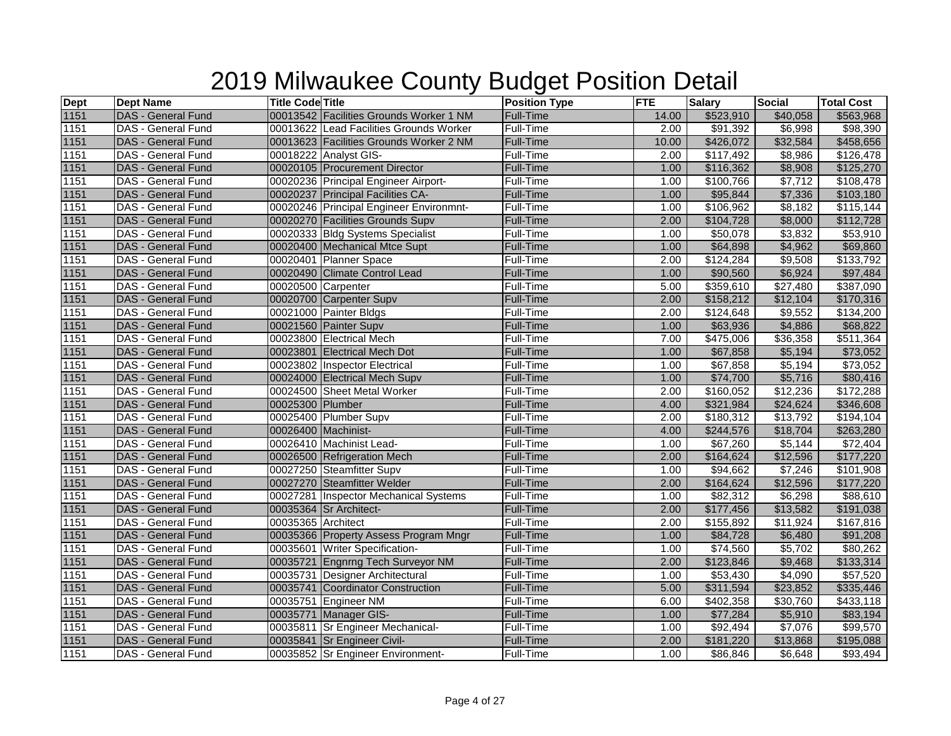| <b>Dept</b>      | <b>Dept Name</b>          | <b>Title Code Title</b> |                                         | <b>Position Type</b> | <b>FTE</b> | <b>Salary</b>    | <b>Social</b> | <b>Total Cost</b> |
|------------------|---------------------------|-------------------------|-----------------------------------------|----------------------|------------|------------------|---------------|-------------------|
| 1151             | DAS - General Fund        |                         | 00013542 Facilities Grounds Worker 1 NM | Full-Time            | 14.00      | \$523,910        | \$40,058      | \$563,968         |
| $\frac{1151}{2}$ | DAS - General Fund        |                         | 00013622 Lead Facilities Grounds Worker | Full-Time            | 2.00       | \$91,392         | \$6,998       | \$98,390          |
| 1151             | <b>DAS</b> - General Fund |                         | 00013623 Facilities Grounds Worker 2 NM | Full-Time            | 10.00      | \$426,072        | \$32,584      | \$458,656         |
| 1151             | <b>DAS - General Fund</b> |                         | 00018222 Analyst GIS-                   | Full-Time            | 2.00       | \$117,492        | \$8,986       | \$126,478         |
| 1151             | <b>DAS - General Fund</b> |                         | 00020105 Procurement Director           | Full-Time            | 1.00       | \$116,362        | \$8,908       | \$125,270         |
| 1151             | DAS - General Fund        |                         | 00020236 Principal Engineer Airport-    | Full-Time            | 1.00       | \$100,766        | \$7,712       | \$108,478         |
| 1151             | <b>DAS - General Fund</b> |                         | 00020237 Principal Facilities CA-       | Full-Time            | 1.00       | \$95,844         | \$7,336       | \$103,180         |
| 1151             | <b>DAS - General Fund</b> |                         | 00020246 Principal Engineer Environmnt- | Full-Time            | 1.00       | \$106,962        | \$8,182       | \$115,144         |
| 1151             | DAS - General Fund        |                         | 00020270 Facilities Grounds Supv        | Full-Time            | 2.00       | \$104,728        | \$8,000       | \$112,728         |
| 1151             | DAS - General Fund        |                         | 00020333 Bldg Systems Specialist        | Full-Time            | 1.00       | \$50,078         | \$3,832       | \$53,910          |
| 1151             | DAS - General Fund        |                         | 00020400 Mechanical Mtce Supt           | Full-Time            | 1.00       | \$64,898         | \$4,962       | \$69,860          |
| 1151             | <b>DAS - General Fund</b> |                         | 00020401 Planner Space                  | Full-Time            | 2.00       | \$124,284        | \$9,508       | \$133,792         |
| 1151             | <b>DAS - General Fund</b> |                         | 00020490 Climate Control Lead           | Full-Time            | 1.00       | \$90,560         | \$6,924       | \$97,484          |
| 1151             | <b>DAS - General Fund</b> |                         | 00020500 Carpenter                      | Full-Time            | 5.00       | \$359,610        | \$27,480      | \$387,090         |
| 1151             | DAS - General Fund        |                         | 00020700 Carpenter Supv                 | Full-Time            | 2.00       | \$158,212        | \$12,104      | \$170,316         |
| 1151             | DAS - General Fund        |                         | 00021000 Painter Bldgs                  | Full-Time            | 2.00       | \$124,648        | \$9,552       | \$134,200         |
| 1151             | <b>DAS - General Fund</b> |                         | 00021560 Painter Supv                   | Full-Time            | 1.00       | \$63,936         | \$4,886       | \$68,822          |
| 1151             | <b>DAS - General Fund</b> |                         | 00023800 Electrical Mech                | Full-Time            | 7.00       | \$475,006        | \$36,358      | \$511,364         |
| 1151             | <b>DAS - General Fund</b> |                         | 00023801 Electrical Mech Dot            | <b>Full-Time</b>     | 1.00       | \$67,858         | \$5,194       | \$73,052          |
| 1151             | DAS - General Fund        |                         | 00023802 Inspector Electrical           | Full-Time            | 1.00       | \$67,858         | \$5,194       | \$73,052          |
| 1151             | <b>DAS - General Fund</b> |                         | 00024000 Electrical Mech Supv           | Full-Time            | 1.00       | \$74,700         | \$5,716       | \$80,416          |
| 1151             | DAS - General Fund        |                         | 00024500 Sheet Metal Worker             | Full-Time            | 2.00       | \$160,052        | \$12,236      | \$172,288         |
| 1151             | <b>DAS - General Fund</b> | 00025300 Plumber        |                                         | Full-Time            | 4.00       | \$321,984        | \$24,624      | \$346,608         |
| $\frac{1151}{1}$ | DAS - General Fund        |                         | 00025400 Plumber Supv                   | Full-Time            | 2.00       | \$180,312        | \$13,792      | \$194,104         |
| 1151             | <b>DAS - General Fund</b> |                         | 00026400 Machinist-                     | <b>Full-Time</b>     | 4.00       | \$244,576        | \$18,704      | \$263,280         |
| 1151             | DAS - General Fund        |                         | 00026410 Machinist Lead-                | Full-Time            | 1.00       | \$67,260         | \$5,144       | \$72,404          |
| 1151             | <b>DAS - General Fund</b> |                         | 00026500 Refrigeration Mech             | Full-Time            | 2.00       | \$164,624        | \$12,596      | \$177,220         |
| 1151             | DAS - General Fund        |                         | 00027250 Steamfitter Supv               | Full-Time            | 1.00       | $\sqrt{$94,662}$ | \$7,246       | \$101,908         |
| 1151             | <b>DAS - General Fund</b> |                         | 00027270 Steamfitter Welder             | <b>Full-Time</b>     | 2.00       | \$164,624        | \$12,596      | \$177,220         |
| 1151             | DAS - General Fund        |                         | 00027281 Inspector Mechanical Systems   | Full-Time            | 1.00       | \$82,312         | \$6,298       | \$88,610          |
| 1151             | <b>DAS - General Fund</b> |                         | 00035364 Sr Architect-                  | Full-Time            | 2.00       | \$177,456        | \$13,582      | \$191,038         |
| 1151             | DAS - General Fund        | 00035365 Architect      |                                         | Full-Time            | 2.00       | \$155,892        | \$11,924      | \$167,816         |
| 1151             | <b>DAS - General Fund</b> |                         | 00035366 Property Assess Program Mngr   | Full-Time            | 1.00       | \$84,728         | \$6,480       | \$91,208          |
| 1151             | <b>DAS - General Fund</b> |                         | 00035601 Writer Specification-          | Full-Time            | 1.00       | \$74,560         | \$5,702       | \$80,262          |
| 1151             | <b>DAS</b> - General Fund |                         | 00035721 Engnrng Tech Surveyor NM       | Full-Time            | 2.00       | \$123,846        | \$9,468       | \$133,314         |
| 1151             | <b>DAS - General Fund</b> |                         | 00035731 Designer Architectural         | Full-Time            | 1.00       | \$53,430         | \$4,090       | \$57,520          |
| 1151             | DAS - General Fund        |                         | 00035741 Coordinator Construction       | Full-Time            | 5.00       | \$311,594        | \$23,852      | \$335,446         |
| 1151             | DAS - General Fund        |                         | 00035751 Engineer NM                    | Full-Time            | 6.00       | \$402,358        | \$30,760      | \$433,118         |
| 1151             | DAS - General Fund        |                         | 00035771 Manager GIS-                   | Full-Time            | 1.00       | \$77,284         | \$5,910       | \$83,194          |
| 1151             | <b>DAS - General Fund</b> |                         | 00035811 Sr Engineer Mechanical-        | Full-Time            | 1.00       | $\sqrt{$92,494}$ | \$7,076       | \$99,570          |
| 1151             | DAS - General Fund        |                         | 00035841 Sr Engineer Civil-             | Full-Time            | 2.00       | \$181,220        | \$13,868      | \$195,088         |
| 1151             | DAS - General Fund        |                         | 00035852 Sr Engineer Environment-       | Full-Time            | 1.00       | \$86,846         | \$6,648       | \$93,494          |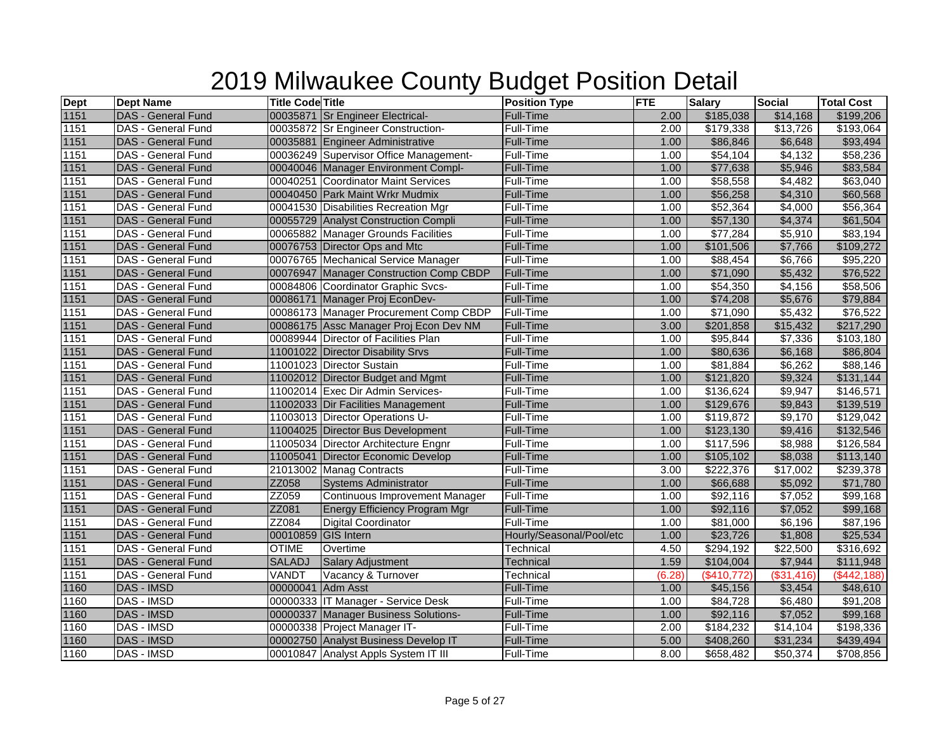| <b>Dept</b>      | <b>Dept Name</b>          | <b>Title Code Title</b> |                                         | <b>Position Type</b>     | <b>FTE</b> | <b>Salary</b>        | <b>Social</b>        | <b>Total Cost</b> |
|------------------|---------------------------|-------------------------|-----------------------------------------|--------------------------|------------|----------------------|----------------------|-------------------|
| 1151             | DAS - General Fund        |                         | 00035871 Sr Engineer Electrical-        | Full-Time                | 2.00       | \$185,038            | \$14,168             | \$199,206         |
| $\frac{1151}{2}$ | DAS - General Fund        |                         | 00035872 Sr Engineer Construction-      | Full-Time                | 2.00       | \$179,338            | \$13,726             | \$193,064         |
| 1151             | <b>DAS</b> - General Fund |                         | 00035881 Engineer Administrative        | Full-Time                | 1.00       | \$86,846             | \$6,648              | \$93,494          |
| 1151             | <b>DAS - General Fund</b> |                         | 00036249 Supervisor Office Management-  | Full-Time                | 1.00       | \$54,104             | \$4,132              | \$58,236          |
| 1151             | <b>DAS - General Fund</b> |                         | 00040046 Manager Environment Compl-     | Full-Time                | 1.00       | \$77,638             | \$5,946              | \$83,584          |
| 1151             | DAS - General Fund        |                         | 00040251 Coordinator Maint Services     | Full-Time                | 1.00       | \$58,558             | \$4,482              | \$63,040          |
| 1151             | <b>DAS - General Fund</b> |                         | 00040450 Park Maint Wrkr Mudmix         | Full-Time                | 1.00       | \$56,258             | \$4,310              | \$60,568          |
| 1151             | <b>DAS - General Fund</b> |                         | 00041530 Disabilities Recreation Mgr    | Full-Time                | 1.00       | \$52,364             | \$4,000              | \$56,364          |
| 1151             | DAS - General Fund        |                         | 00055729 Analyst Construction Compli    | Full-Time                | 1.00       | \$57,130             | \$4,374              | \$61,504          |
| 1151             | <b>DAS - General Fund</b> |                         | 00065882 Manager Grounds Facilities     | Full-Time                | 1.00       | \$77,284             | \$5,910              | \$83,194          |
| 1151             | DAS - General Fund        |                         | 00076753 Director Ops and Mtc           | Full-Time                | 1.00       | \$101,506            | \$7,766              | \$109,272         |
| 1151             | <b>DAS - General Fund</b> |                         | 00076765 Mechanical Service Manager     | Full-Time                | 1.00       | \$88,454             | \$6,766              | \$95,220          |
| 1151             | DAS - General Fund        |                         | 00076947 Manager Construction Comp CBDP | <b>Full-Time</b>         | 1.00       | \$71,090             | \$5,432              | \$76,522          |
| 1151             | <b>DAS - General Fund</b> |                         | 00084806 Coordinator Graphic Svcs-      | Full-Time                | 1.00       | \$54,350             | \$4,156              | \$58,506          |
| 1151             | DAS - General Fund        |                         | 00086171 Manager Proj EconDev-          | Full-Time                | 1.00       | \$74,208             | \$5,676              | \$79,884          |
| 1151             | DAS - General Fund        |                         | 00086173 Manager Procurement Comp CBDP  | Full-Time                | 1.00       | \$71,090             | \$5,432              | \$76,522          |
| 1151             | <b>DAS - General Fund</b> |                         | 00086175 Assc Manager Proj Econ Dev NM  | Full-Time                | 3.00       | \$201,858            | \$15,432             | \$217,290         |
| 1151             | <b>DAS - General Fund</b> |                         | 00089944 Director of Facilities Plan    | Full-Time                | 1.00       | \$95,844             | \$7,336              | \$103,180         |
| 1151             | <b>DAS - General Fund</b> |                         | 11001022 Director Disability Srvs       | Full-Time                | 1.00       | \$80,636             | \$6,168              | \$86,804          |
| 1151             | DAS - General Fund        |                         | 11001023 Director Sustain               | Full-Time                | 1.00       | \$81,884             | \$6,262              | \$88,146          |
| 1151             | <b>DAS - General Fund</b> |                         | 11002012 Director Budget and Mgmt       | <b>Full-Time</b>         | 1.00       | \$121,820            | \$9,324              | \$131,144         |
| 1151             | <b>DAS - General Fund</b> |                         | 11002014 Exec Dir Admin Services-       | Full-Time                | 1.00       | \$136,624            | \$9,947              | \$146,571         |
| 1151             | <b>DAS - General Fund</b> |                         | 11002033 Dir Facilities Management      | Full-Time                | 1.00       | \$129,676            | \$9,843              | \$139,519         |
| 1151             | DAS - General Fund        |                         | 11003013 Director Operations U-         | Full-Time                | 1.00       | \$119,872            | \$9,170              | \$129,042         |
| 1151             | <b>DAS - General Fund</b> |                         | 11004025 Director Bus Development       | <b>Full-Time</b>         | 1.00       | \$123,130            | \$9,416              | \$132,546         |
| 1151             | DAS - General Fund        |                         | 11005034 Director Architecture Engnr    | Full-Time                | 1.00       | \$117,596            | \$8,988              | \$126,584         |
| 1151             | <b>DAS - General Fund</b> |                         | 11005041 Director Economic Develop      | <b>Full-Time</b>         | 1.00       | \$105,102            | \$8,038              | \$113,140         |
| 1151             | DAS - General Fund        |                         | 21013002 Manag Contracts                | Full-Time                | 3.00       | \$222,376            | $\overline{$17,002}$ | \$239,378         |
| 1151             | <b>DAS - General Fund</b> | ZZ058                   | <b>Systems Administrator</b>            | <b>Full-Time</b>         | 1.00       | \$66,688             | \$5,092              | \$71,780          |
| 1151             | <b>DAS - General Fund</b> | ZZ059                   | <b>Continuous Improvement Manager</b>   | Full-Time                | 1.00       | \$92,116             | \$7,052              | \$99,168          |
| 1151             | <b>DAS - General Fund</b> | ZZ081                   | <b>Energy Efficiency Program Mgr</b>    | <b>Full-Time</b>         | 1.00       | \$92,116             | \$7,052              | \$99,168          |
| 1151             | DAS - General Fund        | ZZ084                   | Digital Coordinator                     | Full-Time                | 1.00       | $\overline{$81,000}$ | $\frac{1}{6,196}$    | \$87,196          |
| 1151             | <b>DAS - General Fund</b> |                         | 00010859 GIS Intern                     | Hourly/Seasonal/Pool/etc | 1.00       | \$23,726             | \$1,808              | \$25,534          |
| 1151             | <b>DAS - General Fund</b> | <b>OTIME</b>            | Overtime                                | Technical                | 4.50       | \$294,192            | \$22,500             | \$316,692         |
| 1151             | <b>DAS - General Fund</b> | <b>SALADJ</b>           | Salary Adjustment                       | Technical                | 1.59       | \$104,004            | \$7,944              | \$111,948         |
| 1151             | DAS - General Fund        | VANDT                   | Vacancy & Turnover                      | Technical                | (6.28)     | (\$410,772)          | (\$31,416)           | (\$442,188)       |
| 1160             | DAS - IMSD                | 00000041 Adm Asst       |                                         | Full-Time                | 1.00       | \$45,156             | \$3,454              | \$48,610          |
| 1160             | DAS - IMSD                |                         | 00000333 IT Manager - Service Desk      | Full-Time                | 1.00       | \$84,728             | \$6,480              | \$91,208          |
| 1160             | DAS - IMSD                |                         | 00000337 Manager Business Solutions-    | Full-Time                | 1.00       | \$92,116             | \$7,052              | \$99,168          |
| 1160             | DAS - IMSD                |                         | 00000338 Project Manager IT-            | Full-Time                | 2.00       | \$184,232            | \$14,104             | \$198,336         |
| 1160             | <b>DAS - IMSD</b>         |                         | 00002750 Analyst Business Develop IT    | Full-Time                | 5.00       | \$408,260            | \$31,234             | \$439,494         |
| 1160             | <b>DAS - IMSD</b>         |                         | 00010847 Analyst Appls System IT III    | Full-Time                | 8.00       | \$658,482            | \$50,374             | \$708,856         |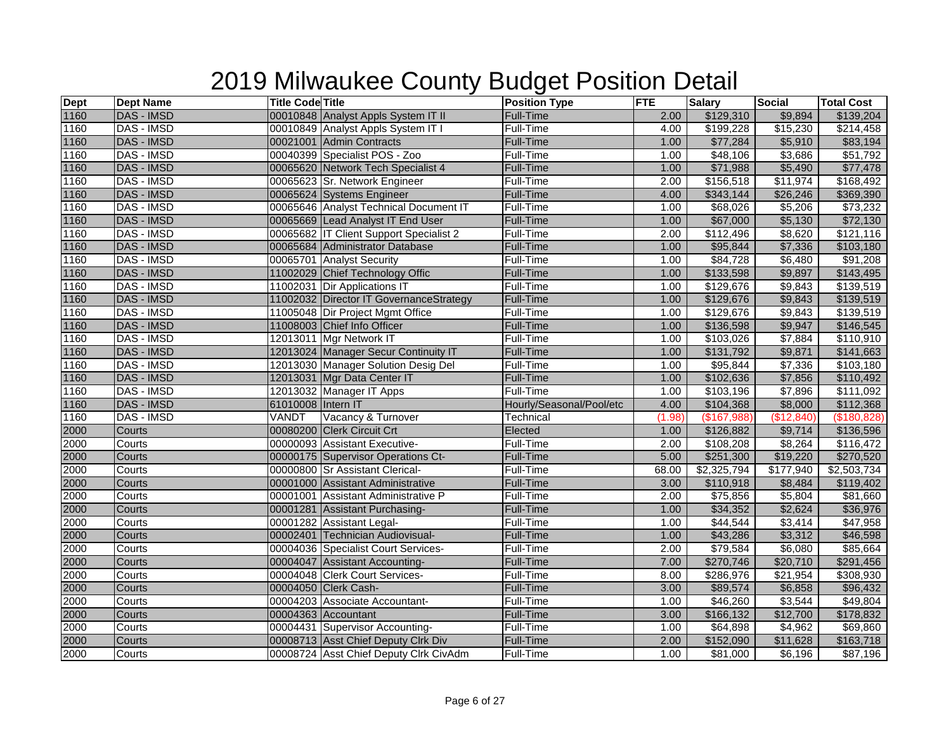| <b>Dept</b> | <b>Dept Name</b>  | <b>Title Code Title</b> |                                         | <b>Position Type</b>     | <b>FTE</b> | <b>Salary</b> | <b>Social</b>  | <b>Total Cost</b> |
|-------------|-------------------|-------------------------|-----------------------------------------|--------------------------|------------|---------------|----------------|-------------------|
| 1160        | <b>DAS - IMSD</b> |                         | 00010848 Analyst Appls System IT II     | <b>Full-Time</b>         | 2.00       | \$129,310     | \$9,894        | \$139,204         |
| 1160        | DAS - IMSD        |                         | 00010849 Analyst Appls System IT I      | Full-Time                | 4.00       | \$199,228     | \$15,230       | \$214,458         |
| 1160        | <b>DAS - IMSD</b> |                         | 00021001 Admin Contracts                | <b>Full-Time</b>         | 1.00       | \$77,284      | \$5,910        | \$83,194          |
| 1160        | <b>DAS - IMSD</b> |                         | 00040399 Specialist POS - Zoo           | Full-Time                | 1.00       | \$48,106      | \$3,686        | \$51,792          |
| 1160        | <b>DAS - IMSD</b> |                         | 00065620 Network Tech Specialist 4      | <b>Full-Time</b>         | 1.00       | \$71,988      | \$5,490        | \$77,478          |
| 1160        | DAS - IMSD        |                         | 00065623 Sr. Network Engineer           | <b>Full-Time</b>         | 2.00       | \$156,518     | \$11,974       | \$168,492         |
| 1160        | <b>DAS - IMSD</b> |                         | 00065624 Systems Engineer               | <b>Full-Time</b>         | 4.00       | \$343,144     | \$26,246       | \$369,390         |
| 1160        | DAS - IMSD        |                         | 00065646 Analyst Technical Document IT  | Full-Time                | 1.00       | \$68,026      | \$5,206        | \$73,232          |
| 1160        | <b>DAS - IMSD</b> |                         | 00065669 Lead Analyst IT End User       | Full-Time                | 1.00       | \$67,000      | \$5,130        | \$72,130          |
| 1160        | DAS - IMSD        |                         | 00065682 IT Client Support Specialist 2 | <b>Full-Time</b>         | 2.00       | \$112,496     | \$8,620        | \$121,116         |
| 1160        | <b>DAS - IMSD</b> |                         | 00065684 Administrator Database         | <b>Full-Time</b>         | 1.00       | \$95,844      | \$7,336        | \$103,180         |
| 1160        | DAS - IMSD        |                         | 00065701 Analyst Security               | Full-Time                | 1.00       | \$84,728      | \$6,480        | \$91,208          |
| 1160        | <b>DAS - IMSD</b> |                         | 11002029 Chief Technology Offic         | <b>Full-Time</b>         | 1.00       | \$133,598     | \$9,897        | \$143,495         |
| 1160        | <b>DAS - IMSD</b> |                         | 11002031 Dir Applications IT            | Full-Time                | 1.00       | \$129,676     | \$9,843        | \$139,519         |
| 1160        | <b>DAS - IMSD</b> |                         | 11002032 Director IT GovernanceStrategy | Full-Time                | 1.00       | \$129,676     | \$9,843        | \$139,519         |
| 1160        | <b>DAS - IMSD</b> |                         | 11005048 Dir Project Mgmt Office        | Full-Time                | 1.00       | \$129,676     | \$9,843        | \$139,519         |
| 1160        | <b>DAS - IMSD</b> |                         | 11008003 Chief Info Officer             | <b>Full-Time</b>         | 1.00       | \$136,598     | \$9,947        | \$146,545         |
| 1160        | DAS - IMSD        |                         | 12013011 Mgr Network IT                 | Full-Time                | 1.00       | \$103,026     | \$7,884        | \$110,910         |
| 1160        | <b>DAS - IMSD</b> |                         | 12013024 Manager Secur Continuity IT    | <b>Full-Time</b>         | 1.00       | \$131,792     | \$9,871        | \$141,663         |
| 1160        | DAS - IMSD        |                         | 12013030 Manager Solution Desig Del     | Full-Time                | 1.00       | \$95,844      | \$7,336        | \$103,180         |
| 1160        | <b>DAS - IMSD</b> |                         | 12013031 Mgr Data Center IT             | <b>Full-Time</b>         | 1.00       | \$102,636     | \$7,856        | \$110,492         |
| 1160        | DAS - IMSD        |                         | 12013032 Manager IT Apps                | Full-Time                | 1.00       | \$103,196     | \$7,896        | \$111,092         |
| 1160        | <b>DAS - IMSD</b> | 61010008 Intern IT      |                                         | Hourly/Seasonal/Pool/etc | 4.00       | \$104,368     | \$8,000        | \$112,368         |
| 1160        | DAS - IMSD        | VANDT                   | Vacancy & Turnover                      | Technical                | (1.98)     | (\$167,988)   | (\$12,840)     | (\$180,828)       |
| 2000        | Courts            |                         | 00080200 Clerk Circuit Crt              | Elected                  | 1.00       | \$126,882     | \$9,714        | \$136,596         |
| 2000        | Courts            |                         | 00000093 Assistant Executive-           | Full-Time                | 2.00       | \$108,208     | \$8,264        | \$116,472         |
| 2000        | Courts            |                         | 00000175 Supervisor Operations Ct-      | <b>Full-Time</b>         | 5.00       | \$251,300     | \$19,220       | \$270,520         |
| 2000        | Courts            |                         | 00000800 Sr Assistant Clerical-         | Full-Time                | 68.00      | \$2,325,794   | \$177,940      | \$2,503,734       |
| 2000        | Courts            |                         | 00001000 Assistant Administrative       | <b>Full-Time</b>         | 3.00       | \$110,918     | \$8,484        | \$119,402         |
| 2000        | Courts            |                         | 00001001 Assistant Administrative P     | Full-Time                | 2.00       | \$75,856      | \$5,804        | \$81,660          |
| 2000        | Courts            |                         | 00001281 Assistant Purchasing-          | Full-Time                | 1.00       | \$34,352      | \$2,624        | \$36,976          |
| 2000        | Courts            |                         | 00001282 Assistant Legal-               | Full-Time                | 1.00       | \$44,544      | \$3,414        | \$47,958          |
| 2000        | Courts            |                         | 00002401 Technician Audiovisual-        | <b>Full-Time</b>         | 1.00       | \$43,286      | \$3,312        | \$46,598          |
| 2000        | Courts            |                         | 00004036 Specialist Court Services-     | Full-Time                | 2.00       | \$79,584      | \$6,080        | \$85,664          |
| 2000        | Courts            |                         | 00004047 Assistant Accounting-          | <b>Full-Time</b>         | 7.00       | \$270,746     | \$20,710       | \$291,456         |
| 2000        | Courts            |                         | 00004048 Clerk Court Services-          | Full-Time                | 8.00       | \$286,976     | \$21,954       | \$308,930         |
| 2000        | Courts            |                         | 00004050 Clerk Cash-                    | <b>Full-Time</b>         | 3.00       | \$89,574      | \$6,858        | \$96,432          |
| 2000        | Courts            |                         | 00004203 Associate Accountant-          | Full-Time                | 1.00       | \$46,260      | \$3,544        | \$49,804          |
| 2000        | Courts            |                         | 00004363 Accountant                     | <b>Full-Time</b>         | 3.00       | \$166,132     | \$12,700       | \$178,832         |
| 2000        | Courts            |                         | 00004431 Supervisor Accounting-         | <b>Full-Time</b>         | 1.00       | \$64,898      | $\sqrt{4,962}$ | \$69,860          |
| 2000        | Courts            |                         | 00008713 Asst Chief Deputy Clrk Div     | <b>Full-Time</b>         | 2.00       | \$152,090     | \$11,628       | \$163,718         |
| 2000        | Courts            |                         | 00008724 Asst Chief Deputy Clrk CivAdm  | Full-Time                | 1.00       | \$81,000      | \$6,196        | \$87,196          |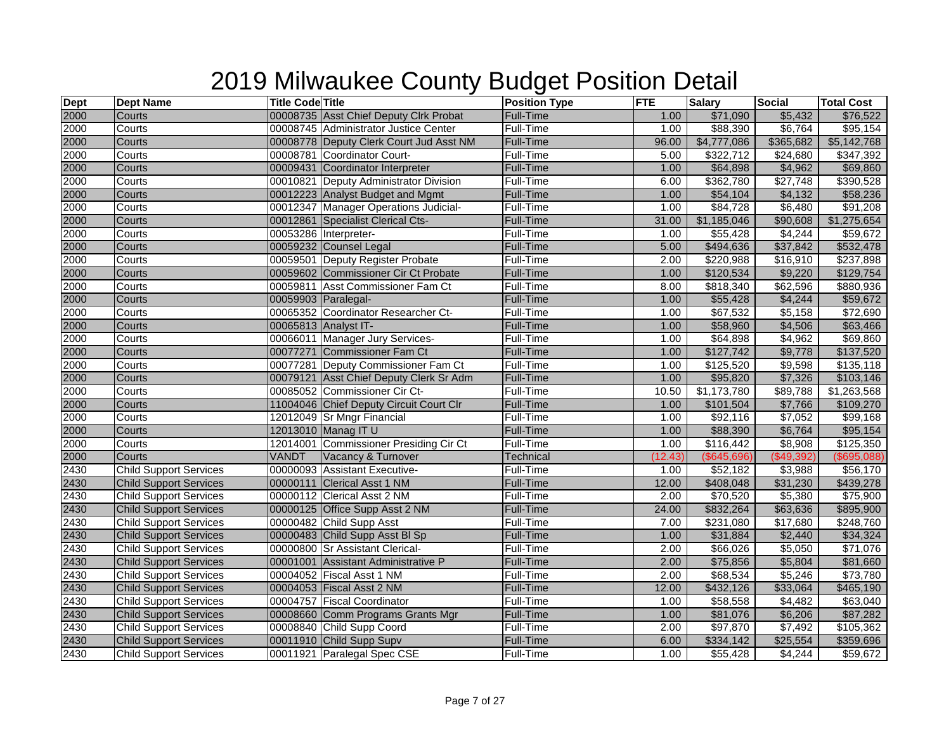| $\frac{\text{Depth}}{2000}$ | <b>Dept Name</b>              | <b>Title Code Title</b> |                                         | <b>Position Type</b> | <b>FTE</b> | <b>Salary</b>        | <b>Social</b> | <b>Total Cost</b> |
|-----------------------------|-------------------------------|-------------------------|-----------------------------------------|----------------------|------------|----------------------|---------------|-------------------|
|                             | Courts                        |                         | 00008735 Asst Chief Deputy Clrk Probat  | Full-Time            | 1.00       | \$71,090             | \$5,432       | \$76,522          |
| 2000                        | Courts                        |                         | 00008745 Administrator Justice Center   | Full-Time            | 1.00       | \$88,390             | \$6,764       | \$95,154          |
| 2000                        | Courts                        |                         | 00008778 Deputy Clerk Court Jud Asst NM | <b>Full-Time</b>     | 96.00      | \$4,777,086          | \$365,682     | \$5,142,768       |
| 2000                        | Courts                        |                         | 00008781 Coordinator Court-             | Full-Time            | 5.00       | \$322,712            | \$24,680      | \$347,392         |
| 2000                        | Courts                        |                         | 00009431 Coordinator Interpreter        | <b>Full-Time</b>     | 1.00       | \$64,898             | \$4,962       | \$69,860          |
| 2000                        | Courts                        |                         | 00010821 Deputy Administrator Division  | Full-Time            | 6.00       | \$362,780            | \$27,748      | \$390,528         |
| 2000                        | Courts                        |                         | 00012223 Analyst Budget and Mgmt        | <b>Full-Time</b>     | 1.00       | $\overline{$}54,104$ | \$4,132       | \$58,236          |
| 2000                        | Courts                        |                         | 00012347 Manager Operations Judicial-   | Full-Time            | 1.00       | \$84,728             | \$6,480       | \$91,208          |
| 2000                        | Courts                        |                         | 00012861 Specialist Clerical Cts-       | Full-Time            | 31.00      | \$1,185,046          | \$90,608      | \$1,275,654       |
| 2000                        | Courts                        |                         | 00053286 Interpreter-                   | Full-Time            | 1.00       | \$55,428             | \$4,244       | \$59,672          |
| 2000                        | Courts                        |                         | 00059232 Counsel Legal                  | Full-Time            | 5.00       | \$494,636            | \$37,842      | \$532,478         |
| 2000                        | Courts                        |                         | 00059501 Deputy Register Probate        | Full-Time            | 2.00       | \$220,988            | \$16,910      | \$237,898         |
| 2000                        | Courts                        |                         | 00059602 Commissioner Cir Ct Probate    | <b>Full-Time</b>     | 1.00       | \$120,534            | \$9,220       | \$129,754         |
| 2000                        | Courts                        |                         | 00059811 Asst Commissioner Fam Ct       | Full-Time            | 8.00       | \$818,340            | \$62,596      | \$880,936         |
| 2000                        | Courts                        | 00059903 Paralegal-     |                                         | Full-Time            | 1.00       | \$55,428             | \$4,244       | \$59,672          |
| 2000                        | Courts                        |                         | 00065352 Coordinator Researcher Ct-     | Full-Time            | 1.00       | \$67,532             | \$5,158       | \$72,690          |
| 2000                        | Courts                        |                         | 00065813 Analyst IT-                    | <b>Full-Time</b>     | 1.00       | \$58,960             | \$4,506       | \$63,466          |
| 2000                        | Courts                        |                         | 00066011 Manager Jury Services-         | Full-Time            | 1.00       | \$64,898             | \$4,962       | \$69,860          |
| 2000                        | Courts                        |                         | 00077271 Commissioner Fam Ct            | <b>Full-Time</b>     | 1.00       | \$127,742            | \$9,778       | \$137,520         |
| 2000                        | Courts                        |                         | 00077281 Deputy Commissioner Fam Ct     | Full-Time            | 1.00       | \$125,520            | \$9,598       | \$135,118         |
| 2000                        | Courts                        |                         | 00079121 Asst Chief Deputy Clerk Sr Adm | <b>Full-Time</b>     | 1.00       | \$95,820             | \$7,326       | \$103,146         |
| 2000                        | Courts                        |                         | 00085052 Commissioner Cir Ct-           | Full-Time            | 10.50      | \$1,173,780          | \$89,788      | \$1,263,568       |
| 2000                        | Courts                        |                         | 11004046 Chief Deputy Circuit Court Clr | <b>Full-Time</b>     | 1.00       | \$101,504            | \$7,766       | \$109,270         |
| 2000                        | Courts                        |                         | 12012049 Sr Mngr Financial              | Full-Time            | 1.00       | \$92,116             | \$7,052       | \$99,168          |
| 2000                        | Courts                        |                         | 12013010 Manag IT U                     | <b>Full-Time</b>     | 1.00       | \$88,390             | \$6,764       | \$95,154          |
| 2000                        | Courts                        |                         | 12014001 Commissioner Presiding Cir Ct  | Full-Time            | 1.00       | \$116,442            | \$8,908       | \$125,350         |
| 2000                        | Courts                        | <b>VANDT</b>            | Vacancy & Turnover                      | Technical            | (12.43)    | (\$645,696)          | (\$49,392)    | (\$695,088)       |
| 2430                        | <b>Child Support Services</b> |                         | 00000093 Assistant Executive-           | Full-Time            | 1.00       | \$52,182             | \$3,988       | \$56,170          |
| 2430                        | <b>Child Support Services</b> |                         | 00000111 Clerical Asst 1 NM             | <b>Full-Time</b>     | 12.00      | \$408,048            | \$31,230      | \$439,278         |
| 2430                        | <b>Child Support Services</b> |                         | 00000112 Clerical Asst 2 NM             | <b>Full-Time</b>     | 2.00       | \$70,520             | \$5,380       | \$75,900          |
| 2430                        | <b>Child Support Services</b> |                         | 00000125 Office Supp Asst 2 NM          | Full-Time            | 24.00      | \$832,264            | \$63,636      | \$895,900         |
| 2430                        | <b>Child Support Services</b> |                         | 00000482 Child Supp Asst                | Full-Time            | 7.00       | \$231,080            | \$17,680      | \$248,760         |
| 2430                        | <b>Child Support Services</b> |                         | 00000483 Child Supp Asst BI Sp          | <b>Full-Time</b>     | 1.00       | \$31,884             | \$2,440       | \$34,324          |
| 2430                        | <b>Child Support Services</b> |                         | 00000800 Sr Assistant Clerical-         | Full-Time            | 2.00       | \$66,026             | \$5,050       | \$71,076          |
| 2430                        | <b>Child Support Services</b> |                         | 00001001 Assistant Administrative P     | <b>Full-Time</b>     | 2.00       | \$75,856             | \$5,804       | \$81,660          |
| 2430                        | <b>Child Support Services</b> |                         | 00004052 Fiscal Asst 1 NM               | Full-Time            | 2.00       | \$68,534             | \$5,246       | \$73,780          |
| 2430                        | <b>Child Support Services</b> |                         | 00004053 Fiscal Asst 2 NM               | <b>Full-Time</b>     | 12.00      | \$432,126            | \$33,064      | \$465,190         |
| 2430                        | <b>Child Support Services</b> |                         | 00004757 Fiscal Coordinator             | Full-Time            | 1.00       | \$58,558             | \$4,482       | \$63,040          |
| 2430                        | <b>Child Support Services</b> |                         | 00008660 Comm Programs Grants Mgr       | <b>Full-Time</b>     | 1.00       | \$81,076             | \$6,206       | \$87,282          |
| 2430                        | <b>Child Support Services</b> |                         | 00008840 Child Supp Coord               | <b>Full-Time</b>     | 2.00       | \$97,870             | \$7,492       | \$105,362         |
| 2430                        | <b>Child Support Services</b> |                         | 00011910 Child Supp Supv                | <b>Full-Time</b>     | 6.00       | \$334,142            | \$25,554      | \$359,696         |
| 2430                        | <b>Child Support Services</b> |                         | 00011921 Paralegal Spec CSE             | Full-Time            | 1.00       | \$55,428             | \$4,244       | \$59,672          |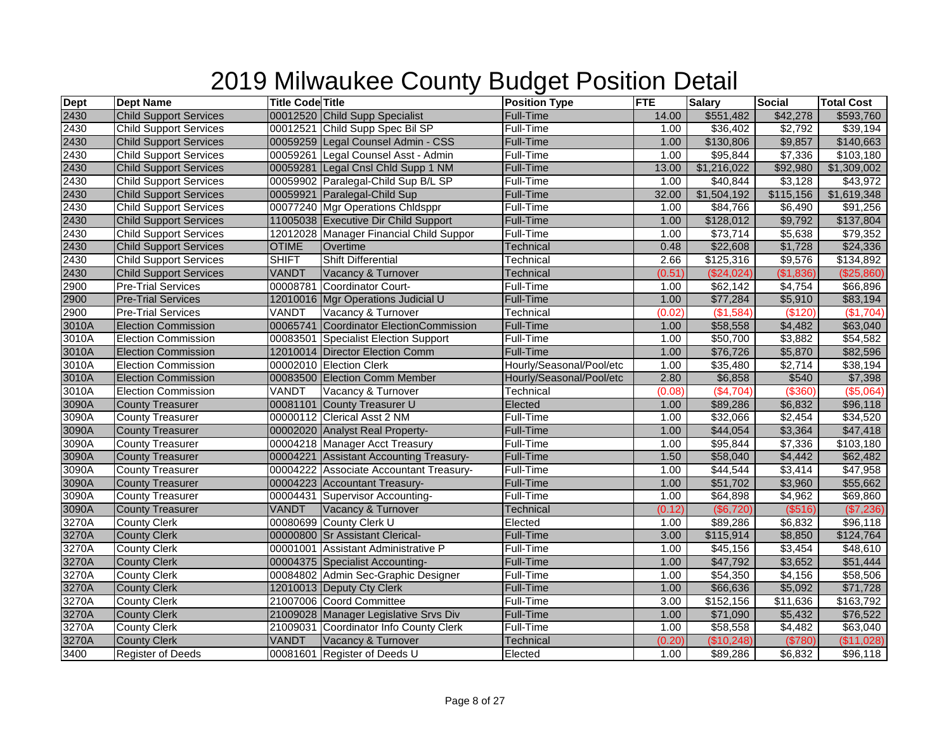| <b>Dept</b> | <b>Dept Name</b>              | <b>Title Code Title</b> |                                         | <b>Position Type</b>     | <b>FTE</b> | <b>Salary</b>        | <b>Social</b> | <b>Total Cost</b> |
|-------------|-------------------------------|-------------------------|-----------------------------------------|--------------------------|------------|----------------------|---------------|-------------------|
| 2430        | <b>Child Support Services</b> |                         | 00012520 Child Supp Specialist          | Full-Time                | 14.00      | \$551,482            | \$42,278      | \$593,760         |
| 2430        | <b>Child Support Services</b> |                         | 00012521 Child Supp Spec Bil SP         | Full-Time                | 1.00       | \$36,402             | \$2,792       | \$39,194          |
| 2430        | <b>Child Support Services</b> |                         | 00059259 Legal Counsel Admin - CSS      | <b>Full-Time</b>         | 1.00       | \$130,806            | \$9,857       | \$140,663         |
| 2430        | <b>Child Support Services</b> |                         | 00059261 Legal Counsel Asst - Admin     | Full-Time                | 1.00       | \$95,844             | \$7,336       | \$103,180         |
| 2430        | <b>Child Support Services</b> |                         | 00059281 Legal Cnsl Chld Supp 1 NM      | <b>Full-Time</b>         | 13.00      | \$1,216,022          | \$92,980      | \$1,309,002       |
| 2430        | <b>Child Support Services</b> |                         | 00059902 Paralegal-Child Sup B/L SP     | Full-Time                | 1.00       | \$40,844             | \$3,128       | \$43,972          |
| 2430        | <b>Child Support Services</b> |                         | 00059921 Paralegal-Child Sup            | <b>Full-Time</b>         | 32.00      | \$1,504,192          | \$115,156     | \$1,619,348       |
| 2430        | <b>Child Support Services</b> |                         | 00077240 Mgr Operations Chldsppr        | Full-Time                | 1.00       | \$84,766             | \$6,490       | \$91,256          |
| 2430        | <b>Child Support Services</b> |                         | 11005038 Executive Dir Child Support    | <b>Full-Time</b>         | 1.00       | \$128,012            | \$9,792       | \$137,804         |
| 2430        | <b>Child Support Services</b> |                         | 12012028 Manager Financial Child Suppor | Full-Time                | 1.00       | $\sqrt{$73,714}$     | \$5,638       | \$79,352          |
| 2430        | <b>Child Support Services</b> | <b>OTIME</b>            | Overtime                                | <b>Technical</b>         | 0.48       | \$22,608             | \$1,728       | \$24,336          |
| 2430        | <b>Child Support Services</b> | <b>SHIFT</b>            | <b>Shift Differential</b>               | Technical                | 2.66       | \$125,316            | \$9,576       | \$134,892         |
| 2430        | <b>Child Support Services</b> | VANDT                   | Vacancy & Turnover                      | <b>Technical</b>         | (0.51)     | (\$24,024)           | (\$1,836)     | (\$25,860)        |
| 2900        | <b>Pre-Trial Services</b>     |                         | 00008781 Coordinator Court-             | Full-Time                | 1.00       | \$62,142             | \$4,754       | \$66,896          |
| 2900        | <b>Pre-Trial Services</b>     |                         | 12010016 Mgr Operations Judicial U      | Full-Time                | 1.00       | \$77,284             | \$5,910       | \$83,194          |
| 2900        | <b>Pre-Trial Services</b>     | VANDT                   | Vacancy & Turnover                      | Technical                | (0.02)     | (\$1,584)            | (\$120)       | (\$1,704)         |
| 3010A       | <b>Election Commission</b>    |                         | 00065741 Coordinator ElectionCommission | <b>Full-Time</b>         | 1.00       | \$58,558             | \$4,482       | \$63,040          |
| 3010A       | <b>Election Commission</b>    |                         | 00083501 Specialist Election Support    | Full-Time                | 1.00       | \$50,700             | \$3,882       | \$54,582          |
| 3010A       | <b>Election Commission</b>    |                         | 12010014 Director Election Comm         | Full-Time                | 1.00       | \$76,726             | \$5,870       | \$82,596          |
| 3010A       | <b>Election Commission</b>    |                         | 00002010 Election Clerk                 | Hourly/Seasonal/Pool/etc | 1.00       | \$35,480             | \$2,714       | \$38,194          |
| 3010A       | <b>Election Commission</b>    |                         | 00083500 Election Comm Member           | Hourly/Seasonal/Pool/etc | 2.80       | \$6,858              | \$540         | \$7,398           |
| 3010A       | <b>Election Commission</b>    | VANDT                   | Vacancy & Turnover                      | Technical                | (0.08)     | (\$4,704)            | ( \$360)      | (\$5,064)         |
| 3090A       | <b>County Treasurer</b>       |                         | 00081101 County Treasurer U             | Elected                  | 1.00       | \$89,286             | \$6,832       | \$96,118          |
| 3090A       | <b>County Treasurer</b>       |                         | 00000112 Clerical Asst 2 NM             | Full-Time                | 1.00       | \$32,066             | \$2,454       | \$34,520          |
| 3090A       | <b>County Treasurer</b>       |                         | 00002020 Analyst Real Property-         | Full-Time                | 1.00       | $\sqrt{$44,054}$     | \$3,364       | \$47,418          |
| 3090A       | <b>County Treasurer</b>       |                         | 00004218 Manager Acct Treasury          | Full-Time                | 1.00       | \$95,844             | \$7,336       | \$103,180         |
| 3090A       | <b>County Treasurer</b>       |                         | 00004221 Assistant Accounting Treasury- | <b>Full-Time</b>         | 1.50       | \$58,040             | \$4,442       | \$62,482          |
| 3090A       | <b>County Treasurer</b>       |                         | 00004222 Associate Accountant Treasury- | Full-Time                | 1.00       | \$44,544             | \$3,414       | \$47,958          |
| 3090A       | <b>County Treasurer</b>       |                         | 00004223 Accountant Treasury-           | Full-Time                | 1.00       | \$51,702             | \$3,960       | \$55,662          |
| 3090A       | <b>County Treasurer</b>       |                         | 00004431 Supervisor Accounting-         | <b>Full-Time</b>         | 1.00       | \$64,898             | \$4,962       | \$69,860          |
| 3090A       | <b>County Treasurer</b>       | VANDT                   | Vacancy & Turnover                      | <b>Technical</b>         | (0.12)     | (\$6,720)            | $($ \$516)    | (\$7,236)         |
| 3270A       | <b>County Clerk</b>           |                         | 00080699 County Clerk U                 | Elected                  | 1.00       | \$89,286             | \$6,832       | \$96,118          |
| 3270A       | <b>County Clerk</b>           |                         | 00000800 Sr Assistant Clerical-         | <b>Full-Time</b>         | 3.00       | \$115,914            | \$8,850       | \$124,764         |
| 3270A       | <b>County Clerk</b>           |                         | 00001001 Assistant Administrative P     | Full-Time                | 1.00       | \$45,156             | \$3,454       | \$48,610          |
| 3270A       | <b>County Clerk</b>           |                         | 00004375 Specialist Accounting-         | <b>Full-Time</b>         | 1.00       | \$47,792             | \$3,652       | \$51,444          |
| 3270A       | <b>County Clerk</b>           |                         | 00084802 Admin Sec-Graphic Designer     | Full-Time                | 1.00       | \$54,350             | \$4,156       | \$58,506          |
| 3270A       | <b>County Clerk</b>           |                         | 12010013 Deputy Cty Clerk               | <b>Full-Time</b>         | 1.00       | \$66,636             | \$5,092       | \$71,728          |
| 3270A       | <b>County Clerk</b>           |                         | 21007006 Coord Committee                | Full-Time                | 3.00       | \$152,156            | \$11,636      | \$163,792         |
| 3270A       | <b>County Clerk</b>           |                         | 21009028 Manager Legislative Srvs Div   | Full-Time                | 1.00       | \$71,090             | \$5,432       | \$76,522          |
| 3270A       | <b>County Clerk</b>           |                         | 21009031 Coordinator Info County Clerk  | Full-Time                | 1.00       | $\overline{$}58,558$ | \$4,482       | \$63,040          |
| 3270A       | <b>County Clerk</b>           | VANDT                   | Vacancy & Turnover                      | Technical                | (0.20)     | (\$10,248)           | (\$780)       | (\$11,028)        |
| 3400        | <b>Register of Deeds</b>      |                         | 00081601 Register of Deeds U            | Elected                  | 1.00       | \$89,286             | \$6,832       | \$96,118          |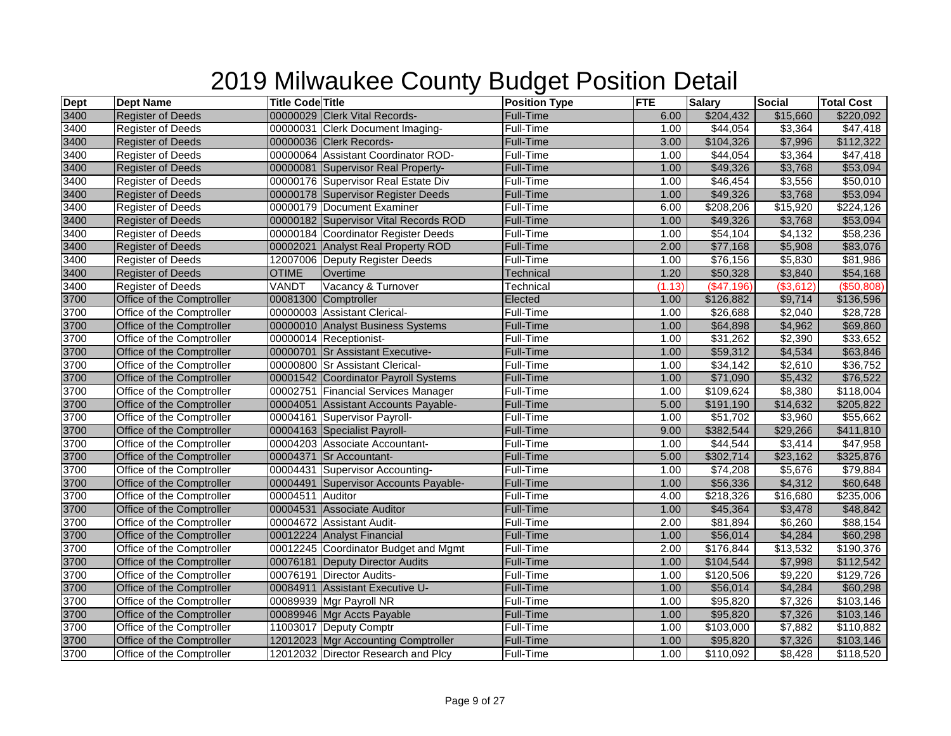| <b>Dept</b> | <b>Dept Name</b>          | <b>Title Code Title</b> |                                       | <b>Position Type</b> | <b>FTE</b> | <b>Salary</b>         | <b>Social</b> | <b>Total Cost</b> |
|-------------|---------------------------|-------------------------|---------------------------------------|----------------------|------------|-----------------------|---------------|-------------------|
| 3400        | <b>Register of Deeds</b>  |                         | 00000029 Clerk Vital Records-         | Full-Time            | 6.00       | \$204,432             | \$15,660      | \$220,092         |
| 3400        | <b>Register of Deeds</b>  |                         | 00000031 Clerk Document Imaging-      | <b>Full-Time</b>     | 1.00       | \$44,054              | \$3,364       | \$47,418          |
| 3400        | <b>Register of Deeds</b>  |                         | 00000036 Clerk Records-               | Full-Time            | 3.00       | \$104,326             | \$7,996       | \$112,322         |
| 3400        | <b>Register of Deeds</b>  |                         | 00000064 Assistant Coordinator ROD-   | Full-Time            | 1.00       | \$44,054              | \$3,364       | \$47,418          |
| 3400        | <b>Register of Deeds</b>  |                         | 00000081 Supervisor Real Property-    | <b>Full-Time</b>     | 1.00       | \$49,326              | \$3,768       | \$53,094          |
| 3400        | <b>Register of Deeds</b>  |                         | 00000176 Supervisor Real Estate Div   | Full-Time            | 1.00       | \$46,454              | \$3,556       | \$50,010          |
| 3400        | <b>Register of Deeds</b>  |                         | 00000178 Supervisor Register Deeds    | Full-Time            | 1.00       | \$49,326              | \$3,768       | \$53,094          |
| 3400        | <b>Register of Deeds</b>  |                         | 00000179 Document Examiner            | Full-Time            | 6.00       | $\overline{$208,206}$ | \$15,920      | \$224,126         |
| 3400        | <b>Register of Deeds</b>  |                         | 00000182 Supervisor Vital Records ROD | Full-Time            | 1.00       | \$49,326              | \$3,768       | \$53,094          |
| 3400        | <b>Register of Deeds</b>  |                         | 00000184 Coordinator Register Deeds   | Full-Time            | 1.00       | \$54,104              | \$4,132       | \$58,236          |
| 3400        | <b>Register of Deeds</b>  |                         | 00002021 Analyst Real Property ROD    | Full-Time            | 2.00       | \$77,168              | \$5,908       | \$83,076          |
| 3400        | <b>Register of Deeds</b>  |                         | 12007006 Deputy Register Deeds        | Full-Time            | 1.00       | \$76,156              | \$5,830       | \$81,986          |
| 3400        | <b>Register of Deeds</b>  | <b>OTIME</b>            | Overtime                              | Technical            | 1.20       | \$50,328              | \$3,840       | \$54,168          |
| 3400        | <b>Register of Deeds</b>  | VANDT                   | Vacancy & Turnover                    | Technical            | (1.13)     | $($ \$47,196)         | (\$3,612)     | (\$50,808)        |
| 3700        | Office of the Comptroller |                         | 00081300 Comptroller                  | Elected              | 1.00       | \$126,882             | \$9,714       | \$136,596         |
| 3700        | Office of the Comptroller |                         | 00000003 Assistant Clerical-          | Full-Time            | 1.00       | \$26,688              | \$2,040       | \$28,728          |
| 3700        | Office of the Comptroller |                         | 00000010 Analyst Business Systems     | Full-Time            | 1.00       | \$64,898              | \$4,962       | \$69,860          |
| 3700        | Office of the Comptroller |                         | 00000014 Receptionist-                | Full-Time            | 1.00       | $\overline{$}31,262$  | \$2,390       | \$33,652          |
| 3700        | Office of the Comptroller |                         | 00000701 Sr Assistant Executive-      | Full-Time            | 1.00       | \$59,312              | \$4,534       | \$63,846          |
| 3700        | Office of the Comptroller |                         | 00000800 Sr Assistant Clerical-       | Full-Time            | 1.00       | \$34,142              | \$2,610       | \$36,752          |
| 3700        | Office of the Comptroller |                         | 00001542 Coordinator Payroll Systems  | Full-Time            | 1.00       | \$71,090              | \$5,432       | \$76,522          |
| 3700        | Office of the Comptroller |                         | 00002751 Financial Services Manager   | Full-Time            | 1.00       | \$109,624             | \$8,380       | \$118,004         |
| 3700        | Office of the Comptroller |                         | 00004051 Assistant Accounts Payable-  | <b>Full-Time</b>     | 5.00       | \$191,190             | \$14,632      | \$205,822         |
| 3700        | Office of the Comptroller |                         | 00004161 Supervisor Payroll-          | Full-Time            | 1.00       | \$51,702              | \$3,960       | \$55,662          |
| 3700        | Office of the Comptroller |                         | 00004163 Specialist Payroll-          | <b>Full-Time</b>     | 9.00       | \$382,544             | \$29,266      | \$411,810         |
| 3700        | Office of the Comptroller |                         | 00004203 Associate Accountant-        | Full-Time            | 1.00       | \$44,544              | \$3,414       | \$47,958          |
| 3700        | Office of the Comptroller |                         | 00004371 Sr Accountant-               | <b>Full-Time</b>     | 5.00       | \$302,714             | \$23,162      | \$325,876         |
| 3700        | Office of the Comptroller |                         | 00004431 Supervisor Accounting-       | Full-Time            | 1.00       | \$74,208              | \$5,676       | \$79,884          |
| 3700        | Office of the Comptroller |                         | 00004491 Supervisor Accounts Payable- | <b>Full-Time</b>     | 1.00       | \$56,336              | \$4,312       | \$60,648          |
| 3700        | Office of the Comptroller | 00004511 Auditor        |                                       | Full-Time            | 4.00       | \$218,326             | \$16,680      | \$235,006         |
| 3700        | Office of the Comptroller |                         | 00004531 Associate Auditor            | Full-Time            | 1.00       | \$45,364              | \$3,478       | \$48,842          |
| 3700        | Office of the Comptroller |                         | 00004672 Assistant Audit-             | Full-Time            | 2.00       | \$81,894              | \$6,260       | \$88,154          |
| 3700        | Office of the Comptroller |                         | 00012224 Analyst Financial            | Full-Time            | 1.00       | \$56,014              | \$4,284       | \$60,298          |
| 3700        | Office of the Comptroller |                         | 00012245 Coordinator Budget and Mgmt  | Full-Time            | 2.00       | \$176,844             | \$13,532      | \$190,376         |
| 3700        | Office of the Comptroller |                         | 00076181 Deputy Director Audits       | Full-Time            | 1.00       | \$104,544             | \$7,998       | \$112,542         |
| 3700        | Office of the Comptroller |                         | 00076191 Director Audits-             | Full-Time            | 1.00       | \$120,506             | \$9,220       | \$129,726         |
| 3700        | Office of the Comptroller |                         | 00084911 Assistant Executive U-       | Full-Time            | 1.00       | \$56,014              | \$4,284       | \$60,298          |
| 3700        | Office of the Comptroller |                         | 00089939 Mgr Payroll NR               | Full-Time            | 1.00       | \$95,820              | \$7,326       | \$103,146         |
| 3700        | Office of the Comptroller |                         | 00089946 Mgr Accts Payable            | Full-Time            | 1.00       | \$95,820              | \$7,326       | \$103,146         |
| 3700        | Office of the Comptroller |                         | 11003017 Deputy Comptr                | Full-Time            | 1.00       | \$103,000             | \$7,882       | \$110,882         |
| 3700        | Office of the Comptroller |                         | 12012023 Mgr Accounting Comptroller   | Full-Time            | 1.00       | \$95,820              | \$7,326       | \$103,146         |
| 3700        | Office of the Comptroller |                         | 12012032 Director Research and Plcy   | Full-Time            | 1.00       | \$110,092             | \$8,428       | \$118,520         |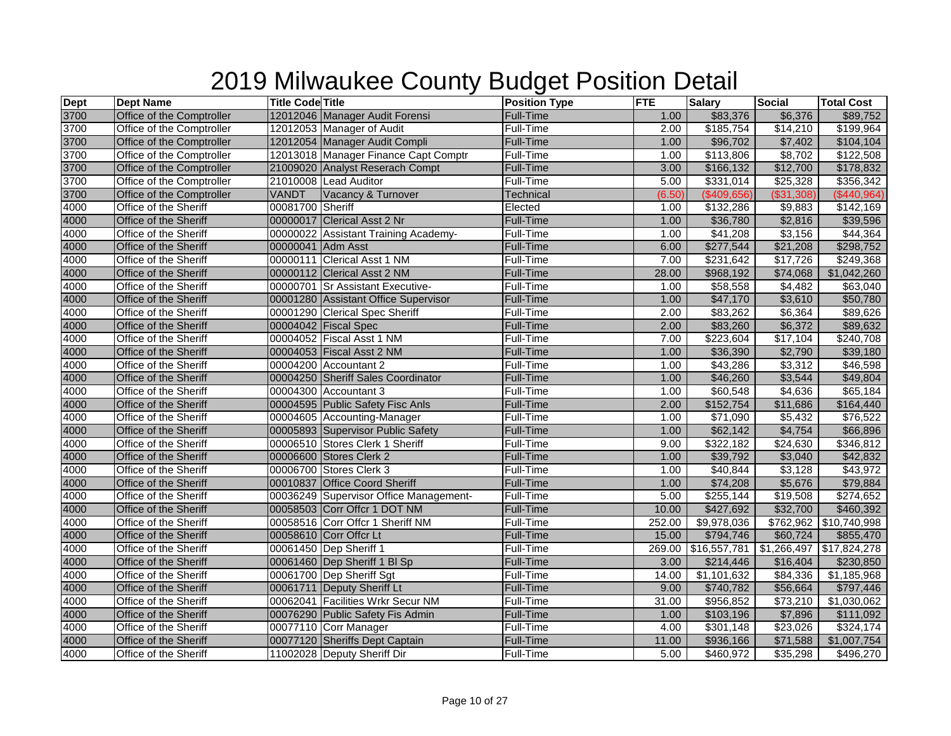| <b>Dept</b> | <b>Dept Name</b>          | <b>Title Code Title</b> |                                        | <b>Position Type</b> | <b>FTE</b> | <b>Salary</b> | Social     | <b>Total Cost</b>        |
|-------------|---------------------------|-------------------------|----------------------------------------|----------------------|------------|---------------|------------|--------------------------|
| 3700        | Office of the Comptroller |                         | 12012046 Manager Audit Forensi         | Full-Time            | 1.00       | \$83,376      | \$6,376    | \$89,752                 |
| 3700        | Office of the Comptroller |                         | 12012053 Manager of Audit              | Full-Time            | 2.00       | \$185,754     | \$14,210   | \$199,964                |
| 3700        | Office of the Comptroller |                         | 12012054 Manager Audit Compli          | Full-Time            | 1.00       | \$96,702      | \$7,402    | \$104,104                |
| 3700        | Office of the Comptroller |                         | 12013018 Manager Finance Capt Comptr   | Full-Time            | 1.00       | \$113,806     | \$8,702    | \$122,508                |
| 3700        | Office of the Comptroller |                         | 21009020 Analyst Reserach Compt        | <b>Full-Time</b>     | 3.00       | \$166,132     | \$12,700   | \$178,832                |
| 3700        | Office of the Comptroller |                         | 21010008 Lead Auditor                  | Full-Time            | 5.00       | \$331,014     | \$25,328   | \$356,342                |
| 3700        | Office of the Comptroller | VANDT                   | Vacancy & Turnover                     | <b>Technical</b>     | (6.50)     | (\$409,656)   | (\$31,308) | (\$440,964)              |
| 4000        | Office of the Sheriff     | 00081700 Sheriff        |                                        | Elected              | 1.00       | \$132,286     | \$9,883    | \$142,169                |
| 4000        | Office of the Sheriff     |                         | 00000017 Clerical Asst 2 Nr            | Full-Time            | 1.00       | \$36,780      | \$2,816    | \$39,596                 |
| 4000        | Office of the Sheriff     |                         | 00000022 Assistant Training Academy-   | Full-Time            | 1.00       | \$41,208      | \$3,156    | \$44,364                 |
| 4000        | Office of the Sheriff     | 00000041 Adm Asst       |                                        | Full-Time            | 6.00       | \$277,544     | \$21,208   | \$298,752                |
| 4000        | Office of the Sheriff     |                         | 00000111 Clerical Asst 1 NM            | Full-Time            | 7.00       | \$231,642     | \$17,726   | \$249,368                |
| 4000        | Office of the Sheriff     |                         | 00000112 Clerical Asst 2 NM            | Full-Time            | 28.00      | \$968,192     | \$74,068   | \$1,042,260              |
| 4000        | Office of the Sheriff     |                         | 00000701 Sr Assistant Executive-       | Full-Time            | 1.00       | \$58,558      | \$4,482    | \$63,040                 |
| 4000        | Office of the Sheriff     |                         | 00001280 Assistant Office Supervisor   | Full-Time            | 1.00       | \$47,170      | \$3,610    | \$50,780                 |
| 4000        | Office of the Sheriff     |                         | 00001290 Clerical Spec Sheriff         | Full-Time            | 2.00       | \$83,262      | \$6,364    | \$89,626                 |
| 4000        | Office of the Sheriff     |                         | 00004042 Fiscal Spec                   | <b>Full-Time</b>     | 2.00       | \$83,260      | \$6,372    | \$89,632                 |
| 4000        | Office of the Sheriff     |                         | 00004052 Fiscal Asst 1 NM              | Full-Time            | 7.00       | \$223,604     | \$17,104   | \$240,708                |
| 4000        | Office of the Sheriff     |                         | 00004053 Fiscal Asst 2 NM              | Full-Time            | 1.00       | \$36,390      | \$2,790    | \$39,180                 |
| 4000        | Office of the Sheriff     |                         | 00004200 Accountant 2                  | Full-Time            | 1.00       | \$43,286      | \$3,312    | \$46,598                 |
| 4000        | Office of the Sheriff     |                         | 00004250 Sheriff Sales Coordinator     | <b>Full-Time</b>     | 1.00       | \$46,260      | \$3,544    | \$49,804                 |
| 4000        | Office of the Sheriff     |                         | 00004300 Accountant 3                  | Full-Time            | 1.00       | \$60,548      | \$4,636    | \$65,184                 |
| 4000        | Office of the Sheriff     |                         | 00004595 Public Safety Fisc Anls       | Full-Time            | 2.00       | \$152,754     | \$11,686   | \$164,440                |
| 4000        | Office of the Sheriff     |                         | 00004605 Accounting-Manager            | Full-Time            | 1.00       | \$71,090      | \$5,432    | \$76,522                 |
| 4000        | Office of the Sheriff     |                         | 00005893 Supervisor Public Safety      | Full-Time            | 1.00       | \$62,142      | \$4,754    | \$66,896                 |
| 4000        | Office of the Sheriff     |                         | 00006510 Stores Clerk 1 Sheriff        | Full-Time            | 9.00       | \$322,182     | \$24,630   | \$346,812                |
| 4000        | Office of the Sheriff     |                         | 00006600 Stores Clerk 2                | <b>Full-Time</b>     | 1.00       | \$39,792      | \$3,040    | \$42,832                 |
| 4000        | Office of the Sheriff     |                         | 00006700 Stores Clerk 3                | Full-Time            | 1.00       | \$40,844      | \$3,128    | \$43,972                 |
| 4000        | Office of the Sheriff     |                         | 00010837 Office Coord Sheriff          | Full-Time            | 1.00       | \$74,208      | \$5,676    | \$79,884                 |
| 4000        | Office of the Sheriff     |                         | 00036249 Supervisor Office Management- | Full-Time            | 5.00       | \$255,144     | \$19,508   | \$274,652                |
| 4000        | Office of the Sheriff     |                         | 00058503 Corr Offcr 1 DOT NM           | <b>Full-Time</b>     | 10.00      | \$427,692     | \$32,700   | \$460,392                |
| 4000        | Office of the Sheriff     |                         | 00058516 Corr Offcr 1 Sheriff NM       | Full-Time            | 252.00     | \$9,978,036   | \$762,962  | \$10,740,998             |
| 4000        | Office of the Sheriff     |                         | 00058610 Corr Offcr Lt                 | <b>Full-Time</b>     | 15.00      | \$794,746     | \$60,724   | \$855,470                |
| 4000        | Office of the Sheriff     |                         | 00061450 Dep Sheriff 1                 | Full-Time            | 269.00     | \$16,557,781  |            | \$1,266,497 \$17,824,278 |
| 4000        | Office of the Sheriff     |                         | 00061460 Dep Sheriff 1 BI Sp           | <b>Full-Time</b>     | 3.00       | \$214,446     | \$16,404   | \$230,850                |
| 4000        | Office of the Sheriff     |                         | 00061700 Dep Sheriff Sgt               | Full-Time            | 14.00      | \$1,101,632   | \$84,336   | \$1,185,968              |
| 4000        | Office of the Sheriff     |                         | 00061711 Deputy Sheriff Lt             | Full-Time            | 9.00       | \$740,782     | \$56,664   | \$797,446                |
| 4000        | Office of the Sheriff     |                         | 00062041 Facilities Wrkr Secur NM      | Full-Time            | 31.00      | \$956,852     | \$73,210   | \$1,030,062              |
| 4000        | Office of the Sheriff     |                         | 00076290 Public Safety Fis Admin       | <b>Full-Time</b>     | 1.00       | \$103,196     | \$7,896    | \$111,092                |
| 4000        | Office of the Sheriff     |                         | 00077110 Corr Manager                  | Full-Time            | 4.00       | \$301,148     | \$23,026   | \$324,174                |
| 4000        | Office of the Sheriff     |                         | 00077120 Sheriffs Dept Captain         | Full-Time            | 11.00      | \$936,166     | \$71,588   | $\overline{1,007,754}$   |
| 4000        | Office of the Sheriff     |                         | 11002028 Deputy Sheriff Dir            | Full-Time            | 5.00       | \$460,972     | \$35,298   | \$496,270                |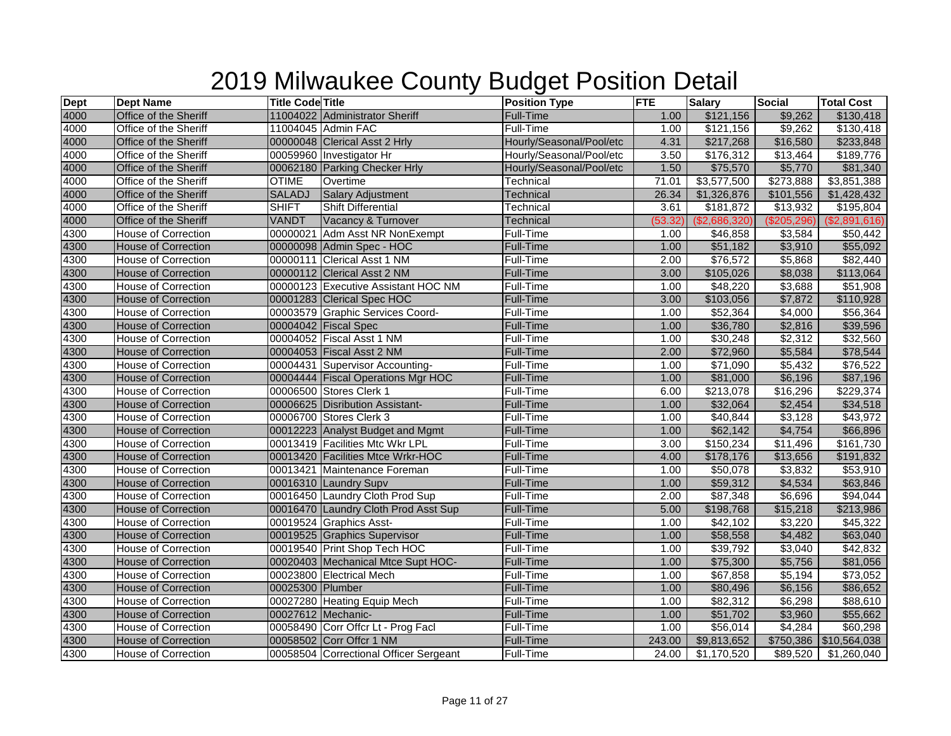| <b>Dept</b> | <b>Dept Name</b>           | <b>Title Code Title</b> |                                        | <b>Position Type</b>     | <b>FTE</b> | <b>Salary</b> | <b>Social</b> | <b>Total Cost</b> |
|-------------|----------------------------|-------------------------|----------------------------------------|--------------------------|------------|---------------|---------------|-------------------|
| 4000        | Office of the Sheriff      |                         | 11004022 Administrator Sheriff         | <b>Full-Time</b>         | 1.00       | \$121,156     | \$9,262       | \$130,418         |
| 4000        | Office of the Sheriff      |                         | 11004045 Admin FAC                     | Full-Time                | 1.00       | \$121,156     | \$9,262       | \$130,418         |
| 4000        | Office of the Sheriff      |                         | 00000048 Clerical Asst 2 Hrly          | Hourly/Seasonal/Pool/etc | 4.31       | \$217,268     | \$16,580      | \$233,848         |
| 4000        | Office of the Sheriff      |                         | 00059960 Investigator Hr               | Hourly/Seasonal/Pool/etc | 3.50       | \$176,312     | \$13,464      | \$189,776         |
| 4000        | Office of the Sheriff      |                         | 00062180 Parking Checker Hrly          | Hourly/Seasonal/Pool/etc | 1.50       | \$75,570      | \$5,770       | \$81,340          |
| 4000        | Office of the Sheriff      | <b>OTIME</b>            | Overtime                               | Technical                | 71.01      | \$3,577,500   | \$273,888     | \$3,851,388       |
| 4000        | Office of the Sheriff      | <b>SALADJ</b>           | <b>Salary Adjustment</b>               | <b>Technical</b>         | 26.34      | \$1,326,876   | \$101,556     | \$1,428,432       |
| 4000        | Office of the Sheriff      | <b>SHIFT</b>            | <b>Shift Differential</b>              | Technical                | 3.61       | \$181,872     | \$13,932      | \$195,804         |
| 4000        | Office of the Sheriff      | <b>VANDT</b>            | Vacancy & Turnover                     | <b>Technical</b>         | (53.32)    | (\$2,686,320) | (\$205, 296)  | (\$2,891,616)     |
| 4300        | <b>House of Correction</b> |                         | 00000021 Adm Asst NR NonExempt         | Full-Time                | 1.00       | \$46,858      | \$3,584       | \$50,442          |
| 4300        | <b>House of Correction</b> |                         | 00000098 Admin Spec - HOC              | <b>Full-Time</b>         | 1.00       | \$51,182      | \$3,910       | \$55,092          |
| 4300        | <b>House of Correction</b> |                         | 00000111 Clerical Asst 1 NM            | Full-Time                | 2.00       | \$76,572      | \$5,868       | \$82,440          |
| 4300        | <b>House of Correction</b> |                         | 00000112 Clerical Asst 2 NM            | <b>Full-Time</b>         | 3.00       | \$105,026     | \$8,038       | \$113,064         |
| 4300        | <b>House of Correction</b> |                         | 00000123 Executive Assistant HOC NM    | Full-Time                | 1.00       | \$48,220      | \$3,688       | \$51,908          |
| 4300        | <b>House of Correction</b> |                         | 00001283 Clerical Spec HOC             | <b>Full-Time</b>         | 3.00       | \$103,056     | \$7,872       | \$110,928         |
| 4300        | House of Correction        |                         | 00003579 Graphic Services Coord-       | Full-Time                | 1.00       | \$52,364      | \$4,000       | \$56,364          |
| 4300        | <b>House of Correction</b> |                         | 00004042 Fiscal Spec                   | <b>Full-Time</b>         | 1.00       | \$36,780      | \$2,816       | \$39,596          |
| 4300        | House of Correction        |                         | 00004052 Fiscal Asst 1 NM              | Full-Time                | 1.00       | \$30,248      | \$2,312       | \$32,560          |
| 4300        | <b>House of Correction</b> |                         | 00004053 Fiscal Asst 2 NM              | Full-Time                | 2.00       | \$72,960      | \$5,584       | \$78,544          |
| 4300        | <b>House of Correction</b> |                         | 00004431 Supervisor Accounting-        | Full-Time                | 1.00       | \$71,090      | \$5,432       | \$76,522          |
| 4300        | <b>House of Correction</b> |                         | 00004444 Fiscal Operations Mgr HOC     | <b>Full-Time</b>         | 1.00       | \$81,000      | \$6,196       | \$87,196          |
| 4300        | <b>House of Correction</b> |                         | 00006500 Stores Clerk 1                | Full-Time                | 6.00       | \$213,078     | \$16,296      | \$229,374         |
| 4300        | <b>House of Correction</b> |                         | 00006625 Disribution Assistant-        | Full-Time                | 1.00       | \$32,064      | \$2,454       | \$34,518          |
| 4300        | <b>House of Correction</b> |                         | 00006700 Stores Clerk 3                | Full-Time                | 1.00       | \$40,844      | \$3,128       | \$43,972          |
| 4300        | <b>House of Correction</b> |                         | 00012223 Analyst Budget and Mgmt       | Full-Time                | 1.00       | \$62,142      | \$4,754       | \$66,896          |
| 4300        | <b>House of Correction</b> |                         | 00013419 Facilities Mtc Wkr LPL        | Full-Time                | 3.00       | \$150,234     | \$11,496      | \$161,730         |
| 4300        | <b>House of Correction</b> |                         | 00013420 Facilities Mtce Wrkr-HOC      | <b>Full-Time</b>         | 4.00       | \$178,176     | \$13,656      | \$191,832         |
| 4300        | <b>House of Correction</b> |                         | 00013421 Maintenance Foreman           | Full-Time                | 1.00       | \$50,078      | \$3,832       | \$53,910          |
| 4300        | <b>House of Correction</b> |                         | 00016310 Laundry Supv                  | <b>Full-Time</b>         | 1.00       | \$59,312      | \$4,534       | \$63,846          |
| 4300        | House of Correction        |                         | 00016450 Laundry Cloth Prod Sup        | Full-Time                | 2.00       | \$87,348      | \$6,696       | \$94,044          |
| 4300        | <b>House of Correction</b> |                         | 00016470 Laundry Cloth Prod Asst Sup   | <b>Full-Time</b>         | 5.00       | \$198,768     | \$15,218      | \$213,986         |
| 4300        | House of Correction        |                         | 00019524 Graphics Asst-                | Full-Time                | 1.00       | \$42,102      | \$3,220       | \$45,322          |
| 4300        | <b>House of Correction</b> |                         | 00019525 Graphics Supervisor           | Full-Time                | 1.00       | \$58,558      | \$4,482       | \$63,040          |
| 4300        | <b>House of Correction</b> |                         | 00019540 Print Shop Tech HOC           | Full-Time                | 1.00       | \$39,792      | \$3,040       | \$42,832          |
| 4300        | <b>House of Correction</b> |                         | 00020403 Mechanical Mtce Supt HOC-     | Full-Time                | 1.00       | \$75,300      | \$5,756       | \$81,056          |
| 4300        | House of Correction        |                         | 00023800 Electrical Mech               | Full-Time                | 1.00       | \$67,858      | \$5,194       | \$73,052          |
| 4300        | <b>House of Correction</b> | 00025300 Plumber        |                                        | Full-Time                | 1.00       | \$80,496      | \$6,156       | \$86,652          |
| 4300        | House of Correction        |                         | 00027280 Heating Equip Mech            | Full-Time                | 1.00       | \$82,312      | \$6,298       | \$88,610          |
| 4300        | <b>House of Correction</b> |                         | 00027612 Mechanic-                     | Full-Time                | 1.00       | \$51,702      | \$3,960       | \$55,662          |
| 4300        | <b>House of Correction</b> |                         | 00058490 Corr Offcr Lt - Prog Facl     | Full-Time                | 1.00       | \$56,014      | \$4,284       | \$60,298          |
| 4300        | <b>House of Correction</b> |                         | 00058502 Corr Offcr 1 NM               | Full-Time                | 243.00     | \$9,813,652   | \$750,386     | 510,564,038       |
| 4300        | House of Correction        |                         | 00058504 Correctional Officer Sergeant | Full-Time                | 24.00      | \$1,170,520   | \$89,520      | \$1,260,040       |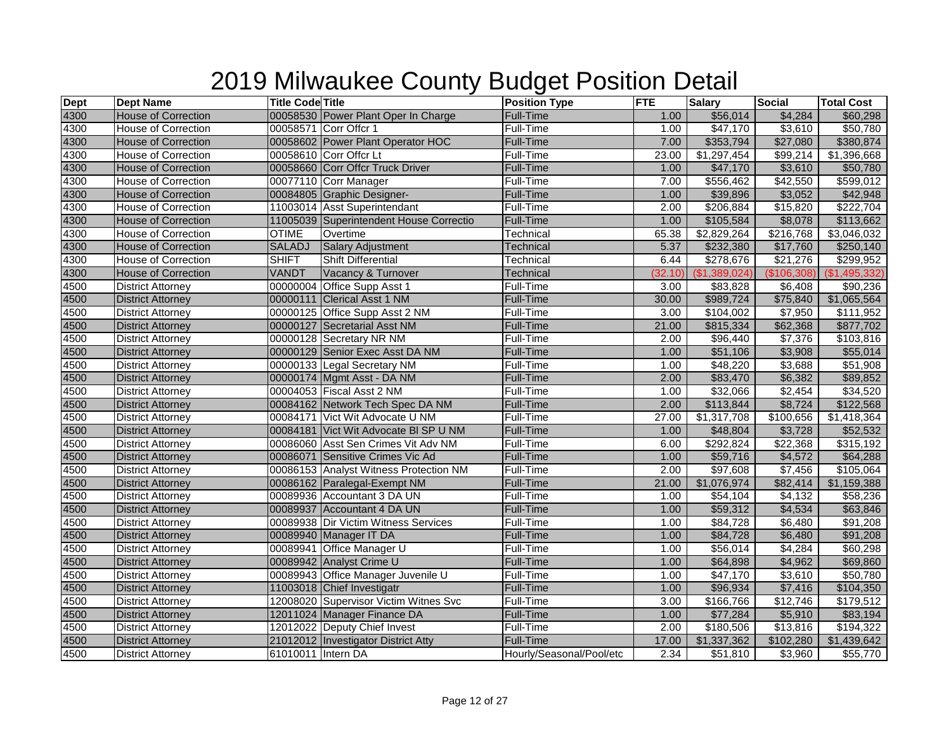| <b>Dept</b> | <b>Dept Name</b>           | <b>Title Code Title</b> |                                         | <b>Position Type</b>     | <b>FTE</b> | <b>Salary</b> | <b>Social</b> | <b>Total Cost</b> |
|-------------|----------------------------|-------------------------|-----------------------------------------|--------------------------|------------|---------------|---------------|-------------------|
| 4300        | <b>House of Correction</b> |                         | 00058530 Power Plant Oper In Charge     | <b>Full-Time</b>         | 1.00       | \$56,014      | \$4,284       | \$60,298          |
| 4300        | <b>House of Correction</b> |                         | 00058571 Corr Offcr 1                   | Full-Time                | 1.00       | \$47,170      | \$3,610       | \$50,780          |
| 4300        | <b>House of Correction</b> |                         | 00058602 Power Plant Operator HOC       | Full-Time                | 7.00       | \$353,794     | \$27,080      | \$380,874         |
| 4300        | House of Correction        |                         | 00058610 Corr Offcr Lt                  | Full-Time                | 23.00      | \$1,297,454   | \$99,214      | \$1,396,668       |
| 4300        | <b>House of Correction</b> |                         | 00058660 Corr Offcr Truck Driver        | <b>Full-Time</b>         | 1.00       | \$47,170      | \$3,610       | \$50,780          |
| 4300        | House of Correction        |                         | 00077110 Corr Manager                   | Full-Time                | 7.00       | \$556,462     | \$42,550      | \$599,012         |
| 4300        | <b>House of Correction</b> |                         | 00084805 Graphic Designer-              | <b>Full-Time</b>         | 1.00       | \$39,896      | \$3,052       | \$42,948          |
| 4300        | <b>House of Correction</b> |                         | 11003014 Asst Superintendant            | Full-Time                | 2.00       | \$206,884     | \$15,820      | \$222,704         |
| 4300        | <b>House of Correction</b> |                         | 11005039 Superintendent House Correctio | Full-Time                | 1.00       | \$105,584     | \$8,078       | \$113,662         |
| 4300        | <b>House of Correction</b> | <b>OTIME</b>            | Overtime                                | Technical                | 65.38      | \$2,829,264   | \$216,768     | \$3,046,032       |
| 4300        | <b>House of Correction</b> | <b>SALADJ</b>           | Salary Adjustment                       | <b>Technical</b>         | 5.37       | \$232,380     | \$17,760      | \$250,140         |
| 4300        | <b>House of Correction</b> | <b>SHIFT</b>            | <b>Shift Differential</b>               | Technical                | 6.44       | \$278,676     | \$21,276      | \$299,952         |
| 4300        | <b>House of Correction</b> | <b>VANDT</b>            | Vacancy & Turnover                      | <b>Technical</b>         | (32.10)    | (\$1,389,024) | (\$106,308)   | (\$1,495,332)     |
| 4500        | <b>District Attorney</b>   |                         | 00000004 Office Supp Asst 1             | Full-Time                | 3.00       | \$83,828      | \$6,408       | \$90,236          |
| 4500        | <b>District Attorney</b>   |                         | 00000111 Clerical Asst 1 NM             | <b>Full-Time</b>         | 30.00      | \$989,724     | \$75,840      | \$1,065,564       |
| 4500        | <b>District Attorney</b>   |                         | 00000125 Office Supp Asst 2 NM          | Full-Time                | 3.00       | \$104,002     | \$7,950       | \$111,952         |
| 4500        | <b>District Attorney</b>   |                         | 00000127 Secretarial Asst NM            | <b>Full-Time</b>         | 21.00      | \$815,334     | \$62,368      | \$877,702         |
| 4500        | <b>District Attorney</b>   |                         | 00000128 Secretary NR NM                | Full-Time                | 2.00       | \$96,440      | \$7,376       | \$103,816         |
| 4500        | <b>District Attorney</b>   |                         | 00000129 Senior Exec Asst DA NM         | <b>Full-Time</b>         | 1.00       | \$51,106      | \$3,908       | \$55,014          |
| 4500        | <b>District Attorney</b>   |                         | 00000133 Legal Secretary NM             | Full-Time                | 1.00       | \$48,220      | \$3,688       | \$51,908          |
| 4500        | <b>District Attorney</b>   |                         | 00000174 Mgmt Asst - DA NM              | <b>Full-Time</b>         | 2.00       | \$83,470      | \$6,382       | \$89,852          |
| 4500        | <b>District Attorney</b>   |                         | 00004053 Fiscal Asst 2 NM               | Full-Time                | 1.00       | \$32,066      | \$2,454       | \$34,520          |
| 4500        | <b>District Attorney</b>   |                         | 00084162 Network Tech Spec DA NM        | <b>Full-Time</b>         | 2.00       | \$113,844     | \$8,724       | \$122,568         |
| 4500        | <b>District Attorney</b>   |                         | 00084171 Vict Wit Advocate U NM         | Full-Time                | 27.00      | \$1,317,708   | \$100,656     | \$1,418,364       |
| 4500        | <b>District Attorney</b>   |                         | 00084181 Vict Wit Advocate BI SP U NM   | Full-Time                | 1.00       | \$48,804      | \$3,728       | \$52,532          |
| 4500        | <b>District Attorney</b>   |                         | 00086060 Asst Sen Crimes Vit Adv NM     | Full-Time                | 6.00       | \$292,824     | \$22,368      | \$315,192         |
| 4500        | <b>District Attorney</b>   |                         | 00086071 Sensitive Crimes Vic Ad        | <b>Full-Time</b>         | 1.00       | \$59,716      | \$4,572       | \$64,288          |
| 4500        | <b>District Attorney</b>   |                         | 00086153 Analyst Witness Protection NM  | Full-Time                | 2.00       | \$97,608      | \$7,456       | \$105,064         |
| 4500        | <b>District Attorney</b>   |                         | 00086162 Paralegal-Exempt NM            | <b>Full-Time</b>         | 21.00      | \$1,076,974   | \$82,414      | \$1,159,388       |
| 4500        | <b>District Attorney</b>   |                         | 00089936 Accountant 3 DA UN             | Full-Time                | 1.00       | \$54,104      | \$4,132       | \$58,236          |
| 4500        | <b>District Attorney</b>   |                         | 00089937 Accountant 4 DA UN             | Full-Time                | 1.00       | \$59,312      | \$4,534       | \$63,846          |
| 4500        | <b>District Attorney</b>   |                         | 00089938 Dir Victim Witness Services    | Full-Time                | 1.00       | \$84,728      | \$6,480       | \$91,208          |
| 4500        | <b>District Attorney</b>   |                         | 00089940 Manager IT DA                  | Full-Time                | 1.00       | \$84,728      | \$6,480       | \$91,208          |
| 4500        | <b>District Attorney</b>   |                         | 00089941 Office Manager U               | Full-Time                | 1.00       | \$56,014      | \$4,284       | \$60,298          |
| 4500        | <b>District Attorney</b>   |                         | 00089942 Analyst Crime U                | Full-Time                | 1.00       | \$64,898      | \$4,962       | \$69,860          |
| 4500        | <b>District Attorney</b>   |                         | 00089943 Office Manager Juvenile U      | Full-Time                | 1.00       | \$47,170      | \$3,610       | \$50,780          |
| 4500        | <b>District Attorney</b>   |                         | 11003018 Chief Investigatr              | Full-Time                | 1.00       | \$96,934      | \$7,416       | \$104,350         |
| 4500        | <b>District Attorney</b>   |                         | 12008020 Supervisor Victim Witnes Svc   | Full-Time                | 3.00       | \$166,766     | \$12,746      | \$179,512         |
| 4500        | <b>District Attorney</b>   |                         | 12011024 Manager Finance DA             | Full-Time                | 1.00       | \$77,284      | \$5,910       | \$83,194          |
| 4500        | <b>District Attorney</b>   |                         | 12012022 Deputy Chief Invest            | Full-Time                | 2.00       | \$180,506     | \$13,816      | \$194,322         |
| 4500        | <b>District Attorney</b>   |                         | 21012012 Investigator District Atty     | Full-Time                | 17.00      | \$1,337,362   | \$102,280     | \$1,439,642       |
| 4500        | <b>District Attorney</b>   | 61010011 Intern DA      |                                         | Hourly/Seasonal/Pool/etc | 2.34       | \$51,810      | \$3,960       | \$55,770          |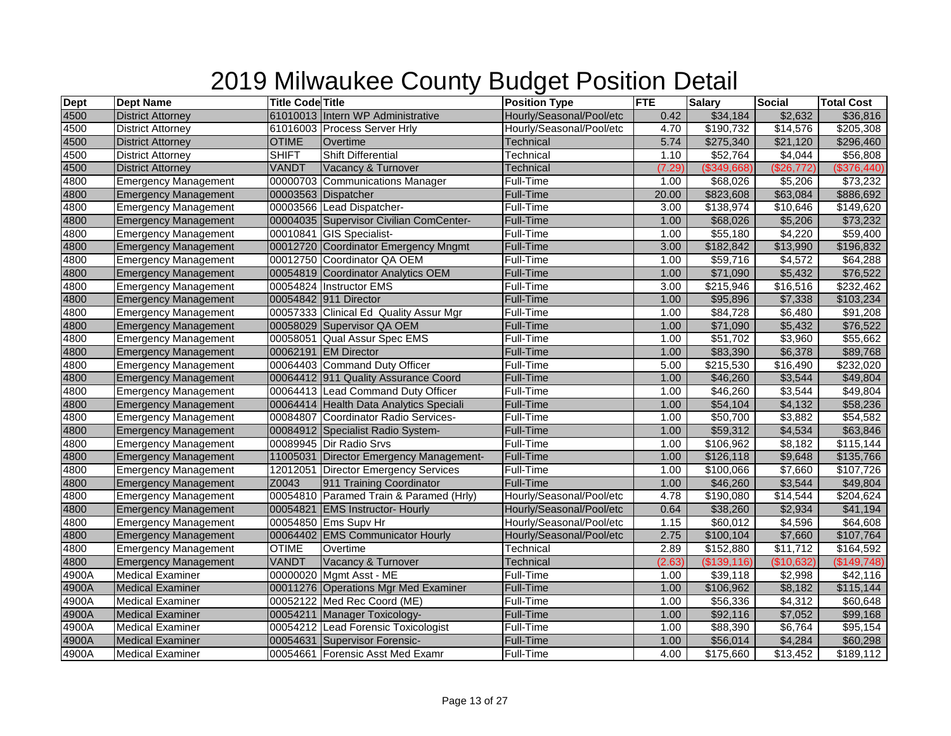| <b>Dept</b> | <b>Dept Name</b>            | <b>Title Code Title</b> |                                         | <b>Position Type</b>     | <b>FTE</b> | <b>Salary</b>        | <b>Social</b>        | <b>Total Cost</b> |
|-------------|-----------------------------|-------------------------|-----------------------------------------|--------------------------|------------|----------------------|----------------------|-------------------|
| 4500        | <b>District Attorney</b>    |                         | 61010013 Intern WP Administrative       | Hourly/Seasonal/Pool/etc | 0.42       | \$34,184             | \$2,632              | \$36,816          |
| 4500        | <b>District Attorney</b>    |                         | 61016003 Process Server Hrly            | Hourly/Seasonal/Pool/etc | 4.70       | \$190,732            | \$14,576             | \$205,308         |
| 4500        | <b>District Attorney</b>    | <b>OTIME</b>            | Overtime                                | <b>Technical</b>         | 5.74       | \$275,340            | \$21,120             | \$296,460         |
| 4500        | <b>District Attorney</b>    | <b>SHIFT</b>            | <b>Shift Differential</b>               | Technical                | 1.10       | \$52,764             | \$4,044              | \$56,808          |
| 4500        | <b>District Attorney</b>    | <b>VANDT</b>            | Vacancy & Turnover                      | <b>Technical</b>         | (7.29      | (\$349,668)          | (\$26,772)           | (\$376,440)       |
| 4800        | <b>Emergency Management</b> |                         | 00000703 Communications Manager         | Full-Time                | 1.00       | \$68,026             | \$5,206              | \$73,232          |
| 4800        | <b>Emergency Management</b> |                         | 00003563 Dispatcher                     | Full-Time                | 20.00      | \$823,608            | \$63,084             | \$886,692         |
| 4800        | <b>Emergency Management</b> |                         | 00003566 Lead Dispatcher-               | Full-Time                | 3.00       | \$138,974            | $\overline{$10,646}$ | $\sqrt{$149,620}$ |
| 4800        | <b>Emergency Management</b> |                         | 00004035 Supervisor Civilian ComCenter- | Full-Time                | 1.00       | \$68,026             | \$5,206              | \$73,232          |
| 4800        | <b>Emergency Management</b> |                         | 00010841 GIS Specialist-                | Full-Time                | 1.00       | $\overline{$}55,180$ | \$4,220              | \$59,400          |
| 4800        | <b>Emergency Management</b> |                         | 00012720 Coordinator Emergency Mngmt    | Full-Time                | 3.00       | \$182,842            | \$13,990             | \$196,832         |
| 4800        | <b>Emergency Management</b> |                         | 00012750 Coordinator QA OEM             | Full-Time                | 1.00       | \$59,716             | \$4,572              | \$64,288          |
| 4800        | <b>Emergency Management</b> |                         | 00054819 Coordinator Analytics OEM      | <b>Full-Time</b>         | 1.00       | \$71,090             | \$5,432              | \$76,522          |
| 4800        | <b>Emergency Management</b> |                         | 00054824 Instructor EMS                 | Full-Time                | 3.00       | \$215,946            | \$16,516             | \$232,462         |
| 4800        | <b>Emergency Management</b> |                         | 00054842 911 Director                   | <b>Full-Time</b>         | 1.00       | \$95,896             | \$7,338              | \$103,234         |
| 4800        | <b>Emergency Management</b> |                         | 00057333 Clinical Ed Quality Assur Mgr  | Full-Time                | 1.00       | \$84,728             | \$6,480              | \$91,208          |
| 4800        | <b>Emergency Management</b> |                         | 00058029 Supervisor QA OEM              | Full-Time                | 1.00       | \$71,090             | \$5,432              | \$76,522          |
| 4800        | <b>Emergency Management</b> |                         | 00058051 Qual Assur Spec EMS            | Full-Time                | 1.00       | \$51,702             | \$3,960              | \$55,662          |
| 4800        | <b>Emergency Management</b> |                         | 00062191 EM Director                    | <b>Full-Time</b>         | 1.00       | \$83,390             | \$6,378              | \$89,768          |
| 4800        | <b>Emergency Management</b> |                         | 00064403 Command Duty Officer           | Full-Time                | 5.00       | \$215,530            | \$16,490             | \$232,020         |
| 4800        | <b>Emergency Management</b> |                         | 00064412 911 Quality Assurance Coord    | <b>Full-Time</b>         | 1.00       | \$46,260             | \$3,544              | \$49,804          |
| 4800        | <b>Emergency Management</b> |                         | 00064413 Lead Command Duty Officer      | Full-Time                | 1.00       | \$46,260             | \$3,544              | \$49,804          |
| 4800        | <b>Emergency Management</b> |                         | 00064414 Health Data Analytics Speciali | <b>Full-Time</b>         | 1.00       | \$54,104             | \$4,132              | \$58,236          |
| 4800        | <b>Emergency Management</b> |                         | 00084807 Coordinator Radio Services-    | Full-Time                | 1.00       | \$50,700             | \$3,882              | \$54,582          |
| 4800        | <b>Emergency Management</b> |                         | 00084912 Specialist Radio System-       | <b>Full-Time</b>         | 1.00       | \$59,312             | \$4,534              | \$63,846          |
| 4800        | <b>Emergency Management</b> |                         | 00089945 Dir Radio Srvs                 | Full-Time                | 1.00       | \$106,962            | \$8,182              | \$115,144         |
| 4800        | <b>Emergency Management</b> |                         | 11005031 Director Emergency Management- | <b>Full-Time</b>         | 1.00       | \$126,118            | \$9,648              | \$135,766         |
| 4800        | <b>Emergency Management</b> |                         | 12012051 Director Emergency Services    | Full-Time                | 1.00       | \$100,066            | \$7,660              | \$107,726         |
| 4800        | <b>Emergency Management</b> | Z0043                   | 911 Training Coordinator                | <b>Full-Time</b>         | 1.00       | \$46,260             | \$3,544              | \$49,804          |
| 4800        | <b>Emergency Management</b> |                         | 00054810 Paramed Train & Paramed (Hrly) | Hourly/Seasonal/Pool/etc | 4.78       | \$190,080            | \$14,544             | \$204,624         |
| 4800        | <b>Emergency Management</b> |                         | 00054821 EMS Instructor- Hourly         | Hourly/Seasonal/Pool/etc | 0.64       | \$38,260             | \$2,934              | \$41,194          |
| 4800        | <b>Emergency Management</b> |                         | 00054850 Ems Supv Hr                    | Hourly/Seasonal/Pool/etc | 1.15       | \$60,012             | \$4,596              | \$64,608          |
| 4800        | <b>Emergency Management</b> |                         | 00064402 EMS Communicator Hourly        | Hourly/Seasonal/Pool/etc | 2.75       | \$100,104            | \$7,660              | \$107,764         |
| 4800        | <b>Emergency Management</b> | <b>OTIME</b>            | Overtime                                | Technical                | 2.89       | \$152,880            | \$11,712             | \$164,592         |
| 4800        | <b>Emergency Management</b> | <b>VANDT</b>            | Vacancy & Turnover                      | <b>Technical</b>         | (2.63)     | (\$139,116)          | (\$10,632)           | (\$149,748)       |
| 4900A       | <b>Medical Examiner</b>     |                         | 00000020 Mgmt Asst - ME                 | Full-Time                | 1.00       | \$39,118             | \$2,998              | \$42,116          |
| 4900A       | <b>Medical Examiner</b>     |                         | 00011276 Operations Mgr Med Examiner    | Full-Time                | 1.00       | \$106,962            | \$8,182              | \$115,144         |
| 4900A       | <b>Medical Examiner</b>     |                         | 00052122 Med Rec Coord (ME)             | Full-Time                | 1.00       | \$56,336             | \$4,312              | \$60,648          |
| 4900A       | <b>Medical Examiner</b>     |                         | 00054211 Manager Toxicology-            | Full-Time                | 1.00       | \$92,116             | \$7,052              | \$99,168          |
| 4900A       | <b>Medical Examiner</b>     |                         | 00054212 Lead Forensic Toxicologist     | Full-Time                | 1.00       | $\overline{$88,390}$ | \$6,764              | \$95,154          |
| 4900A       | <b>Medical Examiner</b>     |                         | 00054631 Supervisor Forensic-           | Full-Time                | 1.00       | \$56,014             | \$4,284              | \$60,298          |
| 4900A       | <b>Medical Examiner</b>     |                         | 00054661 Forensic Asst Med Examr        | Full-Time                | 4.00       | \$175,660            | \$13,452             | \$189,112         |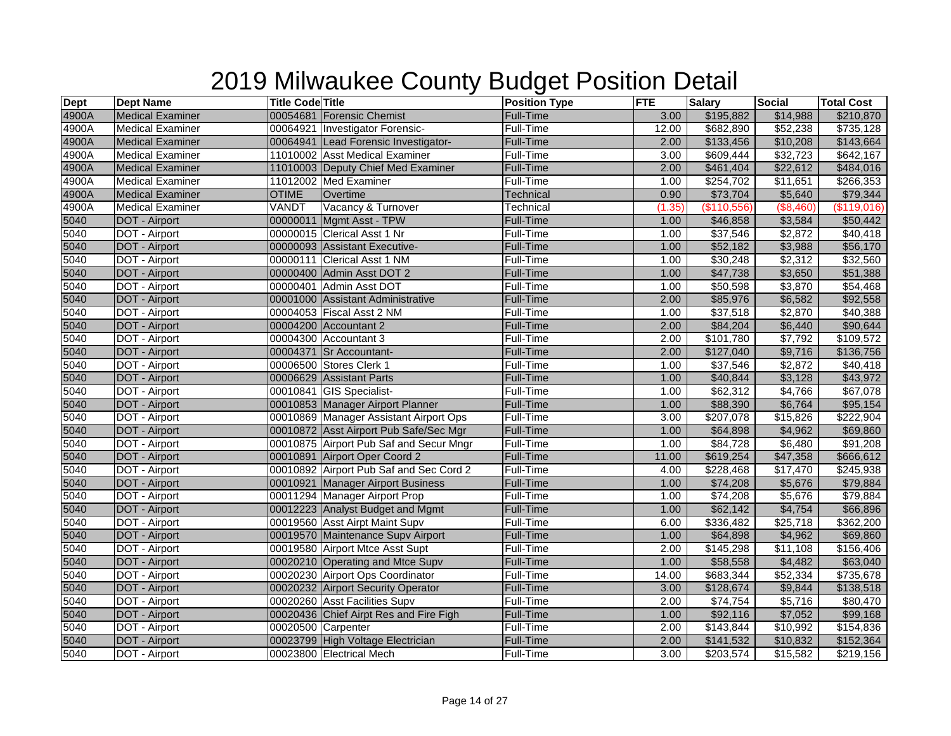| <b>Dept</b> | <b>Dept Name</b>        | <b>Title Code Title</b> |                                         | <b>Position Type</b> | <b>FTE</b> | <b>Salary</b>         | <b>Social</b> | <b>Total Cost</b>    |
|-------------|-------------------------|-------------------------|-----------------------------------------|----------------------|------------|-----------------------|---------------|----------------------|
| 4900A       | <b>Medical Examiner</b> |                         | 00054681 Forensic Chemist               | Full-Time            | 3.00       | \$195,882             | \$14,988      | \$210,870            |
| 4900A       | <b>Medical Examiner</b> |                         | 00064921 Investigator Forensic-         | Full-Time            | 12.00      | \$682,890             | \$52,238      | \$735,128            |
| 4900A       | <b>Medical Examiner</b> |                         | 00064941 Lead Forensic Investigator-    | <b>Full-Time</b>     | 2.00       | \$133,456             | \$10,208      | \$143,664            |
| 4900A       | <b>Medical Examiner</b> |                         | 11010002 Asst Medical Examiner          | Full-Time            | 3.00       | \$609,444             | \$32,723      | \$642,167            |
| 4900A       | <b>Medical Examiner</b> |                         | 11010003 Deputy Chief Med Examiner      | <b>Full-Time</b>     | 2.00       | \$461,404             | \$22,612      | \$484,016            |
| 4900A       | <b>Medical Examiner</b> |                         | 11012002 Med Examiner                   | Full-Time            | 1.00       | \$254,702             | \$11,651      | \$266,353            |
| 4900A       | <b>Medical Examiner</b> | <b>OTIME</b>            | Overtime                                | Technical            | 0.90       | \$73,704              | \$5,640       | \$79,344             |
| 4900A       | <b>Medical Examiner</b> | VANDT                   | Vacancy & Turnover                      | Technical            | (1.35)     | (\$110,556)           | (\$8,460)     | (\$119,016)          |
| 5040        | DOT - Airport           |                         | 00000011 Mgmt Asst - TPW                | <b>Full-Time</b>     | 1.00       | \$46,858              | \$3,584       | \$50,442             |
| 5040        | DOT - Airport           |                         | 00000015 Clerical Asst 1 Nr             | <b>Full-Time</b>     | 1.00       | \$37,546              | \$2,872       | $\overline{$40,418}$ |
| 5040        | <b>DOT</b> - Airport    |                         | 00000093 Assistant Executive-           | <b>Full-Time</b>     | 1.00       | \$52,182              | \$3,988       | \$56,170             |
| 5040        | DOT - Airport           |                         | 00000111 Clerical Asst 1 NM             | Full-Time            | 1.00       | \$30,248              | \$2,312       | \$32,560             |
| 5040        | DOT - Airport           |                         | 00000400 Admin Asst DOT 2               | <b>Full-Time</b>     | 1.00       | \$47,738              | \$3,650       | \$51,388             |
| 5040        | DOT - Airport           |                         | 00000401 Admin Asst DOT                 | Full-Time            | 1.00       | \$50,598              | \$3,870       | \$54,468             |
| 5040        | DOT - Airport           |                         | 00001000 Assistant Administrative       | <b>Full-Time</b>     | 2.00       | \$85,976              | \$6,582       | \$92,558             |
| 5040        | DOT - Airport           |                         | 00004053 Fiscal Asst 2 NM               | <b>Full-Time</b>     | 1.00       | \$37,518              | \$2,870       | \$40,388             |
| 5040        | DOT - Airport           |                         | 00004200 Accountant 2                   | Full-Time            | 2.00       | \$84,204              | \$6,440       | \$90,644             |
| 5040        | DOT - Airport           |                         | 00004300 Accountant 3                   | Full-Time            | 2.00       | \$101,780             | \$7,792       | \$109,572            |
| 5040        | DOT - Airport           |                         | 00004371 Sr Accountant-                 | <b>Full-Time</b>     | 2.00       | \$127,040             | \$9,716       | \$136,756            |
| 5040        | DOT - Airport           |                         | 00006500 Stores Clerk 1                 | Full-Time            | 1.00       | \$37,546              | \$2,872       | \$40,418             |
| 5040        | DOT - Airport           |                         | 00006629 Assistant Parts                | <b>Full-Time</b>     | 1.00       | \$40,844              | \$3,128       | \$43,972             |
| 5040        | DOT - Airport           |                         | 00010841 GIS Specialist-                | Full-Time            | 1.00       | \$62,312              | \$4,766       | \$67,078             |
| 5040        | DOT - Airport           |                         | 00010853 Manager Airport Planner        | <b>Full-Time</b>     | 1.00       | \$88,390              | \$6,764       | \$95,154             |
| 5040        | DOT - Airport           |                         | 00010869 Manager Assistant Airport Ops  | Full-Time            | 3.00       | \$207,078             | \$15,826      | \$222,904            |
| 5040        | DOT - Airport           |                         | 00010872 Asst Airport Pub Safe/Sec Mgr  | Full-Time            | 1.00       | \$64,898              | \$4,962       | \$69,860             |
| 5040        | DOT - Airport           |                         | 00010875 Airport Pub Saf and Secur Mngr | <b>Full-Time</b>     | 1.00       | \$84,728              | \$6,480       | \$91,208             |
| 5040        | <b>DOT</b> - Airport    |                         | 00010891 Airport Oper Coord 2           | <b>Full-Time</b>     | 11.00      | \$619,254             | \$47,358      | \$666,612            |
| 5040        | DOT - Airport           |                         | 00010892 Airport Pub Saf and Sec Cord 2 | <b>Full-Time</b>     | 4.00       | \$228,468             | \$17,470      | \$245,938            |
| 5040        | DOT - Airport           |                         | 00010921 Manager Airport Business       | Full-Time            | 1.00       | \$74,208              | \$5,676       | \$79,884             |
| 5040        | DOT - Airport           |                         | 00011294 Manager Airport Prop           | Full-Time            | 1.00       | \$74,208              | \$5,676       | \$79,884             |
| 5040        | DOT - Airport           |                         | 00012223 Analyst Budget and Mgmt        | <b>Full-Time</b>     | 1.00       | \$62,142              | \$4,754       | \$66,896             |
| 5040        | DOT - Airport           |                         | 00019560 Asst Airpt Maint Supv          | Full-Time            | 6.00       | \$336,482             | \$25,718      | \$362,200            |
| 5040        | <b>DOT</b> - Airport    |                         | 00019570 Maintenance Supv Airport       | <b>Full-Time</b>     | 1.00       | \$64,898              | \$4,962       | \$69,860             |
| 5040        | DOT - Airport           |                         | 00019580 Airport Mtce Asst Supt         | Full-Time            | 2.00       | \$145,298             | \$11,108      | \$156,406            |
| 5040        | DOT - Airport           |                         | 00020210 Operating and Mtce Supv        | <b>Full-Time</b>     | 1.00       | \$58,558              | \$4,482       | \$63,040             |
| 5040        | DOT - Airport           |                         | 00020230 Airport Ops Coordinator        | Full-Time            | 14.00      | \$683,344             | \$52,334      | \$735,678            |
| 5040        | DOT - Airport           |                         | 00020232 Airport Security Operator      | Full-Time            | 3.00       | \$128,674             | \$9,844       | \$138,518            |
| 5040        | DOT - Airport           |                         | 00020260 Asst Facilities Supv           | Full-Time            | 2.00       | \$74,754              | \$5,716       | \$80,470             |
| 5040        | DOT - Airport           |                         | 00020436 Chief Airpt Res and Fire Figh  | <b>Full-Time</b>     | 1.00       | \$92,116              | \$7,052       | \$99,168             |
| 5040        | DOT - Airport           | 00020500 Carpenter      |                                         | <b>Full-Time</b>     | 2.00       | \$143,844             | \$10,992      | \$154,836            |
| 5040        | <b>DOT</b> - Airport    |                         | 00023799 High Voltage Electrician       | Full-Time            | 2.00       | \$141,532             | \$10,832      | \$152,364            |
| 5040        | DOT - Airport           |                         | 00023800 Electrical Mech                | Full-Time            | 3.00       | $\overline{$203,574}$ | \$15,582      | \$219,156            |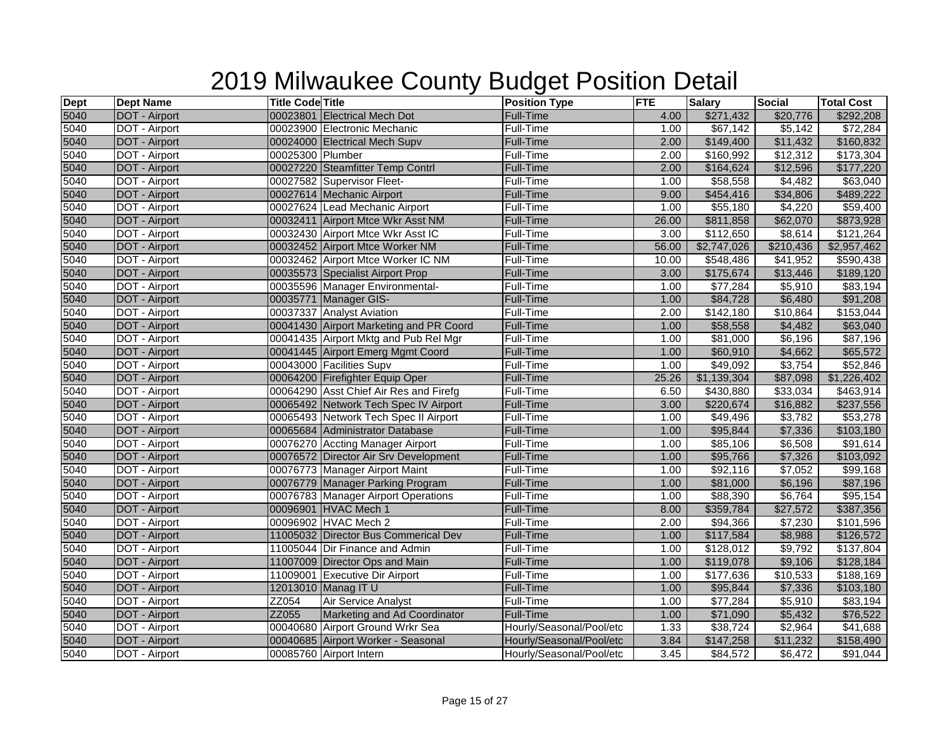| <b>Dept</b> | <b>Dept Name</b>     | <b>Title Code Title</b> |                                         | <b>Position Type</b>     | <b>FTE</b> | <b>Salary</b>         | <b>Social</b> | <b>Total Cost</b> |
|-------------|----------------------|-------------------------|-----------------------------------------|--------------------------|------------|-----------------------|---------------|-------------------|
| 5040        | DOT - Airport        |                         | 00023801 Electrical Mech Dot            | Full-Time                | 4.00       | \$271,432             | \$20,776      | \$292,208         |
| 5040        | DOT - Airport        |                         | 00023900 Electronic Mechanic            | Full-Time                | 1.00       | \$67,142              | \$5,142       | \$72,284          |
| 5040        | DOT - Airport        |                         | 00024000 Electrical Mech Supv           | Full-Time                | 2.00       | \$149,400             | \$11,432      | \$160,832         |
| 5040        | DOT - Airport        | 00025300 Plumber        |                                         | Full-Time                | 2.00       | \$160,992             | \$12,312      | \$173,304         |
| 5040        | DOT - Airport        |                         | 00027220 Steamfitter Temp Contrl        | <b>Full-Time</b>         | 2.00       | \$164,624             | \$12,596      | \$177,220         |
| 5040        | DOT - Airport        |                         | 00027582 Supervisor Fleet-              | Full-Time                | 1.00       | \$58,558              | \$4,482       | \$63,040          |
| 5040        | DOT - Airport        |                         | 00027614 Mechanic Airport               | Full-Time                | 9.00       | \$454,416             | \$34,806      | \$489,222         |
| 5040        | DOT - Airport        |                         | 00027624 Lead Mechanic Airport          | Full-Time                | 1.00       | \$55,180              | \$4,220       | \$59,400          |
| 5040        | DOT - Airport        |                         | 00032411 Airport Mtce Wkr Asst NM       | Full-Time                | 26.00      | \$811,858             | \$62,070      | \$873,928         |
| 5040        | DOT - Airport        |                         | 00032430 Airport Mtce Wkr Asst IC       | Full-Time                | 3.00       | \$112,650             | \$8,614       | \$121,264         |
| 5040        | DOT - Airport        |                         | 00032452 Airport Mtce Worker NM         | Full-Time                | 56.00      | \$2,747,026           | \$210,436     | \$2,957,462       |
| 5040        | DOT - Airport        |                         | 00032462 Airport Mtce Worker IC NM      | Full-Time                | 10.00      | \$548,486             | \$41,952      | \$590,438         |
| 5040        | DOT - Airport        |                         | 00035573 Specialist Airport Prop        | Full-Time                | 3.00       | \$175,674             | \$13,446      | \$189,120         |
| 5040        | DOT - Airport        |                         | 00035596 Manager Environmental-         | Full-Time                | 1.00       | $\sqrt{$77,284}$      | \$5,910       | \$83,194          |
| 5040        | DOT - Airport        |                         | 00035771 Manager GIS-                   | Full-Time                | 1.00       | \$84,728              | \$6,480       | \$91,208          |
| 5040        | DOT - Airport        |                         | 00037337 Analyst Aviation               | Full-Time                | 2.00       | \$142,180             | \$10,864      | \$153,044         |
| 5040        | DOT - Airport        |                         | 00041430 Airport Marketing and PR Coord | Full-Time                | 1.00       | \$58,558              | \$4,482       | \$63,040          |
| 5040        | DOT - Airport        |                         | 00041435 Airport Mktg and Pub Rel Mgr   | Full-Time                | 1.00       | \$81,000              | \$6,196       | \$87,196          |
| 5040        | DOT - Airport        |                         | 00041445 Airport Emerg Mgmt Coord       | Full-Time                | 1.00       | \$60,910              | \$4,662       | \$65,572          |
| 5040        | DOT - Airport        |                         | 00043000 Facilities Supv                | Full-Time                | 1.00       | \$49,092              | \$3,754       | \$52,846          |
| 5040        | DOT - Airport        |                         | 00064200 Firefighter Equip Oper         | Full-Time                | 25.26      | \$1,139,304           | \$87,098      | \$1,226,402       |
| 5040        | DOT - Airport        |                         | 00064290 Asst Chief Air Res and Firefg  | Full-Time                | 6.50       | \$430,880             | \$33,034      | \$463,914         |
| 5040        | DOT - Airport        |                         | 00065492 Network Tech Spec IV Airport   | Full-Time                | 3.00       | \$220,674             | \$16,882      | \$237,556         |
| 5040        | DOT - Airport        |                         | 00065493 Network Tech Spec II Airport   | Full-Time                | 1.00       | \$49,496              | \$3,782       | \$53,278          |
| 5040        | DOT - Airport        |                         | 00065684 Administrator Database         | <b>Full-Time</b>         | 1.00       | \$95,844              | \$7,336       | \$103,180         |
| 5040        | DOT - Airport        |                         | 00076270 Accting Manager Airport        | Full-Time                | 1.00       | \$85,106              | \$6,508       | \$91,614          |
| 5040        | DOT - Airport        |                         | 00076572 Director Air Srv Development   | <b>Full-Time</b>         | 1.00       | \$95,766              | \$7,326       | \$103,092         |
| 5040        | DOT - Airport        |                         | 00076773 Manager Airport Maint          | Full-Time                | 1.00       | \$92,116              | \$7,052       | \$99,168          |
| 5040        | DOT - Airport        |                         | 00076779 Manager Parking Program        | Full-Time                | 1.00       | \$81,000              | \$6,196       | \$87,196          |
| 5040        | DOT - Airport        |                         | 00076783 Manager Airport Operations     | Full-Time                | 1.00       | \$88,390              | \$6,764       | \$95,154          |
| 5040        | DOT - Airport        |                         | 00096901 HVAC Mech 1                    | Full-Time                | 8.00       | \$359,784             | \$27,572      | \$387,356         |
| 5040        | DOT - Airport        |                         | 00096902 HVAC Mech 2                    | Full-Time                | 2.00       | $\overline{\$94,366}$ | \$7,230       | $\sqrt{$101,596}$ |
| 5040        | DOT - Airport        |                         | 11005032 Director Bus Commerical Dev    | Full-Time                | 1.00       | \$117,584             | \$8,988       | \$126,572         |
| 5040        | DOT - Airport        |                         | 11005044 Dir Finance and Admin          | Full-Time                | 1.00       | \$128,012             | \$9,792       | \$137,804         |
| 5040        | DOT - Airport        |                         | 11007009 Director Ops and Main          | Full-Time                | 1.00       | \$119,078             | \$9,106       | \$128,184         |
| 5040        | DOT - Airport        |                         | 11009001 Executive Dir Airport          | Full-Time                | 1.00       | \$177,636             | \$10,533      | \$188,169         |
| 5040        | <b>DOT</b> - Airport | 12013010 Manag IT U     |                                         | Full-Time                | 1.00       | \$95,844              | \$7,336       | \$103,180         |
| 5040        | DOT - Airport        | ZZ054                   | Air Service Analyst                     | Full-Time                | 1.00       | \$77,284              | \$5,910       | \$83,194          |
| 5040        | DOT - Airport        | ZZ055                   | Marketing and Ad Coordinator            | <b>Full-Time</b>         | 1.00       | \$71,090              | \$5,432       | \$76,522          |
| 5040        | DOT - Airport        |                         | 00040680 Airport Ground Wrkr Sea        | Hourly/Seasonal/Pool/etc | 1.33       | \$38,724              | \$2,964       | \$41,688          |
| 5040        | DOT - Airport        |                         | 00040685 Airport Worker - Seasonal      | Hourly/Seasonal/Pool/etc | 3.84       | \$147,258             | \$11,232      | \$158,490         |
| 5040        | DOT - Airport        |                         | 00085760 Airport Intern                 | Hourly/Seasonal/Pool/etc | 3.45       | \$84,572              | \$6,472       | \$91,044          |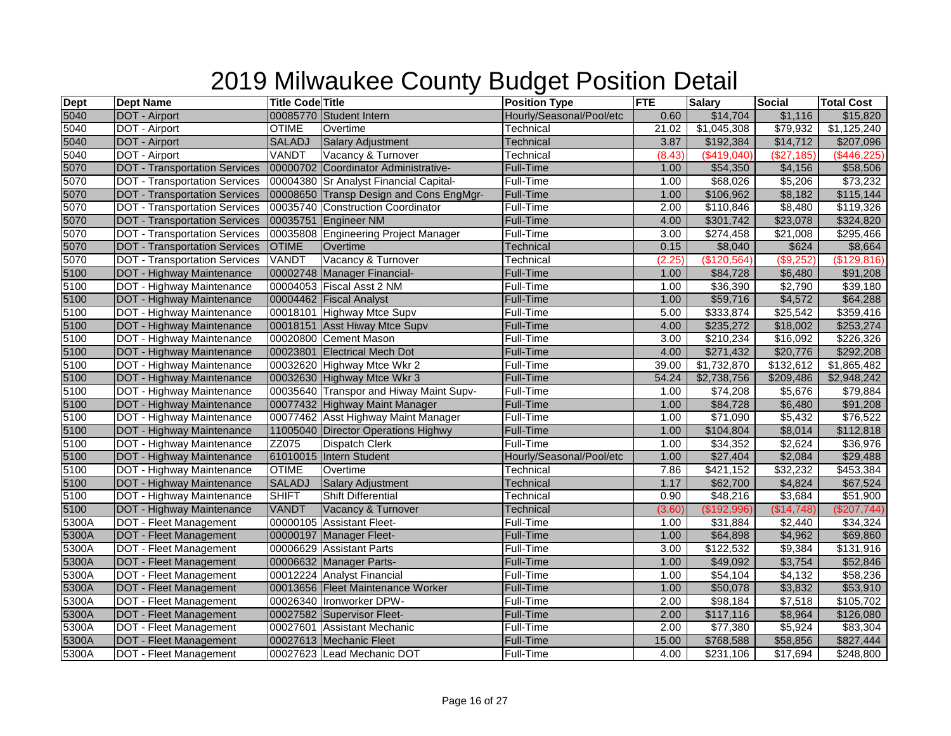| <b>Dept</b> | <b>Dept Name</b>                     | <b>Title Code Title</b> |                                         | <b>Position Type</b>     | <b>FTE</b> | <b>Salary</b>        | <b>Social</b> | <b>Total Cost</b> |
|-------------|--------------------------------------|-------------------------|-----------------------------------------|--------------------------|------------|----------------------|---------------|-------------------|
| 5040        | DOT - Airport                        |                         | 00085770 Student Intern                 | Hourly/Seasonal/Pool/etc | 0.60       | \$14,704             | \$1,116       | \$15,820          |
| 5040        | DOT - Airport                        | <b>OTIME</b>            | Overtime                                | Technical                | 21.02      | \$1,045,308          | \$79,932      | \$1,125,240       |
| 5040        | <b>DOT</b> - Airport                 | SALADJ                  | Salary Adjustment                       | Technical                | 3.87       | \$192,384            | \$14,712      | \$207,096         |
| 5040        | DOT - Airport                        | VANDT                   | Vacancy & Turnover                      | Technical                | (8.43)     | (\$419,040)          | (\$27,185)    | (\$446,225)       |
| 5070        | <b>DOT - Transportation Services</b> |                         | 00000702 Coordinator Administrative-    | <b>Full-Time</b>         | 1.00       | \$54,350             | \$4,156       | \$58,506          |
| 5070        | <b>DOT</b> - Transportation Services |                         | 00004380 Sr Analyst Financial Capital-  | Full-Time                | 1.00       | \$68,026             | \$5,206       | \$73,232          |
| 5070        | <b>DOT</b> - Transportation Services |                         | 00008650 Transp Design and Cons EngMgr- | Full-Time                | 1.00       | \$106,962            | \$8,182       | \$115,144         |
| 5070        | <b>DOT</b> - Transportation Services |                         | 00035740 Construction Coordinator       | Full-Time                | 2.00       | \$110,846            | \$8,480       | \$119,326         |
| 5070        | <b>DOT - Transportation Services</b> |                         | 00035751 Engineer NM                    | Full-Time                | 4.00       | \$301,742            | \$23,078      | \$324,820         |
| 5070        | <b>DOT</b> - Transportation Services |                         | 00035808 Engineering Project Manager    | Full-Time                | 3.00       | \$274,458            | \$21,008      | \$295,466         |
| 5070        | <b>DOT - Transportation Services</b> | <b>OTIME</b>            | <b>Overtime</b>                         | <b>Technical</b>         | 0.15       | \$8,040              | \$624         | \$8,664           |
| 5070        | <b>DOT</b> - Transportation Services | <b>VANDT</b>            | Vacancy & Turnover                      | Technical                | (2.25)     | \$120,564            | (\$9,252      | (\$129,816)       |
| 5100        | <b>DOT - Highway Maintenance</b>     |                         | 00002748 Manager Financial-             | <b>Full-Time</b>         | 1.00       | \$84,728             | \$6,480       | \$91,208          |
| 5100        | DOT - Highway Maintenance            |                         | 00004053 Fiscal Asst 2 NM               | Full-Time                | 1.00       | \$36,390             | \$2,790       | \$39,180          |
| 5100        | DOT - Highway Maintenance            |                         | 00004462 Fiscal Analyst                 | Full-Time                | 1.00       | \$59,716             | \$4,572       | \$64,288          |
| 5100        | DOT - Highway Maintenance            |                         | 00018101 Highway Mtce Supv              | Full-Time                | 5.00       | \$333,874            | \$25,542      | \$359,416         |
| 5100        | DOT - Highway Maintenance            |                         | 00018151 Asst Hiway Mtce Supv           | <b>Full-Time</b>         | 4.00       | \$235,272            | \$18,002      | \$253,274         |
| 5100        | DOT - Highway Maintenance            |                         | 00020800 Cement Mason                   | Full-Time                | 3.00       | \$210,234            | \$16,092      | \$226,326         |
| 5100        | DOT - Highway Maintenance            |                         | 00023801 Electrical Mech Dot            | Full-Time                | 4.00       | \$271,432            | \$20,776      | \$292,208         |
| 5100        | DOT - Highway Maintenance            |                         | 00032620 Highway Mtce Wkr 2             | Full-Time                | 39.00      | \$1,732,870          | \$132,612     | \$1,865,482       |
| 5100        | DOT - Highway Maintenance            |                         | 00032630 Highway Mtce Wkr 3             | <b>Full-Time</b>         | 54.24      | \$2,738,756          | \$209,486     | \$2,948,242       |
| 5100        | DOT - Highway Maintenance            |                         | 00035640 Transpor and Hiway Maint Supv- | <b>Full-Time</b>         | 1.00       | \$74,208             | \$5,676       | \$79,884          |
| 5100        | DOT - Highway Maintenance            |                         | 00077432 Highway Maint Manager          | <b>Full-Time</b>         | 1.00       | \$84,728             | \$6,480       | \$91,208          |
| 5100        | DOT - Highway Maintenance            |                         | 00077462 Asst Highway Maint Manager     | Full-Time                | 1.00       | \$71,090             | \$5,432       | \$76,522          |
| 5100        | DOT - Highway Maintenance            |                         | 11005040 Director Operations Highwy     | Full-Time                | 1.00       | \$104,804            | \$8,014       | \$112,818         |
| 5100        | DOT - Highway Maintenance            | ZZ075                   | <b>Dispatch Clerk</b>                   | Full-Time                | 1.00       | \$34,352             | \$2,624       | \$36,976          |
| 5100        | DOT - Highway Maintenance            |                         | 61010015 Intern Student                 | Hourly/Seasonal/Pool/etc | 1.00       | \$27,404             | \$2,084       | \$29,488          |
| 5100        | DOT - Highway Maintenance            | <b>OTIME</b>            | Overtime                                | Technical                | 7.86       | \$421,152            | \$32,232      | \$453,384         |
| 5100        | DOT - Highway Maintenance            | <b>SALADJ</b>           | Salary Adjustment                       | <b>Technical</b>         | 1.17       | \$62,700             | \$4,824       | \$67,524          |
| 5100        | DOT - Highway Maintenance            | <b>SHIFT</b>            | <b>Shift Differential</b>               | Technical                | 0.90       | \$48,216             | \$3,684       | \$51,900          |
| 5100        | DOT - Highway Maintenance            | <b>VANDT</b>            | Vacancy & Turnover                      | <b>Technical</b>         | (3.60)     | (\$192,996)          | (\$14,748)    | (\$207,744)       |
| 5300A       | DOT - Fleet Management               |                         | 00000105 Assistant Fleet-               | Full-Time                | 1.00       | \$31,884             | \$2,440       | \$34,324          |
| 5300A       | <b>DOT - Fleet Management</b>        |                         | 00000197 Manager Fleet-                 | <b>Full-Time</b>         | 1.00       | \$64,898             | \$4,962       | \$69,860          |
| 5300A       | DOT - Fleet Management               |                         | 00006629 Assistant Parts                | Full-Time                | 3.00       | \$122,532            | \$9,384       | \$131,916         |
| 5300A       | <b>DOT - Fleet Management</b>        |                         | 00006632 Manager Parts-                 | Full-Time                | 1.00       | \$49,092             | \$3,754       | \$52,846          |
| 5300A       | <b>DOT</b> - Fleet Management        |                         | 00012224 Analyst Financial              | Full-Time                | 1.00       | $\overline{$}54,104$ | \$4,132       | \$58,236          |
| 5300A       | <b>DOT - Fleet Management</b>        |                         | 00013656 Fleet Maintenance Worker       | Full-Time                | 1.00       | \$50,078             | \$3,832       | \$53,910          |
| 5300A       | DOT - Fleet Management               |                         | 00026340 Ironworker DPW-                | Full-Time                | 2.00       | \$98,184             | \$7,518       | \$105,702         |
| 5300A       | <b>DOT - Fleet Management</b>        |                         | 00027582 Supervisor Fleet-              | <b>Full-Time</b>         | 2.00       | \$117,116            | \$8,964       | \$126,080         |
| 5300A       | <b>DOT</b> - Fleet Management        |                         | 00027601 Assistant Mechanic             | Full-Time                | 2.00       | \$77,380             | \$5,924       | \$83,304          |
| 5300A       | <b>DOT - Fleet Management</b>        |                         | 00027613 Mechanic Fleet                 | <b>Full-Time</b>         | 15.00      | \$768,588            | \$58,856      | \$827,444         |
| 5300A       | DOT - Fleet Management               |                         | 00027623 Lead Mechanic DOT              | Full-Time                | 4.00       | \$231,106            | \$17,694      | $\sqrt{$248,800}$ |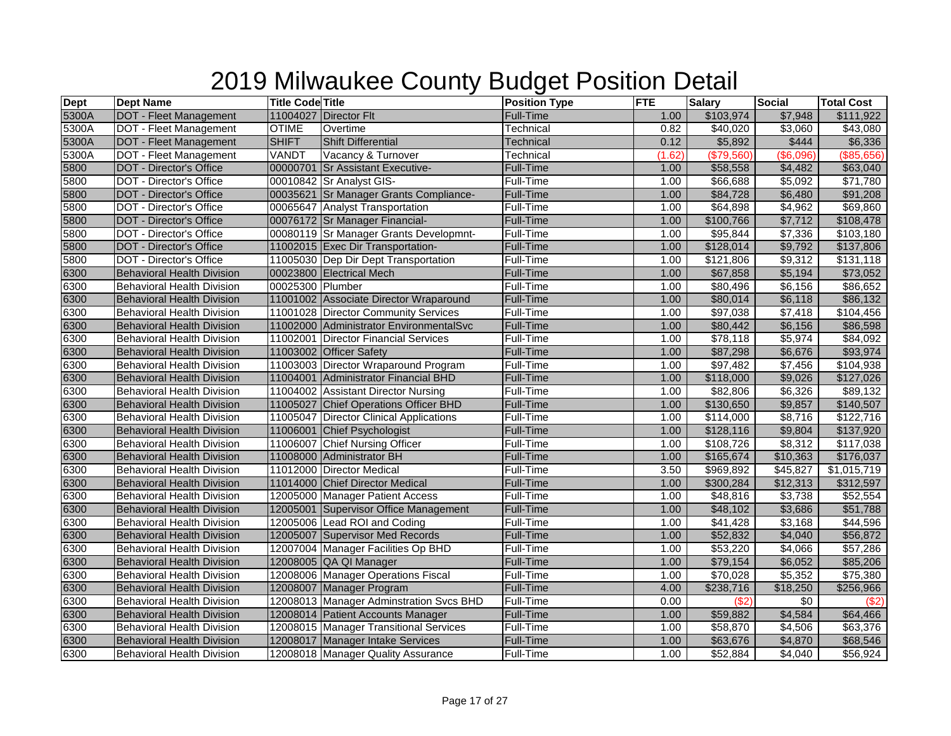| <b>Dept</b> | <b>Dept Name</b>                  | <b>Title Code Title</b> |                                         | <b>Position Type</b> | <b>FTE</b> | <b>Salary</b>        | <b>Social</b> | <b>Total Cost</b> |
|-------------|-----------------------------------|-------------------------|-----------------------------------------|----------------------|------------|----------------------|---------------|-------------------|
| 5300A       | DOT - Fleet Management            |                         | 11004027 Director Flt                   | Full-Time            | 1.00       | \$103,974            | \$7,948       | \$111,922         |
| 5300A       | <b>DOT</b> - Fleet Management     | <b>OTIME</b>            | Overtime                                | Technical            | 0.82       | \$40,020             | \$3,060       | \$43,080          |
| 5300A       | <b>DOT - Fleet Management</b>     | <b>SHIFT</b>            | <b>Shift Differential</b>               | Technical            | 0.12       | \$5,892              | \$444         | \$6,336           |
| 5300A       | DOT - Fleet Management            | VANDT                   | Vacancy & Turnover                      | Technical            | (1.62)     | (\$79,560)           | (\$6,096)     | (\$85,656)        |
| 5800        | <b>DOT - Director's Office</b>    |                         | 00000701 Sr Assistant Executive-        | Full-Time            | 1.00       | \$58,558             | \$4,482       | \$63,040          |
| 5800        | <b>DOT</b> - Director's Office    |                         | 00010842 Sr Analyst GIS-                | Full-Time            | 1.00       | \$66,688             | \$5,092       | \$71,780          |
| 5800        | <b>DOT - Director's Office</b>    |                         | 00035621 Sr Manager Grants Compliance-  | Full-Time            | 1.00       | \$84,728             | \$6,480       | \$91,208          |
| 5800        | DOT - Director's Office           |                         | 00065647 Analyst Transportation         | Full-Time            | 1.00       | \$64,898             | \$4,962       | \$69,860          |
| 5800        | <b>DOT - Director's Office</b>    |                         | 00076172 Sr Manager Financial-          | Full-Time            | 1.00       | \$100,766            | \$7,712       | \$108,478         |
| 5800        | DOT - Director's Office           |                         | 00080119 Sr Manager Grants Developmnt-  | Full-Time            | 1.00       | \$95,844             | \$7,336       | \$103,180         |
| 5800        | <b>DOT - Director's Office</b>    |                         | 11002015 Exec Dir Transportation-       | Full-Time            | 1.00       | \$128,014            | \$9,792       | \$137,806         |
| 5800        | <b>DOT</b> - Director's Office    |                         | 11005030 Dep Dir Dept Transportation    | Full-Time            | 1.00       | \$121,806            | \$9,312       | \$131,118         |
| 6300        | <b>Behavioral Health Division</b> |                         | 00023800 Electrical Mech                | <b>Full-Time</b>     | 1.00       | \$67,858             | \$5,194       | \$73,052          |
| 6300        | <b>Behavioral Health Division</b> | 00025300 Plumber        |                                         | Full-Time            | 1.00       | \$80,496             | \$6,156       | \$86,652          |
| 6300        | <b>Behavioral Health Division</b> |                         | 11001002 Associate Director Wraparound  | <b>Full-Time</b>     | 1.00       | \$80,014             | \$6,118       | \$86,132          |
| 6300        | <b>Behavioral Health Division</b> |                         | 11001028 Director Community Services    | Full-Time            | 1.00       | \$97,038             | \$7,418       | \$104,456         |
| 6300        | <b>Behavioral Health Division</b> |                         | 11002000 Administrator EnvironmentalSvc | <b>Full-Time</b>     | 1.00       | \$80,442             | \$6,156       | \$86,598          |
| 6300        | <b>Behavioral Health Division</b> |                         | 11002001 Director Financial Services    | Full-Time            | 1.00       | \$78,118             | \$5,974       | \$84,092          |
| 6300        | <b>Behavioral Health Division</b> |                         | 11003002 Officer Safety                 | Full-Time            | 1.00       | \$87,298             | \$6,676       | \$93,974          |
| 6300        | <b>Behavioral Health Division</b> |                         | 11003003 Director Wraparound Program    | Full-Time            | 1.00       | \$97,482             | \$7,456       | \$104,938         |
| 6300        | <b>Behavioral Health Division</b> |                         | 11004001 Administrator Financial BHD    | <b>Full-Time</b>     | 1.00       | \$118,000            | \$9,026       | \$127,026         |
| 6300        | <b>Behavioral Health Division</b> |                         | 11004002 Assistant Director Nursing     | Full-Time            | 1.00       | \$82,806             | \$6,326       | \$89,132          |
| 6300        | <b>Behavioral Health Division</b> |                         | 11005027 Chief Operations Officer BHD   | Full-Time            | 1.00       | \$130,650            | \$9,857       | \$140,507         |
| 6300        | <b>Behavioral Health Division</b> |                         | 11005047 Director Clinical Applications | Full-Time            | 1.00       | \$114,000            | \$8,716       | \$122,716         |
| 6300        | <b>Behavioral Health Division</b> |                         | 11006001 Chief Psychologist             | Full-Time            | 1.00       | \$128,116            | \$9,804       | \$137,920         |
| 6300        | Behavioral Health Division        |                         | 11006007 Chief Nursing Officer          | Full-Time            | 1.00       | \$108,726            | \$8,312       | \$117,038         |
| 6300        | <b>Behavioral Health Division</b> |                         | 11008000 Administrator BH               | <b>Full-Time</b>     | 1.00       | \$165,674            | \$10,363      | \$176,037         |
| 6300        | <b>Behavioral Health Division</b> |                         | 11012000 Director Medical               | Full-Time            | 3.50       | \$969,892            | \$45,827      | \$1,015,719       |
| 6300        | <b>Behavioral Health Division</b> |                         | 11014000 Chief Director Medical         | Full-Time            | 1.00       | \$300,284            | \$12,313      | \$312,597         |
| 6300        | <b>Behavioral Health Division</b> |                         | 12005000 Manager Patient Access         | Full-Time            | 1.00       | \$48,816             | \$3,738       | \$52,554          |
| 6300        | <b>Behavioral Health Division</b> |                         | 12005001 Supervisor Office Management   | <b>Full-Time</b>     | 1.00       | \$48,102             | \$3,686       | \$51,788          |
| 6300        | <b>Behavioral Health Division</b> |                         | 12005006 Lead ROI and Coding            | Full-Time            | 1.00       | $\overline{$}41,428$ | \$3,168       | \$44,596          |
| 6300        | <b>Behavioral Health Division</b> |                         | 12005007 Supervisor Med Records         | <b>Full-Time</b>     | 1.00       | \$52,832             | \$4,040       | \$56,872          |
| 6300        | <b>Behavioral Health Division</b> |                         | 12007004 Manager Facilities Op BHD      | Full-Time            | 1.00       | \$53,220             | \$4,066       | \$57,286          |
| 6300        | <b>Behavioral Health Division</b> |                         | 12008005 QA QI Manager                  | <b>Full-Time</b>     | 1.00       | \$79,154             | \$6,052       | \$85,206          |
| 6300        | <b>Behavioral Health Division</b> |                         | 12008006 Manager Operations Fiscal      | Full-Time            | 1.00       | \$70,028             | \$5,352       | \$75,380          |
| 6300        | <b>Behavioral Health Division</b> |                         | 12008007 Manager Program                | Full-Time            | 4.00       | \$238,716            | \$18,250      | \$256,966         |
| 6300        | <b>Behavioral Health Division</b> |                         | 12008013 Manager Adminstration Svcs BHD | Full-Time            | 0.00       | $($ \$2)             | \$0           | (S2)              |
| 6300        | <b>Behavioral Health Division</b> |                         | 12008014 Patient Accounts Manager       | <b>Full-Time</b>     | 1.00       | \$59,882             | \$4,584       | \$64,466          |
| 6300        | <b>Behavioral Health Division</b> |                         | 12008015 Manager Transitional Services  | Full-Time            | 1.00       | \$58,870             | \$4,506       | \$63,376          |
| 6300        | <b>Behavioral Health Division</b> |                         | 12008017 Manager Intake Services        | Full-Time            | 1.00       | \$63,676             | \$4,870       | \$68,546          |
| 6300        | <b>Behavioral Health Division</b> |                         | 12008018 Manager Quality Assurance      | Full-Time            | 1.00       | \$52,884             | \$4,040       | \$56,924          |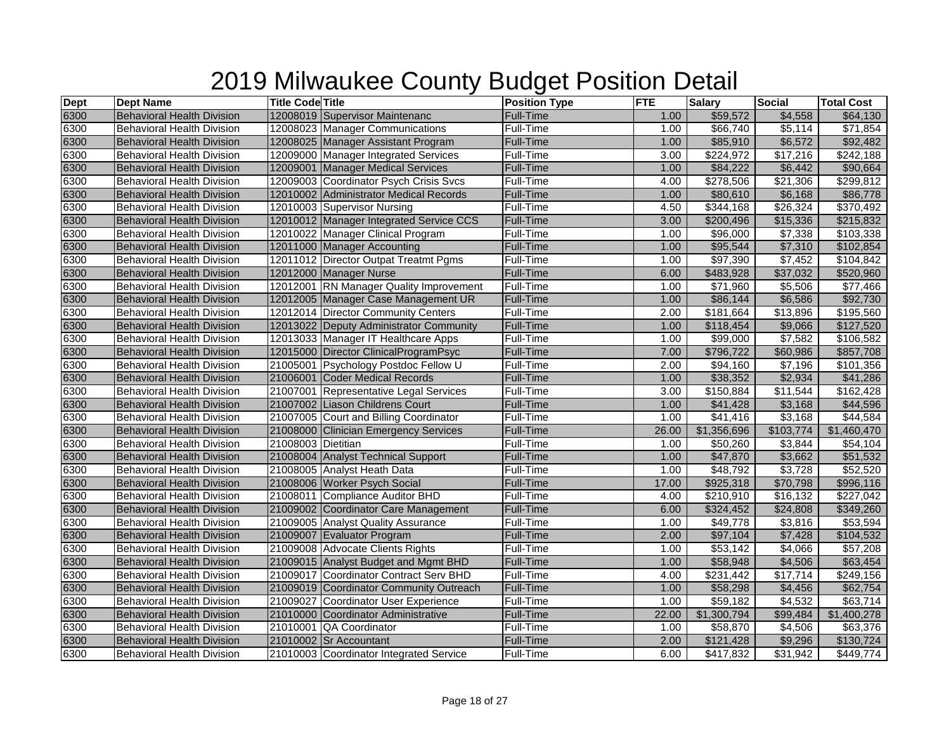| <b>Dept</b> | <b>Dept Name</b>                  | <b>Title Code Title</b> |                                         | <b>Position Type</b> | <b>FTE</b> | <b>Salary</b>        | <b>Social</b> | <b>Total Cost</b>    |
|-------------|-----------------------------------|-------------------------|-----------------------------------------|----------------------|------------|----------------------|---------------|----------------------|
| 6300        | <b>Behavioral Health Division</b> |                         | 12008019 Supervisor Maintenanc          | Full-Time            | 1.00       | \$59,572             | \$4,558       | \$64,130             |
| 6300        | <b>Behavioral Health Division</b> |                         | 12008023 Manager Communications         | Full-Time            | 1.00       | \$66,740             | \$5,114       | \$71,854             |
| 6300        | <b>Behavioral Health Division</b> |                         | 12008025 Manager Assistant Program      | Full-Time            | 1.00       | \$85,910             | \$6,572       | \$92,482             |
| 6300        | <b>Behavioral Health Division</b> |                         | 12009000 Manager Integrated Services    | Full-Time            | 3.00       | \$224,972            | \$17,216      | \$242,188            |
| 6300        | <b>Behavioral Health Division</b> |                         | 12009001 Manager Medical Services       | <b>Full-Time</b>     | 1.00       | \$84,222             | \$6,442       | \$90,664             |
| 6300        | <b>Behavioral Health Division</b> |                         | 12009003 Coordinator Psych Crisis Svcs  | Full-Time            | 4.00       | \$278,506            | \$21,306      | \$299,812            |
| 6300        | <b>Behavioral Health Division</b> |                         | 12010002 Administrator Medical Records  | Full-Time            | 1.00       | \$80,610             | \$6,168       | \$86,778             |
| 6300        | <b>Behavioral Health Division</b> |                         | 12010003 Supervisor Nursing             | Full-Time            | 4.50       | \$344,168            | \$26,324      | \$370,492            |
| 6300        | <b>Behavioral Health Division</b> |                         | 12010012 Manager Integrated Service CCS | Full-Time            | 3.00       | \$200,496            | \$15,336      | \$215,832            |
| 6300        | <b>Behavioral Health Division</b> |                         | 12010022 Manager Clinical Program       | Full-Time            | 1.00       | \$96,000             | \$7,338       | \$103,338            |
| 6300        | <b>Behavioral Health Division</b> |                         | 12011000 Manager Accounting             | <b>Full-Time</b>     | 1.00       | \$95,544             | \$7,310       | \$102,854            |
| 6300        | <b>Behavioral Health Division</b> |                         | 12011012 Director Outpat Treatmt Pgms   | Full-Time            | 1.00       | \$97,390             | \$7,452       | \$104,842            |
| 6300        | <b>Behavioral Health Division</b> |                         | 12012000 Manager Nurse                  | Full-Time            | 6.00       | \$483,928            | \$37,032      | \$520,960            |
| 6300        | <b>Behavioral Health Division</b> |                         | 12012001 RN Manager Quality Improvement | Full-Time            | 1.00       | $\overline{$}71,960$ | \$5,506       | $\overline{$77,466}$ |
| 6300        | <b>Behavioral Health Division</b> |                         | 12012005 Manager Case Management UR     | <b>Full-Time</b>     | 1.00       | \$86,144             | \$6,586       | \$92,730             |
| 6300        | <b>Behavioral Health Division</b> |                         | 12012014 Director Community Centers     | <b>Full-Time</b>     | 2.00       | \$181,664            | \$13,896      | \$195,560            |
| 6300        | <b>Behavioral Health Division</b> |                         | 12013022 Deputy Administrator Community | Full-Time            | 1.00       | \$118,454            | \$9,066       | \$127,520            |
| 6300        | <b>Behavioral Health Division</b> |                         | 12013033 Manager IT Healthcare Apps     | Full-Time            | 1.00       | $\overline{$99,000}$ | \$7,582       | \$106,582            |
| 6300        | <b>Behavioral Health Division</b> |                         | 12015000 Director ClinicalProgramPsyc   | Full-Time            | 7.00       | \$796,722            | \$60,986      | \$857,708            |
| 6300        | <b>Behavioral Health Division</b> |                         | 21005001 Psychology Postdoc Fellow U    | Full-Time            | 2.00       | \$94,160             | \$7,196       | \$101,356            |
| 6300        | <b>Behavioral Health Division</b> |                         | 21006001 Coder Medical Records          | Full-Time            | 1.00       | \$38,352             | \$2,934       | \$41,286             |
| 6300        | <b>Behavioral Health Division</b> |                         | 21007001 Representative Legal Services  | Full-Time            | 3.00       | \$150,884            | \$11,544      | \$162,428            |
| 6300        | <b>Behavioral Health Division</b> |                         | 21007002 Liason Childrens Court         | Full-Time            | 1.00       | \$41,428             | \$3,168       | \$44,596             |
| 6300        | <b>Behavioral Health Division</b> |                         | 21007005 Court and Billing Coordinator  | Full-Time            | 1.00       | $\sqrt{$41,416}$     | \$3,168       | \$44,584             |
| 6300        | <b>Behavioral Health Division</b> |                         | 21008000 Clinician Emergency Services   | Full-Time            | 26.00      | \$1,356,696          | \$103,774     | \$1,460,470          |
| 6300        | Behavioral Health Division        | 21008003 Dietitian      |                                         | Full-Time            | 1.00       | \$50,260             | \$3,844       | \$54,104             |
| 6300        | <b>Behavioral Health Division</b> |                         | 21008004 Analyst Technical Support      | <b>Full-Time</b>     | 1.00       | \$47,870             | \$3,662       | \$51,532             |
| 6300        | Behavioral Health Division        |                         | 21008005 Analyst Heath Data             | Full-Time            | 1.00       | \$48,792             | \$3,728       | \$52,520             |
| 6300        | <b>Behavioral Health Division</b> |                         | 21008006 Worker Psych Social            | <b>Full-Time</b>     | 17.00      | \$925,318            | \$70,798      | \$996,116            |
| 6300        | <b>Behavioral Health Division</b> |                         | 21008011 Compliance Auditor BHD         | Full-Time            | 4.00       | \$210,910            | \$16,132      | \$227,042            |
| 6300        | <b>Behavioral Health Division</b> |                         | 21009002 Coordinator Care Management    | Full-Time            | 6.00       | \$324,452            | \$24,808      | \$349,260            |
| 6300        | <b>Behavioral Health Division</b> |                         | 21009005 Analyst Quality Assurance      | Full-Time            | 1.00       | $\overline{$49,778}$ | \$3,816       | \$53,594             |
| 6300        | <b>Behavioral Health Division</b> |                         | 21009007 Evaluator Program              | Full-Time            | 2.00       | \$97,104             | \$7,428       | \$104,532            |
| 6300        | <b>Behavioral Health Division</b> |                         | 21009008 Advocate Clients Rights        | Full-Time            | 1.00       | $\overline{$}53,142$ | \$4,066       | \$57,208             |
| 6300        | <b>Behavioral Health Division</b> |                         | 21009015 Analyst Budget and Mgmt BHD    | Full-Time            | 1.00       | \$58,948             | \$4,506       | \$63,454             |
| 6300        | <b>Behavioral Health Division</b> |                         | 21009017 Coordinator Contract Serv BHD  | Full-Time            | 4.00       | \$231,442            | \$17,714      | \$249,156            |
| 6300        | <b>Behavioral Health Division</b> |                         | 21009019 Coordinator Community Outreach | Full-Time            | 1.00       | \$58,298             | \$4,456       | \$62,754             |
| 6300        | <b>Behavioral Health Division</b> |                         | 21009027 Coordinator User Experience    | Full-Time            | 1.00       | \$59,182             | \$4,532       | \$63,714             |
| 6300        | <b>Behavioral Health Division</b> |                         | 21010000 Coordinator Administrative     | Full-Time            | 22.00      | \$1,300,794          | \$99,484      | \$1,400,278          |
| 6300        | <b>Behavioral Health Division</b> |                         | 21010001 QA Coordinator                 | Full-Time            | 1.00       | \$58,870             | \$4,506       | \$63,376             |
| 6300        | <b>Behavioral Health Division</b> |                         | 21010002 Sr Accountant                  | Full-Time            | 2.00       | \$121,428            | \$9,296       | \$130,724            |
| 6300        | <b>Behavioral Health Division</b> |                         | 21010003 Coordinator Integrated Service | Full-Time            | 6.00       | \$417,832            | \$31,942      | \$449,774            |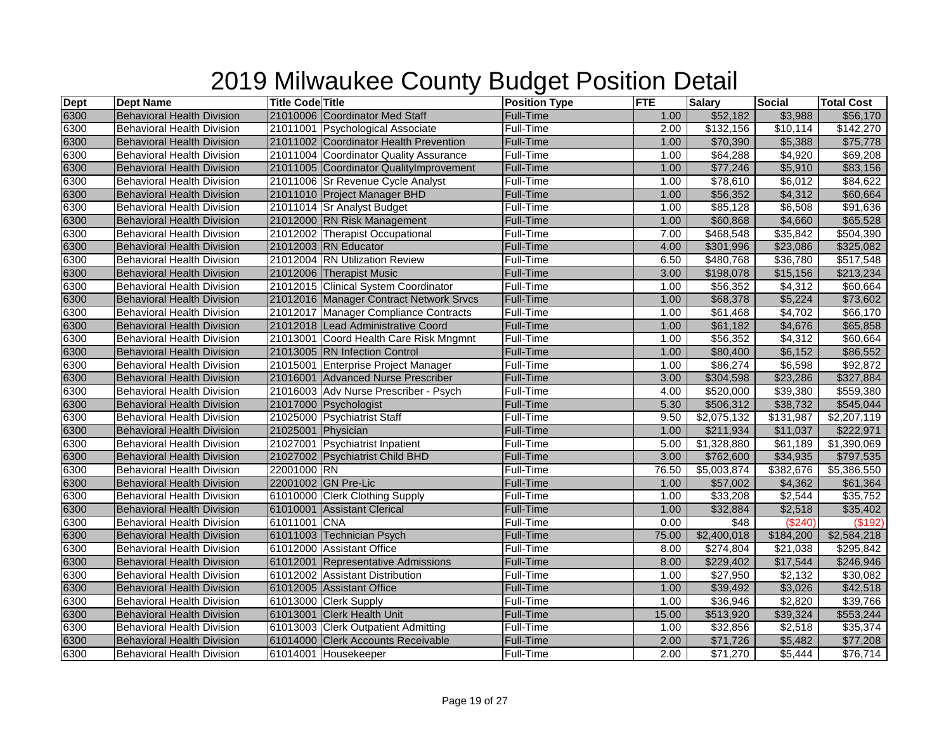| <b>Dept</b> | <b>Dept Name</b>                  | <b>Title Code Title</b> |                                          | <b>Position Type</b> | <b>FTE</b> | <b>Salary</b>        | Social    | <b>Total Cost</b> |
|-------------|-----------------------------------|-------------------------|------------------------------------------|----------------------|------------|----------------------|-----------|-------------------|
| 6300        | <b>Behavioral Health Division</b> |                         | 21010006 Coordinator Med Staff           | Full-Time            | 1.00       | \$52,182             | \$3,988   | \$56,170          |
| 6300        | <b>Behavioral Health Division</b> |                         | 21011001 Psychological Associate         | Full-Time            | 2.00       | \$132,156            | \$10,114  | \$142,270         |
| 6300        | <b>Behavioral Health Division</b> |                         | 21011002 Coordinator Health Prevention   | Full-Time            | 1.00       | \$70,390             | \$5,388   | \$75,778          |
| 6300        | <b>Behavioral Health Division</b> |                         | 21011004 Coordinator Quality Assurance   | Full-Time            | 1.00       | \$64,288             | \$4,920   | \$69,208          |
| 6300        | <b>Behavioral Health Division</b> |                         | 21011005 Coordinator Quality Improvement | <b>Full-Time</b>     | 1.00       | \$77,246             | \$5,910   | \$83,156          |
| 6300        | <b>Behavioral Health Division</b> |                         | 21011006 Sr Revenue Cycle Analyst        | Full-Time            | 1.00       | \$78,610             | \$6,012   | \$84,622          |
| 6300        | <b>Behavioral Health Division</b> |                         | 21011010 Project Manager BHD             | Full-Time            | 1.00       | \$56,352             | \$4,312   | \$60,664          |
| 6300        | <b>Behavioral Health Division</b> |                         | 21011014 Sr Analyst Budget               | Full-Time            | 1.00       | \$85,128             | \$6,508   | \$91,636          |
| 6300        | <b>Behavioral Health Division</b> |                         | 21012000 RN Risk Management              | Full-Time            | 1.00       | \$60,868             | \$4,660   | \$65,528          |
| 6300        | <b>Behavioral Health Division</b> |                         | 21012002 Therapist Occupational          | Full-Time            | 7.00       | \$468,548            | \$35,842  | \$504,390         |
| 6300        | <b>Behavioral Health Division</b> |                         | 21012003 RN Educator                     | Full-Time            | 4.00       | \$301,996            | \$23,086  | \$325,082         |
| 6300        | <b>Behavioral Health Division</b> |                         | 21012004 RN Utilization Review           | Full-Time            | 6.50       | \$480,768            | \$36,780  | \$517,548         |
| 6300        | <b>Behavioral Health Division</b> |                         | 21012006 Therapist Music                 | <b>Full-Time</b>     | 3.00       | \$198,078            | \$15,156  | \$213,234         |
| 6300        | Behavioral Health Division        |                         | 21012015 Clinical System Coordinator     | Full-Time            | 1.00       | \$56,352             | \$4,312   | \$60,664          |
| 6300        | <b>Behavioral Health Division</b> |                         | 21012016 Manager Contract Network Srvcs  | Full-Time            | 1.00       | \$68,378             | \$5,224   | \$73,602          |
| 6300        | <b>Behavioral Health Division</b> |                         | 21012017 Manager Compliance Contracts    | Full-Time            | 1.00       | \$61,468             | \$4,702   | \$66,170          |
| 6300        | <b>Behavioral Health Division</b> |                         | 21012018 Lead Administrative Coord       | <b>Full-Time</b>     | 1.00       | \$61,182             | \$4,676   | \$65,858          |
| 6300        | <b>Behavioral Health Division</b> |                         | 21013001 Coord Health Care Risk Mngmnt   | Full-Time            | 1.00       | \$56,352             | \$4,312   | \$60,664          |
| 6300        | <b>Behavioral Health Division</b> |                         | 21013005 RN Infection Control            | <b>Full-Time</b>     | 1.00       | \$80,400             | \$6,152   | \$86,552          |
| 6300        | <b>Behavioral Health Division</b> |                         | 21015001 Enterprise Project Manager      | Full-Time            | 1.00       | \$86,274             | \$6,598   | \$92,872          |
| 6300        | <b>Behavioral Health Division</b> |                         | 21016001 Advanced Nurse Prescriber       | <b>Full-Time</b>     | 3.00       | \$304,598            | \$23,286  | \$327,884         |
| 6300        | <b>Behavioral Health Division</b> |                         | 21016003 Adv Nurse Prescriber - Psych    | Full-Time            | 4.00       | \$520,000            | \$39,380  | \$559,380         |
| 6300        | <b>Behavioral Health Division</b> |                         | 21017000 Psychologist                    | Full-Time            | 5.30       | \$506,312            | \$38,732  | \$545,044         |
| 6300        | <b>Behavioral Health Division</b> |                         | 21025000 Psychiatrist Staff              | Full-Time            | 9.50       | \$2,075,132          | \$131,987 | \$2,207,119       |
| 6300        | <b>Behavioral Health Division</b> | 21025001 Physician      |                                          | Full-Time            | 1.00       | \$211,934            | \$11,037  | \$222,971         |
| 6300        | <b>Behavioral Health Division</b> |                         | 21027001 Psychiatrist Inpatient          | Full-Time            | 5.00       | \$1,328,880          | \$61,189  | \$1,390,069       |
| 6300        | <b>Behavioral Health Division</b> |                         | 21027002 Psychiatrist Child BHD          | <b>Full-Time</b>     | 3.00       | \$762,600            | \$34,935  | \$797,535         |
| 6300        | Behavioral Health Division        | 22001000 RN             |                                          | Full-Time            | 76.50      | \$5,003,874          | \$382,676 | \$5,386,550       |
| 6300        | <b>Behavioral Health Division</b> |                         | 22001002 GN Pre-Lic                      | Full-Time            | 1.00       | \$57,002             | \$4,362   | \$61,364          |
| 6300        | <b>Behavioral Health Division</b> |                         | 61010000 Clerk Clothing Supply           | Full-Time            | 1.00       | \$33,208             | \$2,544   | \$35,752          |
| 6300        | <b>Behavioral Health Division</b> |                         | 61010001 Assistant Clerical              | <b>Full-Time</b>     | 1.00       | \$32,884             | \$2,518   | \$35,402          |
| 6300        | <b>Behavioral Health Division</b> | 61011001 CNA            |                                          | Full-Time            | 0.00       | \$48                 | (\$240)   | $($ \$192)        |
| 6300        | <b>Behavioral Health Division</b> |                         | 61011003 Technician Psych                | Full-Time            | 75.00      | \$2,400,018          | \$184,200 | \$2,584,218       |
| 6300        | <b>Behavioral Health Division</b> |                         | 61012000 Assistant Office                | Full-Time            | 8.00       | \$274,804            | \$21,038  | \$295,842         |
| 6300        | <b>Behavioral Health Division</b> |                         | 61012001 Representative Admissions       | Full-Time            | 8.00       | \$229,402            | \$17,544  | \$246,946         |
| 6300        | <b>Behavioral Health Division</b> |                         | 61012002 Assistant Distribution          | Full-Time            | 1.00       | $\overline{$}27,950$ | \$2,132   | \$30,082          |
| 6300        | <b>Behavioral Health Division</b> |                         | 61012005 Assistant Office                | <b>Full-Time</b>     | 1.00       | \$39,492             | \$3,026   | \$42,518          |
| 6300        | <b>Behavioral Health Division</b> |                         | 61013000 Clerk Supply                    | Full-Time            | 1.00       | \$36,946             | \$2,820   | \$39,766          |
| 6300        | <b>Behavioral Health Division</b> |                         | 61013001 Clerk Health Unit               | <b>Full-Time</b>     | 15.00      | \$513,920            | \$39,324  | \$553,244         |
| 6300        | <b>Behavioral Health Division</b> |                         | 61013003 Clerk Outpatient Admitting      | Full-Time            | 1.00       | \$32,856             | \$2,518   | \$35,374          |
| 6300        | <b>Behavioral Health Division</b> |                         | 61014000 Clerk Accounts Receivable       | Full-Time            | 2.00       | \$71,726             | \$5,482   | \$77,208          |
| 6300        | Behavioral Health Division        |                         | 61014001 Housekeeper                     | Full-Time            | 2.00       | \$71,270             | \$5,444   | \$76,714          |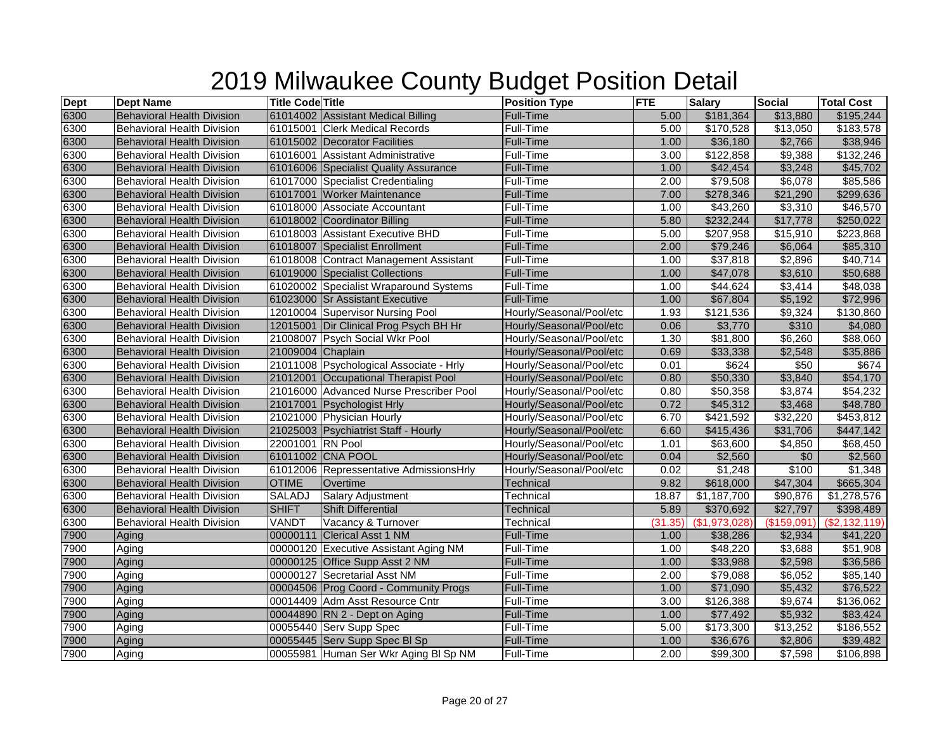| <b>Dept</b> | <b>Dept Name</b>                  | <b>Title Code Title</b> |                                         | <b>Position Type</b>     | <b>FTE</b> | <b>Salary</b>      | <b>Social</b>   | <b>Total Cost</b> |
|-------------|-----------------------------------|-------------------------|-----------------------------------------|--------------------------|------------|--------------------|-----------------|-------------------|
| 6300        | <b>Behavioral Health Division</b> |                         | 61014002 Assistant Medical Billing      | <b>Full-Time</b>         | 5.00       | \$181,364          | \$13,880        | \$195,244         |
| 6300        | <b>Behavioral Health Division</b> |                         | 61015001 Clerk Medical Records          | Full-Time                | 5.00       | \$170,528          | \$13,050        | \$183,578         |
| 6300        | <b>Behavioral Health Division</b> |                         | 61015002 Decorator Facilities           | Full-Time                | 1.00       | \$36,180           | \$2,766         | \$38,946          |
| 6300        | <b>Behavioral Health Division</b> |                         | 61016001 Assistant Administrative       | Full-Time                | 3.00       | \$122,858          | \$9,388         | \$132,246         |
| 6300        | <b>Behavioral Health Division</b> |                         | 61016006 Specialist Quality Assurance   | <b>Full-Time</b>         | 1.00       | \$42,454           | \$3,248         | \$45,702          |
| 6300        | Behavioral Health Division        |                         | 61017000 Specialist Credentialing       | Full-Time                | 2.00       | \$79,508           | \$6,078         | \$85,586          |
| 6300        | <b>Behavioral Health Division</b> |                         | 61017001 Worker Maintenance             | Full-Time                | 7.00       | \$278,346          | \$21,290        | \$299,636         |
| 6300        | <b>Behavioral Health Division</b> |                         | 61018000 Associate Accountant           | Full-Time                | 1.00       | \$43,260           | \$3,310         | \$46,570          |
| 6300        | <b>Behavioral Health Division</b> |                         | 61018002 Coordinator Billing            | Full-Time                | 5.80       | \$232,244          | \$17,778        | \$250,022         |
| 6300        | <b>Behavioral Health Division</b> |                         | 61018003 Assistant Executive BHD        | Full-Time                | 5.00       | \$207,958          | \$15,910        | \$223,868         |
| 6300        | <b>Behavioral Health Division</b> |                         | 61018007 Specialist Enrollment          | <b>Full-Time</b>         | 2.00       | \$79,246           | \$6,064         | \$85,310          |
| 6300        | <b>Behavioral Health Division</b> |                         | 61018008 Contract Management Assistant  | Full-Time                | 1.00       | \$37,818           | \$2,896         | \$40,714          |
| 6300        | <b>Behavioral Health Division</b> |                         | 61019000 Specialist Collections         | <b>Full-Time</b>         | 1.00       | \$47,078           | \$3,610         | \$50,688          |
| 6300        | <b>Behavioral Health Division</b> |                         | 61020002 Specialist Wraparound Systems  | Full-Time                | 1.00       | \$44,624           | $\sqrt{$3,414}$ | \$48,038          |
| 6300        | <b>Behavioral Health Division</b> |                         | 61023000 Sr Assistant Executive         | Full-Time                | 1.00       | \$67,804           | \$5,192         | \$72,996          |
| 6300        | <b>Behavioral Health Division</b> |                         | 12010004 Supervisor Nursing Pool        | Hourly/Seasonal/Pool/etc | 1.93       | \$121,536          | \$9,324         | \$130,860         |
| 6300        | <b>Behavioral Health Division</b> |                         | 12015001 Dir Clinical Prog Psych BH Hr  | Hourly/Seasonal/Pool/etc | 0.06       | \$3,770            | \$310           | \$4,080           |
| 6300        | <b>Behavioral Health Division</b> |                         | 21008007 Psych Social Wkr Pool          | Hourly/Seasonal/Pool/etc | 1.30       | \$81,800           | \$6,260         | \$88,060          |
| 6300        | <b>Behavioral Health Division</b> | 21009004 Chaplain       |                                         | Hourly/Seasonal/Pool/etc | 0.69       | \$33,338           | \$2,548         | \$35,886          |
| 6300        | <b>Behavioral Health Division</b> |                         | 21011008 Psychological Associate - Hrly | Hourly/Seasonal/Pool/etc | 0.01       | \$624              | \$50            | \$674             |
| 6300        | <b>Behavioral Health Division</b> |                         | 21012001 Occupational Therapist Pool    | Hourly/Seasonal/Pool/etc | 0.80       | \$50,330           | \$3,840         | \$54,170          |
| 6300        | <b>Behavioral Health Division</b> |                         | 21016000 Advanced Nurse Prescriber Pool | Hourly/Seasonal/Pool/etc | 0.80       | \$50,358           | \$3,874         | \$54,232          |
| 6300        | <b>Behavioral Health Division</b> |                         | 21017001 Psychologist Hrly              | Hourly/Seasonal/Pool/etc | 0.72       | \$45,312           | \$3,468         | \$48,780          |
| 6300        | <b>Behavioral Health Division</b> |                         | 21021000 Physician Hourly               | Hourly/Seasonal/Pool/etc | 6.70       | \$421,592          | \$32,220        | \$453,812         |
| 6300        | <b>Behavioral Health Division</b> |                         | 21025003 Psychiatrist Staff - Hourly    | Hourly/Seasonal/Pool/etc | 6.60       | \$415,436          | \$31,706        | \$447,142         |
| 6300        | <b>Behavioral Health Division</b> | 22001001 RN Pool        |                                         | Hourly/Seasonal/Pool/etc | 1.01       | \$63,600           | \$4,850         | \$68,450          |
| 6300        | <b>Behavioral Health Division</b> |                         | 61011002 CNA POOL                       | Hourly/Seasonal/Pool/etc | 0.04       | \$2,560            | \$0             | \$2,560           |
| 6300        | <b>Behavioral Health Division</b> |                         | 61012006 Repressentative AdmissionsHrly | Hourly/Seasonal/Pool/etc | 0.02       | $\overline{1,248}$ | \$100           | \$1,348           |
| 6300        | <b>Behavioral Health Division</b> | <b>OTIME</b>            | Overtime                                | Technical                | 9.82       | \$618,000          | \$47,304        | \$665,304         |
| 6300        | <b>Behavioral Health Division</b> | SALADJ                  | <b>Salary Adjustment</b>                | Technical                | 18.87      | \$1,187,700        | \$90,876        | \$1,278,576       |
| 6300        | <b>Behavioral Health Division</b> | <b>SHIFT</b>            | <b>Shift Differential</b>               | <b>Technical</b>         | 5.89       | \$370,692          | \$27,797        | \$398,489         |
| 6300        | <b>Behavioral Health Division</b> | VANDT                   | Vacancy & Turnover                      | Technical                | (31.35)    | (\$1,973,028)      | (\$159,091      | (\$2,132,119)     |
| 7900        | Aging                             |                         | 00000111 Clerical Asst 1 NM             | <b>Full-Time</b>         | 1.00       | \$38,286           | \$2,934         | \$41,220          |
| 7900        | Aging                             |                         | 00000120 Executive Assistant Aging NM   | Full-Time                | 1.00       | \$48,220           | \$3,688         | \$51,908          |
| 7900        | Aging                             |                         | 00000125 Office Supp Asst 2 NM          | <b>Full-Time</b>         | 1.00       | \$33,988           | \$2,598         | \$36,586          |
| 7900        | Aging                             |                         | 00000127 Secretarial Asst NM            | Full-Time                | 2.00       | \$79,088           | \$6,052         | \$85,140          |
| 7900        | Aging                             |                         | 00004506 Prog Coord - Community Progs   | Full-Time                | 1.00       | \$71,090           | \$5,432         | \$76,522          |
| 7900        | Aging                             |                         | 00014409 Adm Asst Resource Cntr         | Full-Time                | 3.00       | \$126,388          | \$9,674         | \$136,062         |
| 7900        | Aging                             |                         | 00044890 RN 2 - Dept on Aging           | <b>Full-Time</b>         | 1.00       | \$77,492           | \$5,932         | \$83,424          |
| 7900        | Aging                             |                         | 00055440 Serv Supp Spec                 | Full-Time                | 5.00       | \$173,300          | \$13,252        | \$186,552         |
| 7900        | Aging                             |                         | 00055445 Serv Supp Spec BI Sp           | Full-Time                | 1.00       | \$36,676           | \$2,806         | \$39,482          |
| 7900        | Aging                             |                         | 00055981 Human Ser Wkr Aging BI Sp NM   | Full-Time                | 2.00       | \$99,300           | \$7,598         | \$106,898         |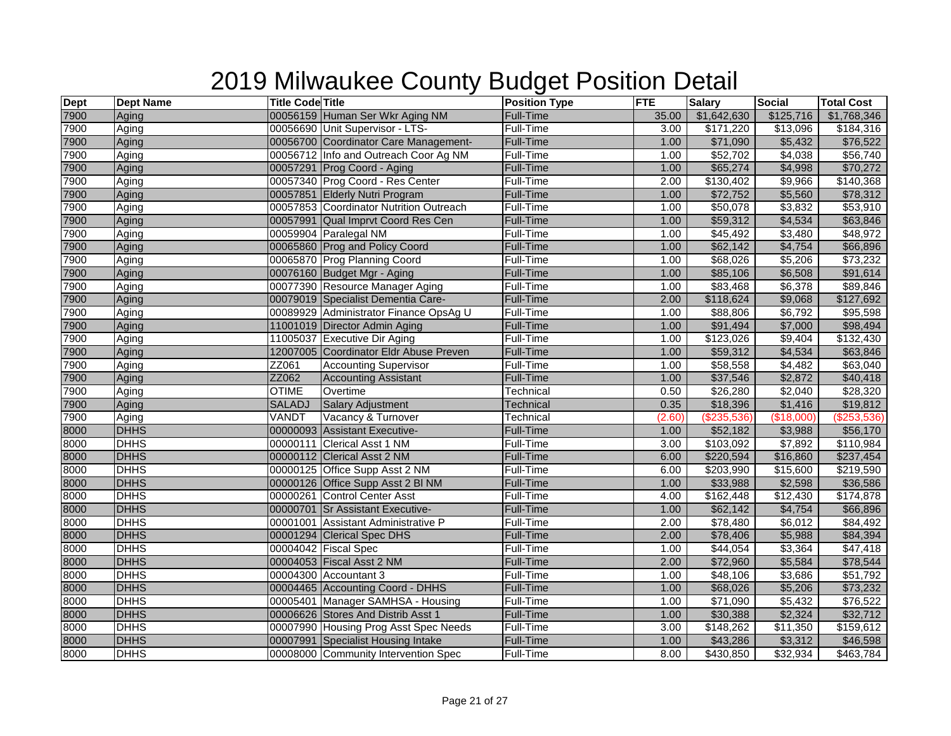| <b>Dept</b> | <b>Dept Name</b> | <b>Title Code Title</b> |                                         | <b>Position Type</b> | <b>FTE</b> | <b>Salary</b>     | <b>Social</b>        | <b>Total Cost</b> |
|-------------|------------------|-------------------------|-----------------------------------------|----------------------|------------|-------------------|----------------------|-------------------|
| 7900        | Aging            |                         | 00056159 Human Ser Wkr Aging NM         | <b>Full-Time</b>     | 35.00      | \$1,642,630       | \$125,716            | \$1,768,346       |
| 7900        | Aging            |                         | 00056690 Unit Supervisor - LTS-         | Full-Time            | 3.00       | \$171,220         | \$13,096             | \$184,316         |
| 7900        | Aging            |                         | 00056700 Coordinator Care Management-   | Full-Time            | 1.00       | \$71,090          | \$5,432              | \$76,522          |
| 7900        | Aging            |                         | 00056712 Info and Outreach Coor Ag NM   | Full-Time            | 1.00       | \$52,702          | \$4,038              | \$56,740          |
| 7900        | Aging            |                         | 00057291 Prog Coord - Aging             | <b>Full-Time</b>     | 1.00       | \$65,274          | \$4,998              | \$70,272          |
| 7900        | Aging            |                         | 00057340 Prog Coord - Res Center        | Full-Time            | 2.00       | \$130,402         | \$9,966              | \$140,368         |
| 7900        | Aging            |                         | 00057851 Elderly Nutri Program          | Full-Time            | 1.00       | \$72,752          | \$5,560              | \$78,312          |
| 7900        | Aging            |                         | 00057853 Coordinator Nutrition Outreach | <b>Full-Time</b>     | 1.00       | \$50,078          | \$3,832              | \$53,910          |
| 7900        | Aging            |                         | 00057991 Qual Imprvt Coord Res Cen      | Full-Time            | 1.00       | \$59,312          | \$4,534              | \$63,846          |
| 7900        | Aging            |                         | 00059904 Paralegal NM                   | Full-Time            | 1.00       | \$45,492          | \$3,480              | \$48,972          |
| 7900        | Aging            |                         | 00065860 Prog and Policy Coord          | Full-Time            | 1.00       | \$62,142          | \$4,754              | \$66,896          |
| 7900        | Aging            |                         | 00065870 Prog Planning Coord            | Full-Time            | 1.00       | \$68,026          | \$5,206              | \$73,232          |
| 7900        | Aging            |                         | 00076160 Budget Mgr - Aging             | Full-Time            | 1.00       | \$85,106          | \$6,508              | \$91,614          |
| 7900        | Aging            |                         | 00077390 Resource Manager Aging         | Full-Time            | 1.00       | \$83,468          | \$6,378              | \$89,846          |
| 7900        | Aging            |                         | 00079019 Specialist Dementia Care-      | Full-Time            | 2.00       | \$118,624         | \$9,068              | \$127,692         |
| 7900        | Aging            |                         | 00089929 Administrator Finance OpsAg U  | <b>Full-Time</b>     | 1.00       | \$88,806          | \$6,792              | \$95,598          |
| 7900        | Aging            |                         | 11001019 Director Admin Aging           | Full-Time            | 1.00       | \$91,494          | \$7,000              | \$98,494          |
| 7900        | Aging            |                         | 11005037 Executive Dir Aging            | <b>Full-Time</b>     | 1.00       | \$123,026         | \$9,404              | \$132,430         |
| 7900        | Aging            |                         | 12007005 Coordinator Eldr Abuse Preven  | Full-Time            | 1.00       | \$59,312          | \$4,534              | \$63,846          |
| 7900        | Aging            | ZZ061                   | <b>Accounting Supervisor</b>            | Full-Time            | 1.00       | \$58,558          | \$4,482              | \$63,040          |
| 7900        | Aging            | ZZ062                   | <b>Accounting Assistant</b>             | Full-Time            | 1.00       | \$37,546          | \$2,872              | \$40,418          |
| 7900        | Aging            | <b>OTIME</b>            | Overtime                                | Technical            | 0.50       | \$26,280          | \$2,040              | \$28,320          |
| 7900        | Aging            | <b>SALADJ</b>           | Salary Adjustment                       | Technical            | 0.35       | \$18,396          | \$1,416              | \$19,812          |
| 7900        | Aging            | VANDT                   | Vacancy & Turnover                      | Technical            | (2.60)     | $(\$235,536)$     | (\$18,000)           | (\$253,536)       |
| 8000        | <b>DHHS</b>      |                         | 00000093 Assistant Executive-           | <b>Full-Time</b>     | 1.00       | \$52,182          | \$3,988              | \$56,170          |
| 8000        | <b>DHHS</b>      |                         | 00000111 Clerical Asst 1 NM             | <b>Full-Time</b>     | 3.00       | \$103,092         | \$7,892              | \$110,984         |
| 8000        | <b>DHHS</b>      |                         | 00000112 Clerical Asst 2 NM             | <b>Full-Time</b>     | 6.00       | \$220,594         | \$16,860             | \$237,454         |
| 8000        | <b>DHHS</b>      |                         | 00000125 Office Supp Asst 2 NM          | Full-Time            | 6.00       | $\sqrt{$203,990}$ | $\overline{$15,600}$ | \$219,590         |
| 8000        | <b>DHHS</b>      |                         | 00000126 Office Supp Asst 2 BI NM       | Full-Time            | 1.00       | \$33,988          | \$2,598              | \$36,586          |
| 8000        | <b>DHHS</b>      |                         | 00000261 Control Center Asst            | <b>Full-Time</b>     | 4.00       | \$162,448         | \$12,430             | \$174,878         |
| 8000        | <b>DHHS</b>      |                         | 00000701 Sr Assistant Executive-        | Full-Time            | 1.00       | \$62,142          | \$4,754              | \$66,896          |
| 8000        | <b>DHHS</b>      |                         | 00001001 Assistant Administrative P     | <b>Full-Time</b>     | 2.00       | \$78,480          | \$6,012              | \$84,492          |
| 8000        | <b>DHHS</b>      |                         | 00001294 Clerical Spec DHS              | Full-Time            | 2.00       | \$78,406          | \$5,988              | \$84,394          |
| 8000        | <b>DHHS</b>      |                         | 00004042 Fiscal Spec                    | Full-Time            | 1.00       | \$44,054          | \$3,364              | \$47,418          |
| 8000        | <b>DHHS</b>      |                         | 00004053 Fiscal Asst 2 NM               | Full-Time            | 2.00       | \$72,960          | \$5,584              | \$78,544          |
| 8000        | <b>DHHS</b>      |                         | 00004300 Accountant 3                   | Full-Time            | 1.00       | \$48,106          | \$3,686              | \$51,792          |
| 8000        | <b>DHHS</b>      |                         | 00004465 Accounting Coord - DHHS        | Full-Time            | 1.00       | \$68,026          | \$5,206              | \$73,232          |
| 8000        | <b>DHHS</b>      |                         | 00005401 Manager SAMHSA - Housing       | Full-Time            | 1.00       | \$71,090          | \$5,432              | \$76,522          |
| 8000        | <b>DHHS</b>      |                         | 00006626 Stores And Distrib Asst 1      | <b>Full-Time</b>     | 1.00       | \$30,388          | \$2,324              | \$32,712          |
| 8000        | <b>DHHS</b>      |                         | 00007990 Housing Prog Asst Spec Needs   | Full-Time            | 3.00       | \$148,262         | \$11,350             | \$159,612         |
| 8000        | <b>DHHS</b>      |                         | 00007991 Specialist Housing Intake      | Full-Time            | 1.00       | \$43,286          | \$3,312              | \$46,598          |
| 8000        | <b>DHHS</b>      |                         | 00008000 Community Intervention Spec    | Full-Time            | 8.00       | \$430,850         | \$32,934             | \$463,784         |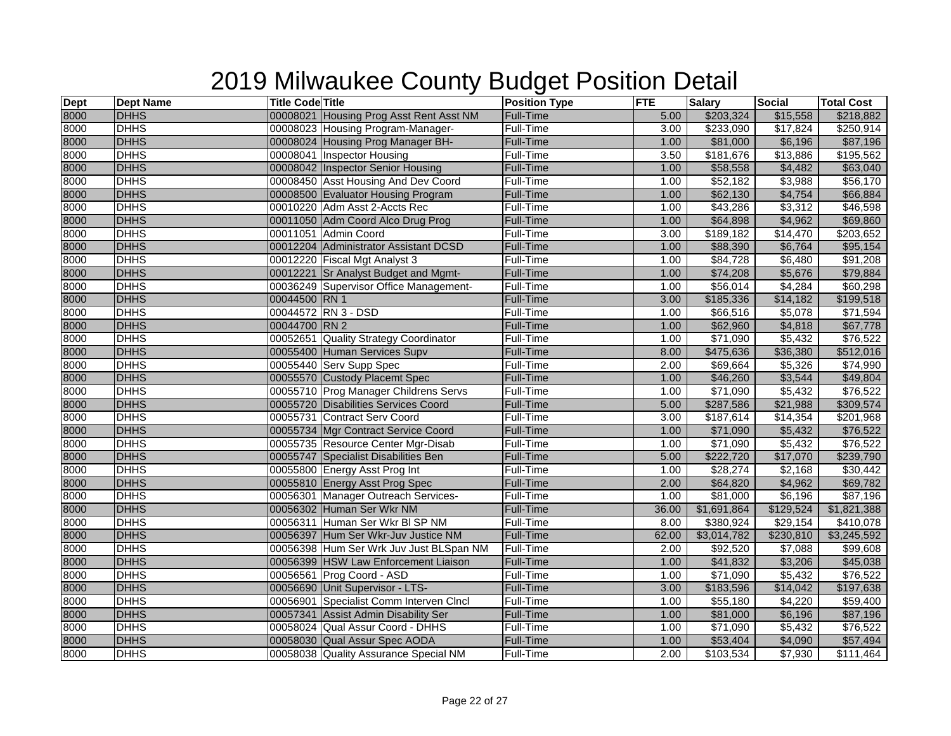| <b>Dept</b> | <b>Dept Name</b> | <b>Title Code Title</b> |                                         | <b>Position Type</b> | <b>FTE</b>        | <b>Salary</b>        | <b>Social</b>    | <b>Total Cost</b> |
|-------------|------------------|-------------------------|-----------------------------------------|----------------------|-------------------|----------------------|------------------|-------------------|
| 8000        | <b>DHHS</b>      |                         | 00008021 Housing Prog Asst Rent Asst NM | <b>Full-Time</b>     | 5.00              | \$203,324            | \$15,558         | \$218,882         |
| 8000        | <b>DHHS</b>      |                         | 00008023 Housing Program-Manager-       | Full-Time            | 3.00              | \$233,090            | \$17,824         | \$250,914         |
| 8000        | <b>DHHS</b>      |                         | 00008024 Housing Prog Manager BH-       | Full-Time            | 1.00              | \$81,000             | \$6,196          | \$87,196          |
| 8000        | <b>DHHS</b>      |                         | 00008041 Inspector Housing              | Full-Time            | 3.50              | \$181,676            | \$13,886         | \$195,562         |
| 8000        | <b>DHHS</b>      |                         | 00008042 Inspector Senior Housing       | <b>Full-Time</b>     | 1.00              | \$58,558             | \$4,482          | \$63,040          |
| 8000        | <b>DHHS</b>      |                         | 00008450 Asst Housing And Dev Coord     | Full-Time            | 1.00              | \$52,182             | \$3,988          | \$56,170          |
| 8000        | <b>DHHS</b>      |                         | 00008500 Evaluator Housing Program      | Full-Time            | 1.00              | \$62,130             | \$4,754          | \$66,884          |
| 8000        | <b>DHHS</b>      |                         | 00010220 Adm Asst 2-Accts Rec           | Full-Time            | 1.00              | \$43,286             | \$3,312          | \$46,598          |
| 8000        | <b>DHHS</b>      |                         | 00011050 Adm Coord Alco Drug Prog       | Full-Time            | 1.00              | \$64,898             | \$4,962          | \$69,860          |
| 8000        | <b>DHHS</b>      |                         | 00011051 Admin Coord                    | Full-Time            | 3.00              | \$189,182            | $\sqrt{$14,470}$ | \$203,652         |
| 8000        | <b>DHHS</b>      |                         | 00012204 Administrator Assistant DCSD   | Full-Time            | 1.00              | \$88,390             | \$6,764          | \$95,154          |
| 8000        | <b>DHHS</b>      |                         | 00012220 Fiscal Mgt Analyst 3           | Full-Time            | 1.00              | \$84,728             | \$6,480          | \$91,208          |
| 8000        | <b>DHHS</b>      |                         | 00012221 Sr Analyst Budget and Mgmt-    | Full-Time            | 1.00              | \$74,208             | \$5,676          | \$79,884          |
| 8000        | <b>DHHS</b>      |                         | 00036249 Supervisor Office Management-  | <b>Full-Time</b>     | 1.00              | \$56,014             | \$4,284          | \$60,298          |
| 8000        | <b>DHHS</b>      | 00044500 RN 1           |                                         | Full-Time            | 3.00              | \$185,336            | \$14,182         | \$199,518         |
| 8000        | <b>DHHS</b>      |                         | 00044572 RN 3 - DSD                     | Full-Time            | 1.00              | \$66,516             | \$5,078          | \$71,594          |
| 8000        | <b>DHHS</b>      | 00044700 RN 2           |                                         | Full-Time            | 1.00              | \$62,960             | \$4,818          | \$67,778          |
| 8000        | <b>DHHS</b>      |                         | 00052651 Quality Strategy Coordinator   | Full-Time            | 1.00              | \$71,090             | \$5,432          | \$76,522          |
| 8000        | <b>DHHS</b>      |                         | 00055400 Human Services Supv            | Full-Time            | 8.00              | \$475,636            | \$36,380         | \$512,016         |
| 8000        | <b>DHHS</b>      |                         | 00055440 Serv Supp Spec                 | Full-Time            | 2.00              | \$69,664             | \$5,326          | \$74,990          |
| 8000        | <b>DHHS</b>      |                         | 00055570 Custody Placemt Spec           | Full-Time            | 1.00              | \$46,260             | \$3,544          | \$49,804          |
| 8000        | <b>DHHS</b>      |                         | 00055710 Prog Manager Childrens Servs   | Full-Time            | 1.00              | \$71,090             | \$5,432          | \$76,522          |
| 8000        | <b>DHHS</b>      |                         | 00055720 Disabilities Services Coord    | Full-Time            | 5.00              | \$287,586            | \$21,988         | \$309,574         |
| 8000        | <b>DHHS</b>      |                         | 00055731 Contract Serv Coord            | Full-Time            | $\overline{3.00}$ | \$187,614            | \$14,354         | \$201,968         |
| 8000        | <b>DHHS</b>      |                         | 00055734 Mgr Contract Service Coord     | <b>Full-Time</b>     | 1.00              | \$71,090             | \$5,432          | \$76,522          |
| 8000        | <b>DHHS</b>      |                         | 00055735 Resource Center Mgr-Disab      | Full-Time            | 1.00              | $\overline{$71,090}$ | \$5,432          | \$76,522          |
| 8000        | <b>DHHS</b>      |                         | 00055747 Specialist Disabilities Ben    | <b>Full-Time</b>     | 5.00              | \$222,720            | \$17,070         | \$239,790         |
| 8000        | <b>DHHS</b>      |                         | 00055800 Energy Asst Prog Int           | Full-Time            | 1.00              | \$28,274             | \$2,168          | \$30,442          |
| 8000        | <b>DHHS</b>      |                         | 00055810 Energy Asst Prog Spec          | Full-Time            | 2.00              | \$64,820             | \$4,962          | \$69,782          |
| 8000        | <b>DHHS</b>      |                         | 00056301 Manager Outreach Services-     | <b>Full-Time</b>     | 1.00              | \$81,000             | \$6,196          | \$87,196          |
| 8000        | <b>DHHS</b>      |                         | 00056302 Human Ser Wkr NM               | Full-Time            | 36.00             | \$1,691,864          | \$129,524        | \$1,821,388       |
| 8000        | <b>DHHS</b>      |                         | 00056311 Human Ser Wkr BI SP NM         | Full-Time            | 8.00              | \$380,924            | \$29,154         | \$410,078         |
| 8000        | <b>DHHS</b>      |                         | 00056397 Hum Ser Wkr-Juv Justice NM     | Full-Time            | 62.00             | \$3,014,782          | \$230,810        | \$3,245,592       |
| 8000        | <b>DHHS</b>      |                         | 00056398 Hum Ser Wrk Juv Just BLSpan NM | Full-Time            | 2.00              | \$92,520             | \$7,088          | \$99,608          |
| 8000        | <b>DHHS</b>      |                         | 00056399 HSW Law Enforcement Liaison    | Full-Time            | 1.00              | \$41,832             | \$3,206          | \$45,038          |
| 8000        | <b>DHHS</b>      |                         | 00056561 Prog Coord - ASD               | Full-Time            | 1.00              | $\overline{$}71,090$ | \$5,432          | \$76,522          |
| 8000        | <b>DHHS</b>      |                         | 00056690 Unit Supervisor - LTS-         | Full-Time            | 3.00              | \$183,596            | \$14,042         | \$197,638         |
| 8000        | <b>DHHS</b>      |                         | 00056901 Specialist Comm Interven CIncl | Full-Time            | 1.00              | \$55,180             | \$4,220          | \$59,400          |
| 8000        | <b>DHHS</b>      |                         | 00057341 Assist Admin Disability Ser    | Full-Time            | 1.00              | \$81,000             | \$6,196          | \$87,196          |
| 8000        | <b>DHHS</b>      |                         | 00058024 Qual Assur Coord - DHHS        | Full-Time            | 1.00              | $\overline{$}71,090$ | \$5,432          | \$76,522          |
| 8000        | <b>DHHS</b>      |                         | 00058030 Qual Assur Spec AODA           | Full-Time            | 1.00              | \$53,404             | \$4,090          | \$57,494          |
| 8000        | <b>DHHS</b>      |                         | 00058038 Quality Assurance Special NM   | Full-Time            | 2.00              | \$103,534            | \$7,930          | \$111,464         |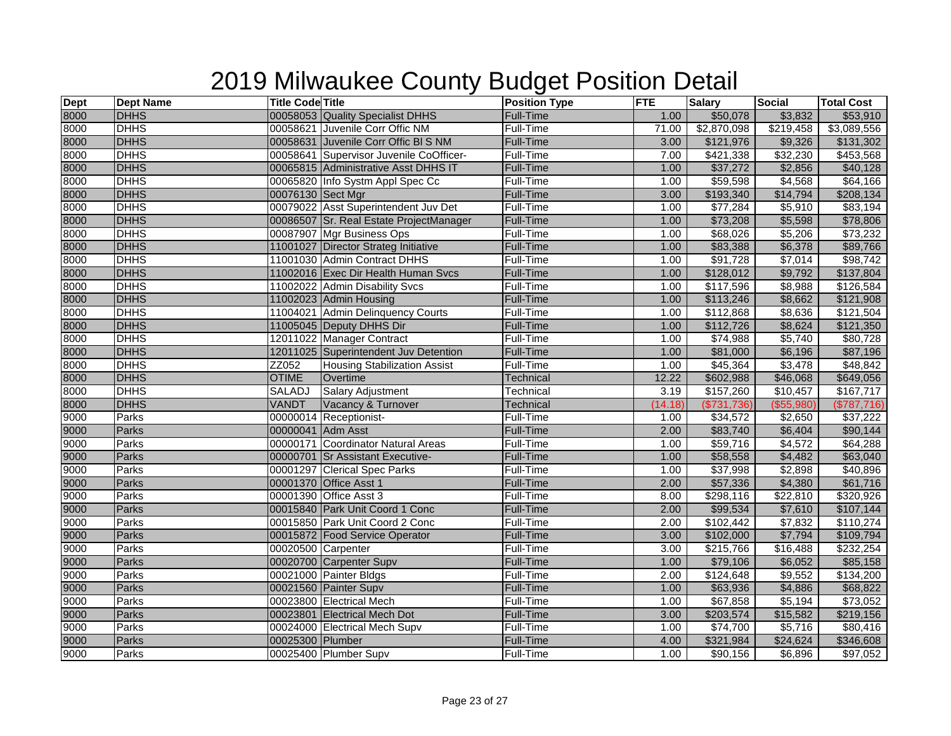| <b>Dept</b> | <b>Dept Name</b> | <b>Title Code Title</b> |                                         | <b>Position Type</b> | <b>FTE</b> | <b>Salary</b>    | <b>Social</b> | <b>Total Cost</b> |
|-------------|------------------|-------------------------|-----------------------------------------|----------------------|------------|------------------|---------------|-------------------|
| 8000        | <b>DHHS</b>      |                         | 00058053 Quality Specialist DHHS        | <b>Full-Time</b>     | 1.00       | \$50,078         | \$3,832       | \$53,910          |
| 8000        | <b>DHHS</b>      |                         | 00058621 Juvenile Corr Offic NM         | Full-Time            | 71.00      | \$2,870,098      | \$219,458     | \$3,089,556       |
| 8000        | <b>DHHS</b>      |                         | 00058631 Juvenile Corr Offic BI S NM    | <b>Full-Time</b>     | 3.00       | \$121,976        | \$9,326       | \$131,302         |
| 8000        | <b>DHHS</b>      |                         | 00058641 Supervisor Juvenile CoOfficer- | Full-Time            | 7.00       | \$421,338        | \$32,230      | \$453,568         |
| 8000        | <b>DHHS</b>      |                         | 00065815 Administrative Asst DHHS IT    | <b>Full-Time</b>     | 1.00       | \$37,272         | \$2,856       | \$40,128          |
| 8000        | <b>DHHS</b>      |                         | 00065820 Info Systm Appl Spec Cc        | Full-Time            | 1.00       | \$59,598         | \$4,568       | \$64,166          |
| 8000        | <b>DHHS</b>      | 00076130 Sect Mgr       |                                         | <b>Full-Time</b>     | 3.00       | \$193,340        | \$14,794      | \$208,134         |
| 8000        | <b>DHHS</b>      |                         | 00079022 Asst Superintendent Juv Det    | Full-Time            | 1.00       | \$77,284         | \$5,910       | \$83,194          |
| 8000        | <b>DHHS</b>      |                         | 00086507 Sr. Real Estate ProjectManager | Full-Time            | 1.00       | \$73,208         | \$5,598       | \$78,806          |
| 8000        | <b>DHHS</b>      |                         | 00087907 Mgr Business Ops               | Full-Time            | 1.00       | \$68,026         | \$5,206       | \$73,232          |
| 8000        | <b>DHHS</b>      |                         | 11001027 Director Strateg Initiative    | <b>Full-Time</b>     | 1.00       | \$83,388         | \$6,378       | \$89,766          |
| 8000        | <b>DHHS</b>      |                         | 11001030 Admin Contract DHHS            | Full-Time            | 1.00       | \$91,728         | \$7,014       | \$98,742          |
| 8000        | <b>DHHS</b>      |                         | 11002016 Exec Dir Health Human Svcs     | <b>Full-Time</b>     | 1.00       | \$128,012        | \$9,792       | \$137,804         |
| 8000        | <b>DHHS</b>      |                         | 11002022 Admin Disability Svcs          | Full-Time            | 1.00       | \$117,596        | \$8,988       | \$126,584         |
| 8000        | <b>DHHS</b>      |                         | 11002023 Admin Housing                  | Full-Time            | 1.00       | \$113,246        | \$8,662       | \$121,908         |
| 8000        | <b>DHHS</b>      |                         | 11004021 Admin Delinquency Courts       | Full-Time            | 1.00       | \$112,868        | \$8,636       | \$121,504         |
| 8000        | <b>DHHS</b>      |                         | 11005045 Deputy DHHS Dir                | <b>Full-Time</b>     | 1.00       | \$112,726        | \$8,624       | \$121,350         |
| 8000        | <b>DHHS</b>      |                         | 12011022 Manager Contract               | Full-Time            | 1.00       | $\sqrt{$74,988}$ | \$5,740       | \$80,728          |
| 8000        | <b>DHHS</b>      |                         | 12011025 Superintendent Juv Detention   | Full-Time            | 1.00       | \$81,000         | \$6,196       | \$87,196          |
| 8000        | <b>DHHS</b>      | ZZ052                   | <b>Housing Stabilization Assist</b>     | Full-Time            | 1.00       | \$45,364         | \$3,478       | \$48,842          |
| 8000        | <b>DHHS</b>      | <b>OTIME</b>            | Overtime                                | <b>Technical</b>     | 12.22      | \$602,988        | \$46,068      | \$649,056         |
| 8000        | <b>DHHS</b>      | SALADJ                  | Salary Adjustment                       | Technical            | 3.19       | \$157,260        | \$10,457      | \$167,717         |
| 8000        | <b>DHHS</b>      | <b>VANDT</b>            | Vacancy & Turnover                      | Technical            | (14.18)    | (\$731,736)      | (\$55,980)    | (\$787,716)       |
| 9000        | Parks            |                         | 00000014 Receptionist-                  | Full-Time            | 1.00       | \$34,572         | \$2,650       | \$37,222          |
| 9000        | Parks            | 00000041 Adm Asst       |                                         | <b>Full-Time</b>     | 2.00       | \$83,740         | \$6,404       | \$90,144          |
| 9000        | Parks            |                         | 00000171 Coordinator Natural Areas      | Full-Time            | 1.00       | \$59,716         | \$4,572       | \$64,288          |
| 9000        | Parks            |                         | 00000701 Sr Assistant Executive-        | <b>Full-Time</b>     | 1.00       | \$58,558         | \$4,482       | \$63,040          |
| 9000        | Parks            |                         | 00001297 Clerical Spec Parks            | Full-Time            | 1.00       | \$37,998         | \$2,898       | \$40,896          |
| 9000        | <b>Parks</b>     |                         | 00001370 Office Asst 1                  | <b>Full-Time</b>     | 2.00       | \$57,336         | \$4,380       | \$61,716          |
| 9000        | Parks            |                         | 00001390 Office Asst 3                  | Full-Time            | 8.00       | \$298,116        | \$22,810      | \$320,926         |
| 9000        | Parks            |                         | 00015840 Park Unit Coord 1 Conc         | Full-Time            | 2.00       | \$99,534         | \$7,610       | \$107,144         |
| 9000        | Parks            |                         | 00015850 Park Unit Coord 2 Conc         | <b>Full-Time</b>     | 2.00       | \$102,442        | \$7,832       | \$110,274         |
| 9000        | Parks            |                         | 00015872 Food Service Operator          | <b>Full-Time</b>     | 3.00       | \$102,000        | \$7,794       | \$109,794         |
| 9000        | Parks            | 00020500 Carpenter      |                                         | <b>Full-Time</b>     | 3.00       | \$215,766        | \$16,488      | \$232,254         |
| 9000        | Parks            |                         | 00020700 Carpenter Supv                 | Full-Time            | 1.00       | \$79,106         | \$6,052       | \$85,158          |
| 9000        | Parks            |                         | 00021000 Painter Bldgs                  | Full-Time            | 2.00       | \$124,648        | \$9,552       | \$134,200         |
| 9000        | Parks            |                         | 00021560 Painter Supv                   | <b>Full-Time</b>     | 1.00       | \$63,936         | \$4,886       | \$68,822          |
| 9000        | Parks            |                         | 00023800 Electrical Mech                | <b>Full-Time</b>     | 1.00       | \$67,858         | \$5,194       | \$73,052          |
| 9000        | Parks            |                         | 00023801 Electrical Mech Dot            | <b>Full-Time</b>     | 3.00       | \$203,574        | \$15,582      | \$219,156         |
| 9000        | Parks            |                         | 00024000 Electrical Mech Supv           | Full-Time            | 1.00       | \$74,700         | \$5,716       | \$80,416          |
| 9000        | Parks            | 00025300 Plumber        |                                         | <b>Full-Time</b>     | 4.00       | \$321,984        | \$24,624      | \$346,608         |
| 9000        | Parks            |                         | 00025400 Plumber Supv                   | Full-Time            | 1.00       | \$90,156         | \$6,896       | \$97,052          |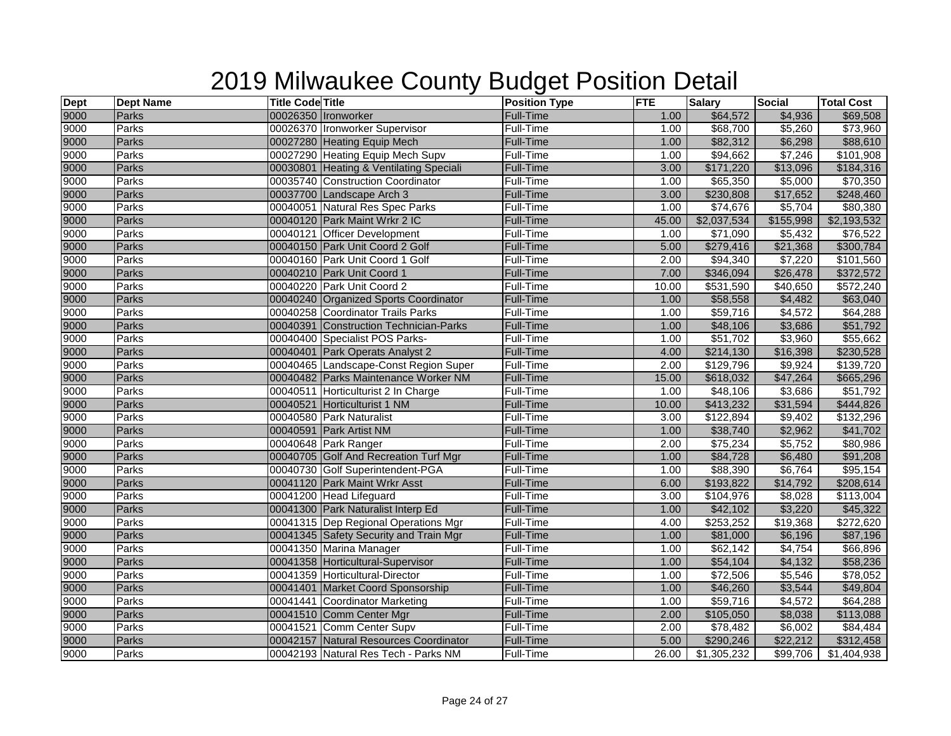| $\frac{\text{Depth}}{9000}$ | <b>Dept Name</b> | <b>Title Code Title</b> |                                         | <b>Position Type</b> | <b>FTE</b> | Salary               | <b>Social</b> | <b>Total Cost</b> |
|-----------------------------|------------------|-------------------------|-----------------------------------------|----------------------|------------|----------------------|---------------|-------------------|
|                             | Parks            |                         | 00026350 Ironworker                     | <b>Full-Time</b>     | 1.00       | \$64,572             | \$4,936       | \$69,508          |
| 9000                        | Parks            |                         | 00026370 Ironworker Supervisor          | Full-Time            | 1.00       | \$68,700             | \$5,260       | \$73,960          |
| 9000                        | Parks            |                         | 00027280 Heating Equip Mech             | <b>Full-Time</b>     | 1.00       | \$82,312             | \$6,298       | \$88,610          |
| 9000                        | Parks            |                         | 00027290 Heating Equip Mech Supv        | Full-Time            | 1.00       | \$94,662             | \$7,246       | \$101,908         |
| 9000                        | <b>Parks</b>     |                         | 00030801 Heating & Ventilating Speciali | <b>Full-Time</b>     | 3.00       | \$171,220            | \$13,096      | \$184,316         |
| 9000                        | Parks            |                         | 00035740 Construction Coordinator       | Full-Time            | 1.00       | \$65,350             | \$5,000       | \$70,350          |
| 9000                        | <b>Parks</b>     |                         | 00037700 Landscape Arch 3               | <b>Full-Time</b>     | 3.00       | \$230,808            | \$17,652      | \$248,460         |
| 9000                        | Parks            |                         | 00040051 Natural Res Spec Parks         | Full-Time            | 1.00       | \$74,676             | \$5,704       | \$80,380          |
| 9000                        | <b>Parks</b>     |                         | 00040120 Park Maint Wrkr 2 IC           | <b>Full-Time</b>     | 45.00      | \$2,037,534          | \$155,998     | \$2,193,532       |
| 9000                        | Parks            |                         | 00040121 Officer Development            | Full-Time            | 1.00       | \$71,090             | \$5,432       | \$76,522          |
| 9000<br>9000                | <b>Parks</b>     |                         | 00040150 Park Unit Coord 2 Golf         | <b>Full-Time</b>     | 5.00       | \$279,416            | \$21,368      | \$300,784         |
|                             | Parks            |                         | 00040160 Park Unit Coord 1 Golf         | Full-Time            | 2.00       | \$94,340             | \$7,220       | \$101,560         |
| 9000                        | <b>Parks</b>     |                         | 00040210 Park Unit Coord 1              | <b>Full-Time</b>     | 7.00       | \$346,094            | \$26,478      | \$372,572         |
| 9000                        | Parks            |                         | 00040220 Park Unit Coord 2              | Full-Time            | 10.00      | \$531,590            | \$40,650      | \$572,240         |
| 9000                        | <b>Parks</b>     |                         | 00040240 Organized Sports Coordinator   | <b>Full-Time</b>     | 1.00       | \$58,558             | \$4,482       | \$63,040          |
| 9000                        | Parks            |                         | 00040258 Coordinator Trails Parks       | <b>Full-Time</b>     | 1.00       | \$59,716             | \$4,572       | \$64,288          |
| 9000                        | <b>Parks</b>     |                         | 00040391 Construction Technician-Parks  | <b>Full-Time</b>     | 1.00       | \$48,106             | \$3,686       | \$51,792          |
| 9000                        | Parks            |                         | 00040400 Specialist POS Parks-          | Full-Time            | 1.00       | \$51,702             | \$3,960       | \$55,662          |
| 9000                        | <b>Parks</b>     |                         | 00040401 Park Operats Analyst 2         | <b>Full-Time</b>     | 4.00       | \$214,130            | \$16,398      | \$230,528         |
| 9000                        | Parks            |                         | 00040465 Landscape-Const Region Super   | Full-Time            | 2.00       | \$129,796            | \$9,924       | \$139,720         |
| 9000                        | <b>Parks</b>     |                         | 00040482 Parks Maintenance Worker NM    | <b>Full-Time</b>     | 15.00      | \$618,032            | \$47,264      | \$665,296         |
| 9000                        | Parks            |                         | 00040511 Horticulturist 2 In Charge     | Full-Time            | 1.00       | \$48,106             | \$3,686       | \$51,792          |
| 9000                        | Parks            |                         | 00040521 Horticulturist 1 NM            | Full-Time            | 10.00      | \$413,232            | \$31,594      | \$444,826         |
| 9000                        | <b>Parks</b>     |                         | 00040580 Park Naturalist                | Full-Time            | 3.00       | \$122,894            | \$9,402       | \$132,296         |
| 9000                        | <b>Parks</b>     |                         | 00040591 Park Artist NM                 | <b>Full-Time</b>     | 1.00       | \$38,740             | \$2,962       | \$41,702          |
| 9000                        | <b>Parks</b>     |                         | 00040648 Park Ranger                    | Full-Time            | 2.00       | \$75,234             | \$5,752       | \$80,986          |
| 9000                        | Parks            |                         | 00040705 Golf And Recreation Turf Mgr   | <b>Full-Time</b>     | 1.00       | \$84,728             | \$6,480       | \$91,208          |
| 9000                        | Parks            |                         | 00040730 Golf Superintendent-PGA        | Full-Time            | 1.00       | \$88,390             | \$6,764       | \$95,154          |
| 9000                        | <b>Parks</b>     |                         | 00041120 Park Maint Wrkr Asst           | <b>Full-Time</b>     | 6.00       | \$193,822            | \$14,792      | \$208,614         |
| 9000                        | Parks            |                         | 00041200 Head Lifeguard                 | Full-Time            | 3.00       | \$104,976            | \$8,028       | \$113,004         |
| 9000                        | <b>Parks</b>     |                         | 00041300 Park Naturalist Interp Ed      | <b>Full-Time</b>     | 1.00       | \$42,102             | \$3,220       | \$45,322          |
| 9000                        | Parks            |                         | 00041315 Dep Regional Operations Mgr    | <b>Full-Time</b>     | 4.00       | \$253,252            | \$19,368      | \$272,620         |
| 9000<br>9000                | <b>Parks</b>     |                         | 00041345 Safety Security and Train Mgr  | Full-Time            | 1.00       | \$81,000             | \$6,196       | \$87,196          |
|                             | Parks            |                         | 00041350 Marina Manager                 | Full-Time            | 1.00       | \$62,142             | \$4,754       | \$66,896          |
| 9000                        | Parks            |                         | 00041358 Horticultural-Supervisor       | <b>Full-Time</b>     | 1.00       | \$54,104             | \$4,132       | \$58,236          |
| 9000                        | Parks            |                         | 00041359 Horticultural-Director         | Full-Time            | 1.00       | \$72,506             | \$5,546       | \$78,052          |
| 9000                        | Parks            |                         | 00041401 Market Coord Sponsorship       | Full-Time            | 1.00       | \$46,260             | \$3,544       | \$49,804          |
| 9000                        | Parks            |                         | 00041441 Coordinator Marketing          | Full-Time            | 1.00       | \$59,716             | \$4,572       | \$64,288          |
| 9000                        | <b>Parks</b>     |                         | 00041510 Comm Center Mgr                | Full-Time            | 2.00       | \$105,050            | \$8,038       | \$113,088         |
| 9000                        | Parks            |                         | 00041521 Comm Center Supv               | Full-Time            | 2.00       | $\overline{$78,482}$ | \$6,002       | \$84,484          |
| 9000                        | <b>Parks</b>     |                         | 00042157 Natural Resources Coordinator  | Full-Time            | 5.00       | \$290,246            | \$22,212      | \$312,458         |
| 9000                        | Parks            |                         | 00042193 Natural Res Tech - Parks NM    | <b>Full-Time</b>     | 26.00      | \$1,305,232          | \$99,706      | \$1,404,938       |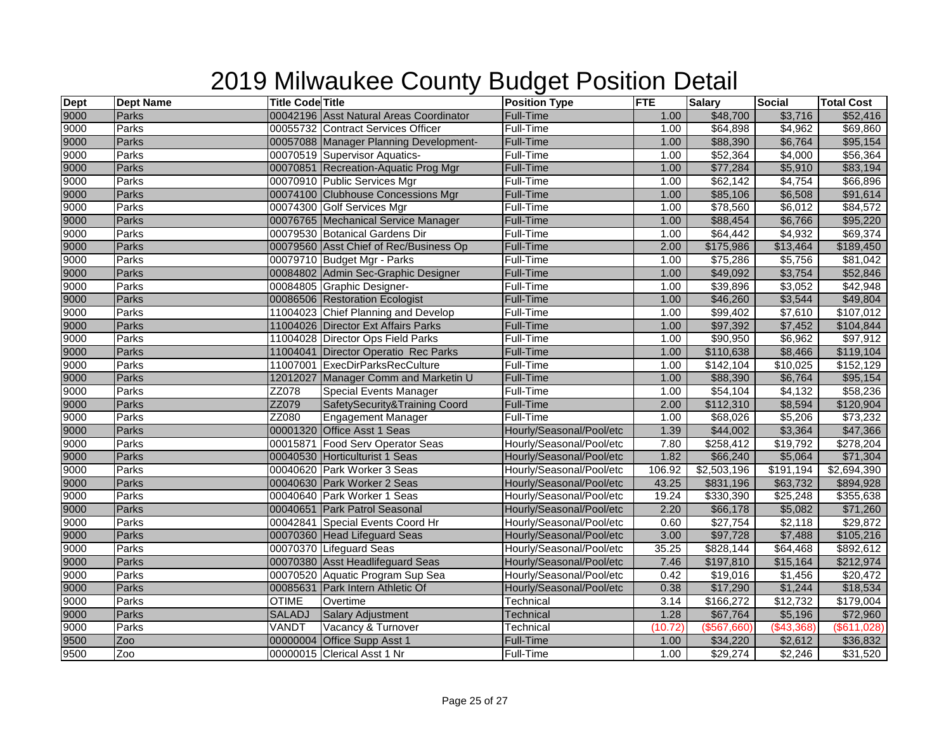| <b>Dept</b> | <b>Dept Name</b> | <b>Title Code Title</b> |                                         | <b>Position Type</b>     | <b>FTE</b> | <b>Salary</b>    | <b>Social</b>    | <b>Total Cost</b> |
|-------------|------------------|-------------------------|-----------------------------------------|--------------------------|------------|------------------|------------------|-------------------|
| 9000        | Parks            |                         | 00042196 Asst Natural Areas Coordinator | <b>Full-Time</b>         | 1.00       | \$48,700         | \$3,716          | \$52,416          |
| 9000        | Parks            |                         | 00055732 Contract Services Officer      | Full-Time                | 1.00       | \$64,898         | \$4,962          | \$69,860          |
| 9000        | Parks            |                         | 00057088 Manager Planning Development-  | <b>Full-Time</b>         | 1.00       | \$88,390         | \$6,764          | \$95,154          |
| 9000        | Parks            |                         | 00070519 Supervisor Aquatics-           | Full-Time                | 1.00       | \$52,364         | \$4,000          | \$56,364          |
| 9000        | Parks            |                         | 00070851 Recreation-Aquatic Prog Mgr    | <b>Full-Time</b>         | 1.00       | \$77,284         | \$5,910          | \$83,194          |
| 9000        | Parks            |                         | 00070910 Public Services Mgr            | <b>Full-Time</b>         | 1.00       | \$62,142         | \$4,754          | \$66,896          |
| 9000        | <b>Parks</b>     |                         | 00074100 Clubhouse Concessions Mgr      | <b>Full-Time</b>         | 1.00       | \$85,106         | \$6,508          | \$91,614          |
| 9000        | Parks            |                         | 00074300 Golf Services Mgr              | Full-Time                | 1.00       | \$78,560         | \$6,012          | \$84,572          |
| 9000        | Parks            |                         | 00076765 Mechanical Service Manager     | <b>Full-Time</b>         | 1.00       | \$88,454         | \$6,766          | \$95,220          |
| 9000        | Parks            |                         | 00079530 Botanical Gardens Dir          | Full-Time                | 1.00       | $\sqrt{$64,442}$ | \$4,932          | \$69,374          |
| 9000        | Parks            |                         | 00079560 Asst Chief of Rec/Business Op  | <b>Full-Time</b>         | 2.00       | \$175,986        | \$13,464         | \$189,450         |
| 9000        | Parks            |                         | 00079710 Budget Mgr - Parks             | Full-Time                | 1.00       | \$75,286         | \$5,756          | \$81,042          |
| 9000        | Parks            |                         | 00084802 Admin Sec-Graphic Designer     | Full-Time                | 1.00       | \$49,092         | \$3,754          | \$52,846          |
| 9000        | Parks            |                         | 00084805 Graphic Designer-              | Full-Time                | 1.00       | \$39,896         | \$3,052          | \$42,948          |
| 9000        | Parks            |                         | 00086506 Restoration Ecologist          | <b>Full-Time</b>         | 1.00       | \$46,260         | \$3,544          | \$49,804          |
| 9000        | Parks            |                         | 11004023 Chief Planning and Develop     | <b>Full-Time</b>         | 1.00       | \$99,402         | \$7,610          | \$107,012         |
| 9000        | Parks            |                         | 11004026 Director Ext Affairs Parks     | <b>Full-Time</b>         | 1.00       | \$97,392         | \$7,452          | \$104,844         |
| 9000        | Parks            |                         | 11004028 Director Ops Field Parks       | Full-Time                | 1.00       | \$90,950         | \$6,962          | \$97,912          |
| 9000        | <b>Parks</b>     |                         | 11004041 Director Operatio Rec Parks    | <b>Full-Time</b>         | 1.00       | \$110,638        | \$8,466          | \$119,104         |
| 9000        | Parks            |                         | 11007001 ExecDirParksRecCulture         | Full-Time                | 1.00       | \$142,104        | \$10,025         | \$152,129         |
| 9000        | Parks            |                         | 12012027 Manager Comm and Marketin U    | <b>Full-Time</b>         | 1.00       | \$88,390         | \$6,764          | \$95,154          |
| 9000        | Parks            | ZZ078                   | <b>Special Events Manager</b>           | Full-Time                | 1.00       | \$54,104         | \$4,132          | \$58,236          |
| 9000        | <b>Parks</b>     | ZZ079                   | SafetySecurity&Training Coord           | Full-Time                | 2.00       | \$112,310        | \$8,594          | \$120,904         |
| 9000        | Parks            | ZZ080                   | <b>Engagement Manager</b>               | Full-Time                | 1.00       | \$68,026         | \$5,206          | \$73,232          |
| 9000        | Parks            |                         | 00001320 Office Asst 1 Seas             | Hourly/Seasonal/Pool/etc | 1.39       | \$44,002         | \$3,364          | \$47,366          |
| 9000        | Parks            |                         | 00015871 Food Serv Operator Seas        | Hourly/Seasonal/Pool/etc | 7.80       | \$258,412        | \$19,792         | \$278,204         |
| 9000        | Parks            |                         | 00040530 Horticulturist 1 Seas          | Hourly/Seasonal/Pool/etc | 1.82       | \$66,240         | \$5,064          | \$71,304          |
| 9000        | Parks            |                         | 00040620 Park Worker 3 Seas             | Hourly/Seasonal/Pool/etc | 106.92     | \$2,503,196      | \$191,194        | \$2,694,390       |
| 9000        | Parks            |                         | 00040630 Park Worker 2 Seas             | Hourly/Seasonal/Pool/etc | 43.25      | \$831,196        | \$63,732         | \$894,928         |
| 9000        | Parks            |                         | 00040640 Park Worker 1 Seas             | Hourly/Seasonal/Pool/etc | 19.24      | \$330,390        | \$25,248         | \$355,638         |
| 9000        | Parks            |                         | 00040651 Park Patrol Seasonal           | Hourly/Seasonal/Pool/etc | 2.20       | \$66,178         | \$5,082          | \$71,260          |
| 9000        | Parks            |                         | 00042841 Special Events Coord Hr        | Hourly/Seasonal/Pool/etc | 0.60       | \$27,754         | \$2,118          | \$29,872          |
| 9000        | Parks            |                         | 00070360 Head Lifeguard Seas            | Hourly/Seasonal/Pool/etc | 3.00       | \$97,728         | \$7,488          | \$105,216         |
| 9000        | Parks            |                         | 00070370 Lifeguard Seas                 | Hourly/Seasonal/Pool/etc | 35.25      | \$828,144        | $\sqrt{$64,468}$ | \$892,612         |
| 9000        | Parks            |                         | 00070380 Asst Headlifeguard Seas        | Hourly/Seasonal/Pool/etc | 7.46       | \$197,810        | \$15,164         | \$212,974         |
| 9000        | Parks            |                         | 00070520 Aquatic Program Sup Sea        | Hourly/Seasonal/Pool/etc | 0.42       | \$19,016         | \$1,456          | \$20,472          |
| 9000        | Parks            |                         | 00085631 Park Intern Athletic Of        | Hourly/Seasonal/Pool/etc | 0.38       | \$17,290         | \$1,244          | \$18,534          |
| 9000        | <b>Parks</b>     | <b>OTIME</b>            | Overtime                                | Technical                | 3.14       | \$166,272        | \$12,732         | \$179,004         |
| 9000        | Parks            | <b>SALADJ</b>           | <b>Salary Adjustment</b>                | Technical                | 1.28       | \$67,764         | \$5,196          | \$72,960          |
| 9000        | Parks            | VANDT                   | Vacancy & Turnover                      | Technical                | (10.72)    | (\$567,660)      | (\$43,368)       | (\$611,028)       |
| 9500        | Zoo              |                         | 00000004 Office Supp Asst 1             | <b>Full-Time</b>         | 1.00       | \$34,220         | \$2,612          | \$36,832          |
| 9500        | Zoo              |                         | 00000015 Clerical Asst 1 Nr             | Full-Time                | 1.00       | \$29,274         | \$2,246          | \$31,520          |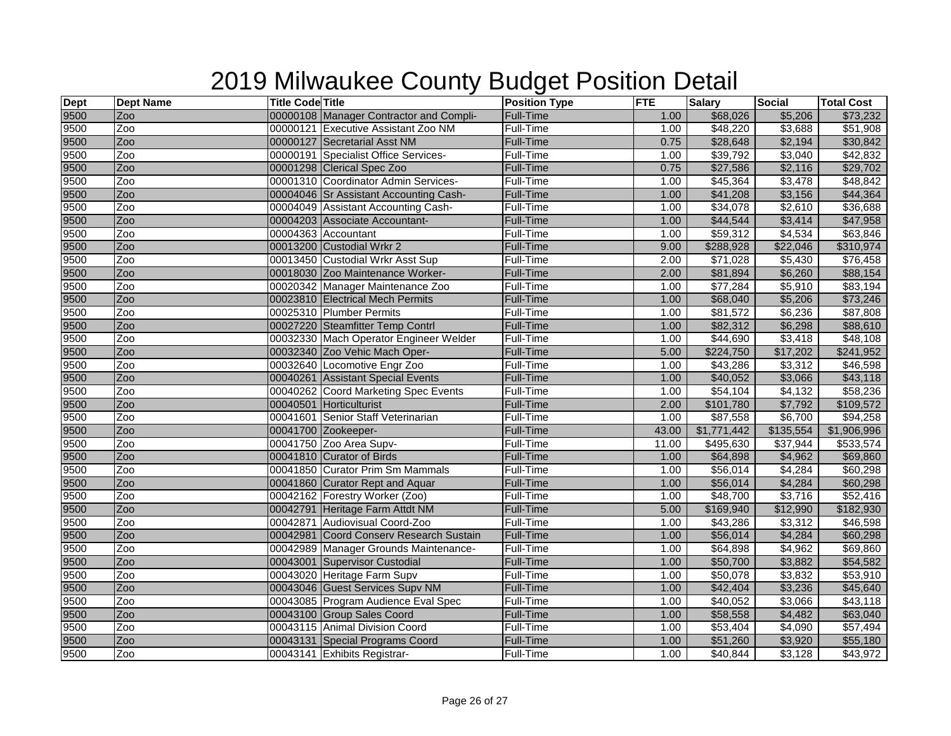| <b>Dept</b> | <b>Dept Name</b> | <b>Title Code Title</b> |                                         | <b>Position Type</b> | <b>FTE</b> | <b>Salary</b>    | <b>Social</b> | <b>Total Cost</b> |
|-------------|------------------|-------------------------|-----------------------------------------|----------------------|------------|------------------|---------------|-------------------|
| 9500        | Zoo              |                         | 00000108 Manager Contractor and Compli- | <b>Full-Time</b>     | 1.00       | \$68,026         | \$5,206       | \$73,232          |
| 9500        | Zoo              |                         | 00000121 Executive Assistant Zoo NM     | Full-Time            | 1.00       | \$48,220         | \$3,688       | \$51,908          |
| 9500        | Zoo              |                         | 00000127 Secretarial Asst NM            | <b>Full-Time</b>     | 0.75       | \$28,648         | \$2,194       | \$30,842          |
| 9500        | Zoo              |                         | 00000191 Specialist Office Services-    | <b>Full-Time</b>     | 1.00       | \$39,792         | \$3,040       | \$42,832          |
| 9500        | Zoo              |                         | 00001298 Clerical Spec Zoo              | <b>Full-Time</b>     | 0.75       | \$27,586         | \$2,116       | \$29,702          |
| 9500        | Zoo              |                         | 00001310 Coordinator Admin Services-    | <b>Full-Time</b>     | 1.00       | \$45,364         | \$3,478       | \$48,842          |
| 9500        | Zoo              |                         | 00004046 Sr Assistant Accounting Cash-  | <b>Full-Time</b>     | 1.00       | \$41,208         | \$3,156       | \$44,364          |
| 9500        | Zoo              |                         | 00004049 Assistant Accounting Cash-     | Full-Time            | 1.00       | \$34,078         | \$2,610       | \$36,688          |
| 9500        | Zoo              |                         | 00004203 Associate Accountant-          | Full-Time            | 1.00       | \$44,544         | \$3,414       | \$47,958          |
| 9500        | Zoo              |                         | 00004363 Accountant                     | Full-Time            | 1.00       | \$59,312         | \$4,534       | \$63,846          |
| 9500        | Zoo              |                         | 00013200 Custodial Wrkr 2               | <b>Full-Time</b>     | 9.00       | \$288,928        | \$22,046      | \$310,974         |
| 9500        | Zoo              |                         | 00013450 Custodial Wrkr Asst Sup        | Full-Time            | 2.00       | \$71,028         | \$5,430       | \$76,458          |
| 9500        | Zoo              |                         | 00018030 Zoo Maintenance Worker-        | Full-Time            | 2.00       | \$81,894         | \$6,260       | \$88,154          |
| 9500        | Zoo              |                         | 00020342 Manager Maintenance Zoo        | Full-Time            | 1.00       | \$77,284         | \$5,910       | \$83,194          |
| 9500        | Zoo              |                         | 00023810 Electrical Mech Permits        | Full-Time            | 1.00       | \$68,040         | \$5,206       | \$73,246          |
| 9500        | Zoo              |                         | 00025310 Plumber Permits                | Full-Time            | 1.00       | \$81,572         | \$6,236       | \$87,808          |
| 9500        | Zoo              |                         | 00027220 Steamfitter Temp Contrl        | <b>Full-Time</b>     | 1.00       | \$82,312         | \$6,298       | \$88,610          |
| 9500        | Zoo              |                         | 00032330 Mach Operator Engineer Welder  | Full-Time            | 1.00       | \$44,690         | \$3,418       | \$48,108          |
| 9500        | Zoo              |                         | 00032340 Zoo Vehic Mach Oper-           | Full-Time            | 5.00       | \$224,750        | \$17,202      | \$241,952         |
| 9500        | Zoo              |                         | 00032640 Locomotive Engr Zoo            | Full-Time            | 1.00       | \$43,286         | \$3,312       | \$46,598          |
| 9500        | Zoo              |                         | 00040261 Assistant Special Events       | <b>Full-Time</b>     | 1.00       | \$40,052         | \$3,066       | \$43,118          |
| 9500        | Zoo              |                         | 00040262 Coord Marketing Spec Events    | Full-Time            | 1.00       | \$54,104         | \$4,132       | \$58,236          |
| 9500        | Zoo              |                         | 00040501 Horticulturist                 | Full-Time            | 2.00       | \$101,780        | \$7,792       | \$109,572         |
| 9500        | Zoo              |                         | 00041601 Senior Staff Veterinarian      | Full-Time            | 1.00       | \$87,558         | \$6,700       | \$94,258          |
| 9500        | Zoo              |                         | 00041700 Zookeeper-                     | <b>Full-Time</b>     | 43.00      | \$1,771,442      | \$135,554     | \$1,906,996       |
| 9500        | Zoo              |                         | 00041750 Zoo Area Supv-                 | Full-Time            | 11.00      | \$495,630        | \$37,944      | \$533,574         |
| 9500        | Zoo              |                         | 00041810 Curator of Birds               | <b>Full-Time</b>     | 1.00       | \$64,898         | \$4,962       | \$69,860          |
| 9500        | Zoo              |                         | 00041850 Curator Prim Sm Mammals        | Full-Time            | 1.00       | \$56,014         | \$4,284       | \$60,298          |
| 9500        | Zoo              |                         | 00041860 Curator Rept and Aquar         | <b>Full-Time</b>     | 1.00       | \$56,014         | \$4,284       | \$60,298          |
| 9500        | Zoo              |                         | 00042162 Forestry Worker (Zoo)          | Full-Time            | 1.00       | \$48,700         | \$3,716       | \$52,416          |
| 9500        | Zoo              |                         | 00042791 Heritage Farm Attdt NM         | Full-Time            | 5.00       | \$169,940        | \$12,990      | \$182,930         |
| 9500        | Zoo              |                         | 00042871 Audiovisual Coord-Zoo          | Full-Time            | 1.00       | $\sqrt{$43,286}$ | \$3,312       | \$46,598          |
| 9500        | Zoo              |                         | 00042981 Coord Conserv Research Sustain | <b>Full-Time</b>     | 1.00       | \$56,014         | \$4,284       | \$60,298          |
| 9500        | Zoo              |                         | 00042989 Manager Grounds Maintenance-   | Full-Time            | 1.00       | \$64,898         | \$4,962       | \$69,860          |
| 9500        | Zoo              |                         | 00043001 Supervisor Custodial           | Full-Time            | 1.00       | \$50,700         | \$3,882       | \$54,582          |
| 9500        | Zoo              |                         | 00043020 Heritage Farm Supv             | <b>Full-Time</b>     | 1.00       | \$50,078         | \$3,832       | \$53,910          |
| 9500        | Zoo              |                         | 00043046 Guest Services Supv NM         | Full-Time            | 1.00       | \$42,404         | \$3,236       | \$45,640          |
| 9500        | Zoo              |                         | 00043085 Program Audience Eval Spec     | Full-Time            | 1.00       | \$40,052         | \$3,066       | \$43,118          |
| 9500        | Zoo              |                         | 00043100 Group Sales Coord              | <b>Full-Time</b>     | 1.00       | \$58,558         | \$4,482       | \$63,040          |
| 9500        | Zoo              |                         | 00043115 Animal Division Coord          | Full-Time            | 1.00       | \$53,404         | \$4,090       | \$57,494          |
| 9500        | Zoo              |                         | 00043131 Special Programs Coord         | Full-Time            | 1.00       | \$51,260         | \$3,920       | \$55,180          |
| 9500        | Zoo              |                         | 00043141 Exhibits Registrar-            | Full-Time            | 1.00       | \$40,844         | \$3,128       | \$43,972          |